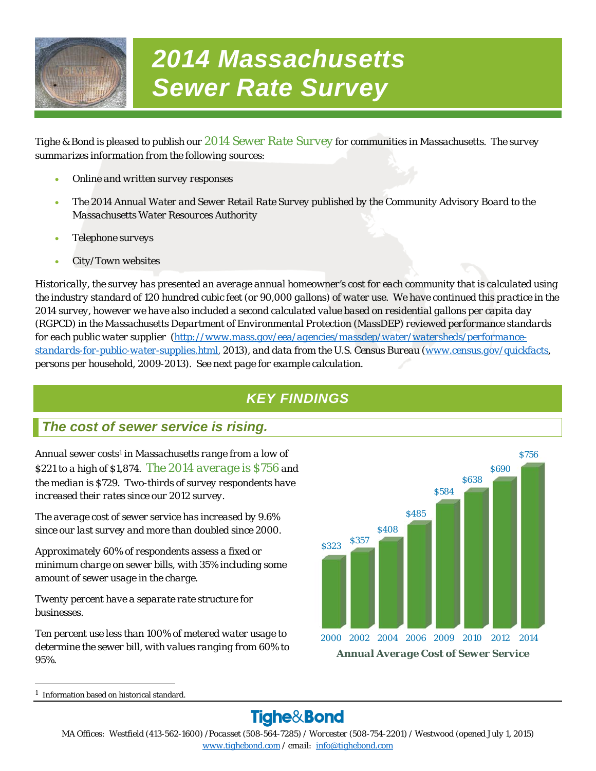

# *2014 Massachusetts Sewer Rate Survey*

*Tighe & Bond is pleased to publish our 2014 Sewer Rate Survey for communities in Massachusetts. The survey summarizes information from the following sources:* 

- *Online and written survey responses*
- *The 2014 Annual Water and Sewer Retail Rate Survey published by the Community Advisory Board to the Massachusetts Water Resources Authority*
- *Telephone surveys*
- *City/Town websites*

*Historically, the survey has presented an average annual homeowner's cost for each community that is calculated using the industry standard of 120 hundred cubic feet (or 90,000 gallons) of water use. We have continued this practice in the 2014 survey, however we have also included a second calculated value based on residential gallons per capita day (RGPCD) in the Massachusetts Department of Environmental Protection (MassDEP) reviewed performance standards for each public water supplier (http://www.mass.gov/eea/agencies/massdep/water/watersheds/performancestandards-for-public-water-supplies.html, 2013), and data from the U.S. Census Bureau (www.census.gov/quickfacts, persons per household, 2009-2013). See next page for example calculation.* 

# *KEY FINDINGS*

# *The cost of sewer service is rising.*

*Annual sewer costs1 in Massachusetts range from a low of \$221 to a high of \$1,874. The 2014 average is \$756 and the median is \$729. Two-thirds of survey respondents have increased their rates since our 2012 survey.* 

*The average cost of sewer service has increased by 9.6% since our last survey and more than doubled since 2000.* 

*Approximately 60% of respondents assess a fixed or minimum charge on sewer bills, with 35% including some amount of sewer usage in the charge.* 

*Twenty percent have a separate rate structure for businesses.* 

*Ten percent use less than 100% of metered water usage to determine the sewer bill, with values ranging from 60% to 95%.* 



*1* Information based on historical standard.

# Tighe&Bond

*MA Offices: Westfield (413-562-1600) /Pocasset (508-564-7285) / Worcester (508-754-2201) / Westwood (opened July 1, 2015) www.tighebond.com / email: info@tighebond.com*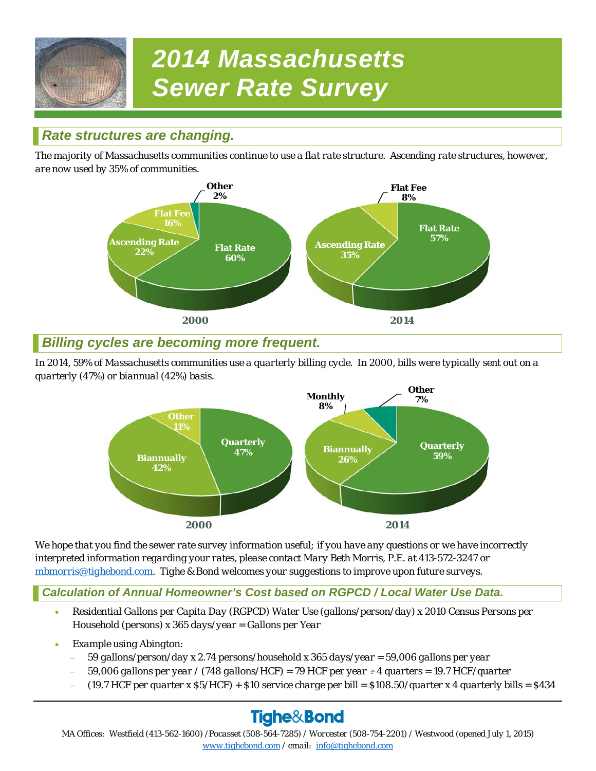# *2014 Massachusetts Sewer Rate Survey*

# *Rate structures are changing.*

*The majority of Massachusetts communities continue to use a flat rate structure. Ascending rate structures, however, are now used by 35% of communities.* 



# *Billing cycles are becoming more frequent.*

*In 2014, 59% of Massachusetts communities use a quarterly billing cycle. In 2000, bills were typically sent out on a quarterly (47%) or biannual (42%) basis.* 



*We hope that you find the sewer rate survey information useful; if you have any questions or we have incorrectly interpreted information regarding your rates, please contact Mary Beth Morris, P.E. at 413-572-3247 or mbmorris@tighebond.com. Tighe & Bond welcomes your suggestions to improve upon future surveys.* 

*Calculation of Annual Homeowner's Cost based on RGPCD / Local Water Use Data.* 

- *Residential Gallons per Capita Day (RGPCD) Water Use (gallons/person/day) x 2010 Census Persons per Household (persons) x 365 days/year = Gallons per Year*
- *Example using Abington:* 
	- *59 gallons/person/day x 2.74 persons/household x 365 days/year = 59,006 gallons per year*
	- *59,006 gallons per year / (748 gallons/HCF) = 79 HCF per year 4 quarters = 19.7 HCF/quarter*
	- *(19.7 HCF per quarter x \$5/HCF) + \$10 service charge per bill = \$108.50/quarter x 4 quarterly bills = \$434*

# Tighe&Bond

*MA Offices: Westfield (413-562-1600) /Pocasset (508-564-7285) / Worcester (508-754-2201) / Westwood (opened July 1, 2015) www.tighebond.com / email: info@tighebond.com*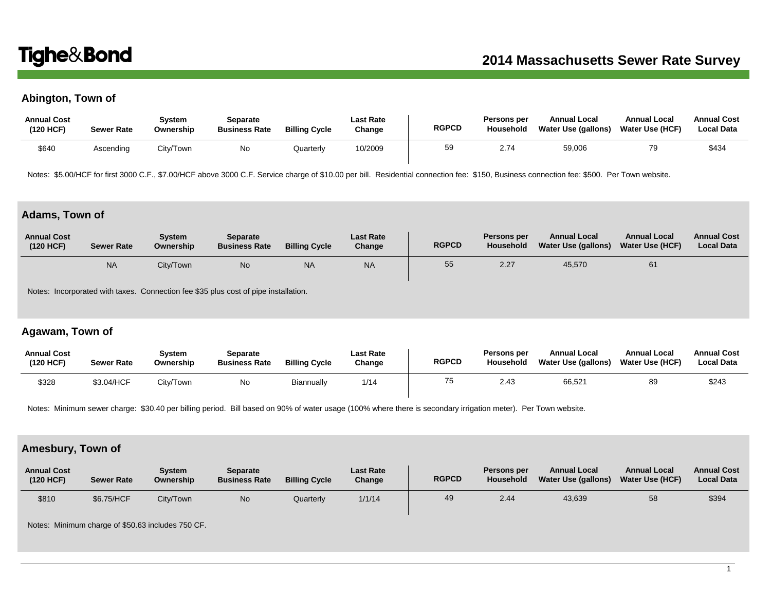# **Abington, Town of**

| <b>Annual Cost</b><br>(120 HCF) | Sewer Rate | System<br>Ownership | Separate<br><b>Business Rate</b> | <b>Billing Cycle</b> | <b>Last Rate</b><br>Change | <b>RGPCD</b> | <b>Persons per</b><br><b>Household</b> | <b>Annual Local</b><br>Water Use (gallons) | <b>Annual Local</b><br><b>Water Use (HCF)</b> | <b>Annual Cost</b><br><b>Local Data</b> |
|---------------------------------|------------|---------------------|----------------------------------|----------------------|----------------------------|--------------|----------------------------------------|--------------------------------------------|-----------------------------------------------|-----------------------------------------|
| \$640                           | Ascending  | City/Town           | ΝO                               | Quarterly            | 10/2009                    | 59           | 2.74                                   | 59,006                                     | 70                                            | \$434                                   |

Notes: \$5.00/HCF for first 3000 C.F., \$7.00/HCF above 3000 C.F. Service charge of \$10.00 per bill. Residential connection fee: \$150, Business connection fee: \$500. Per Town website.

#### **Adams, Town of**

| <b>Annual Cost</b><br>(120 HCF) | <b>Sewer Rate</b> | Svstem<br>Ownership | <b>Separate</b><br><b>Business Rate</b> | <b>Billing Cycle</b> | <b>Last Rate</b><br>Change | <b>RGPCD</b> | Persons per<br>Household | <b>Annual Local</b><br>Water Use (gallons) | <b>Annual Local</b><br><b>Water Use (HCF)</b> | <b>Annual Cost</b><br><b>Local Data</b> |
|---------------------------------|-------------------|---------------------|-----------------------------------------|----------------------|----------------------------|--------------|--------------------------|--------------------------------------------|-----------------------------------------------|-----------------------------------------|
|                                 | <b>NA</b>         | City/Town           | <b>No</b>                               | <b>NA</b>            | <b>NA</b>                  | 55           | 2.27                     | 45,570                                     |                                               |                                         |

Notes: Incorporated with taxes. Connection fee \$35 plus cost of pipe installation.

## **Agawam, Town of**

| <b>Annual Cost</b><br>(120 HCF) | <b>Sewer Rate</b> | Svstem<br>Ownership | Separate<br><b>Business Rate</b> | <b>Billing Cycle</b> | Last Rate<br>Change | <b>RGPCD</b> | <b>Persons per</b><br>Household | <b>Annual Local</b><br>Water Use (gallons) | <b>Annual Local</b><br><b>Water Use (HCF)</b> | <b>Annual Cost</b><br><b>Local Data</b> |
|---------------------------------|-------------------|---------------------|----------------------------------|----------------------|---------------------|--------------|---------------------------------|--------------------------------------------|-----------------------------------------------|-----------------------------------------|
| \$328                           | \$3.04/HCF        | City/Town           | Νo                               | Biannually           | 1/14                | 75           | 2.43                            | 66,521                                     | 89                                            | \$243                                   |

Notes: Minimum sewer charge: \$30.40 per billing period. Bill based on 90% of water usage (100% where there is secondary irrigation meter). Per Town website.

### **Amesbury, Town of**

| <b>Annual Cost</b><br>(120 HCF) | <b>Sewer Rate</b> | Svstem<br>Ownership | Separate<br><b>Business Rate</b> | <b>Billing Cycle</b> | <b>Last Rate</b><br>Change | <b>RGPCD</b> | Persons per<br>Household | <b>Annual Local</b><br><b>Water Use (gallons)</b> | <b>Annual Local</b><br><b>Water Use (HCF)</b> | <b>Annual Cost</b><br><b>Local Data</b> |
|---------------------------------|-------------------|---------------------|----------------------------------|----------------------|----------------------------|--------------|--------------------------|---------------------------------------------------|-----------------------------------------------|-----------------------------------------|
| \$810                           | \$6.75/HCF        | City/Town           | No.                              | Quarterly            | 1/1/14                     | 49           | 2.44                     | 43,639                                            | 58                                            | \$394                                   |

Notes: Minimum charge of \$50.63 includes 750 CF.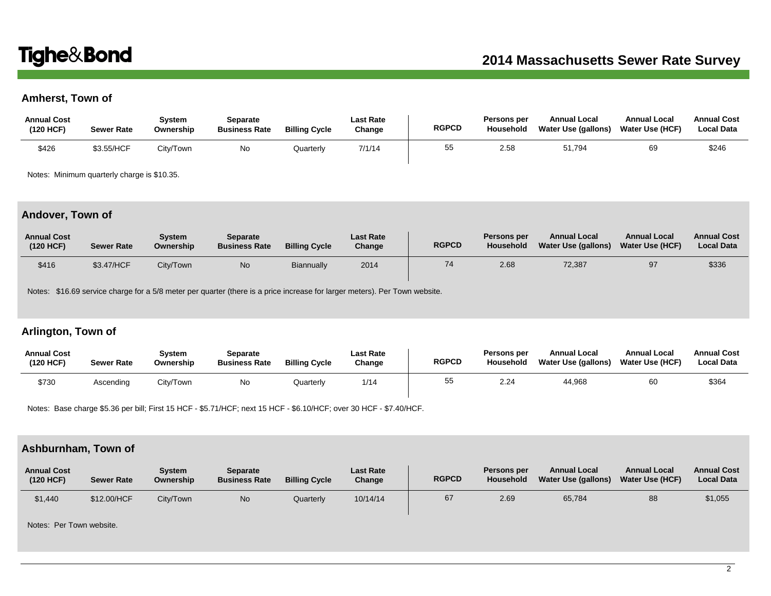# **Amherst, Town of**

| <b>Annual Cost</b><br>(120 HCF) | <b>Sewer Rate</b> | System<br>Ownership | <b>Separate</b><br><b>Business Rate</b> | <b>Billing Cycle</b> | Last Rate<br>Change | <b>RGPCD</b> | Persons per<br><b>Household</b> | <b>Annual Local</b><br>Water Use (gallons) | <b>Annual Local</b><br><b>Water Use (HCF)</b> | <b>Annual Cost</b><br><b>Local Data</b> |
|---------------------------------|-------------------|---------------------|-----------------------------------------|----------------------|---------------------|--------------|---------------------------------|--------------------------------------------|-----------------------------------------------|-----------------------------------------|
| \$426                           | \$3.55/HCF        | Citv/Town           | No                                      | Quarterly            | 7/1/14              | 55           | 2.58                            | 51,794                                     | 69                                            | \$246                                   |

Notes: Minimum quarterly charge is \$10.35.

### **Andover, Town of**

| <b>Annual Cost</b><br>(120 HCF) | <b>Sewer Rate</b> | Svstem<br>Ownership | <b>Separate</b><br><b>Business Rate</b> | <b>Billing Cycle</b> | <b>Last Rate</b><br>Change | <b>RGPCD</b> | Persons per<br>Household | <b>Annual Local</b><br>Water Use (gallons) | <b>Annual Local</b><br>Water Use (HCF) | <b>Annual Cost</b><br><b>Local Data</b> |
|---------------------------------|-------------------|---------------------|-----------------------------------------|----------------------|----------------------------|--------------|--------------------------|--------------------------------------------|----------------------------------------|-----------------------------------------|
| \$416                           | \$3.47/HCF        | City/Town           | No                                      | Biannually           | 2014                       | 74           | 2.68                     | 72,387                                     | 97                                     | \$336                                   |

Notes: \$16.69 service charge for a 5/8 meter per quarter (there is a price increase for larger meters). Per Town website.

### **Arlington, Town of**

| <b>Annual Cost</b><br>(120 HCF) | <b>Sewer Rate</b> | Svstem<br>Ownership | Separate<br><b>Business Rate</b> | <b>Billing Cycle</b> | <b>Last Rate</b><br>Change | <b>RGPCD</b> | Persons per<br><b>Household</b> | <b>Annual Local</b><br>Water Use (gallons) | <b>Annual Local</b><br><b>Water Use (HCF)</b> | <b>Annual Cost</b><br><b>Local Data</b> |
|---------------------------------|-------------------|---------------------|----------------------------------|----------------------|----------------------------|--------------|---------------------------------|--------------------------------------------|-----------------------------------------------|-----------------------------------------|
| \$730                           | Ascending         | City/Town           | No                               | Quarterly            | 1/14                       | 55           | 2.24                            | 44,968                                     | 60                                            | \$364                                   |

Notes: Base charge \$5.36 per bill; First 15 HCF - \$5.71/HCF; next 15 HCF - \$6.10/HCF; over 30 HCF - \$7.40/HCF.

### **Ashburnham, Town of**

| <b>Annual Cost</b><br>(120 HCF) | <b>Sewer Rate</b> | Svstem<br>Ownership | Separate<br><b>Business Rate</b> | <b>Billing Cycle</b> | <b>Last Rate</b><br>Change | <b>RGPCD</b> | Persons per<br>Household | <b>Annual Local</b><br>Water Use (gallons) | <b>Annual Local</b><br>Water Use (HCF) | <b>Annual Cost</b><br><b>Local Data</b> |
|---------------------------------|-------------------|---------------------|----------------------------------|----------------------|----------------------------|--------------|--------------------------|--------------------------------------------|----------------------------------------|-----------------------------------------|
| \$1,440                         | \$12.00/HCF       | City/Town           | <b>No</b>                        | Quarterly            | 10/14/14                   | 67           | 2.69                     | 65,784                                     | 88                                     | \$1,055                                 |

Notes: Per Town website.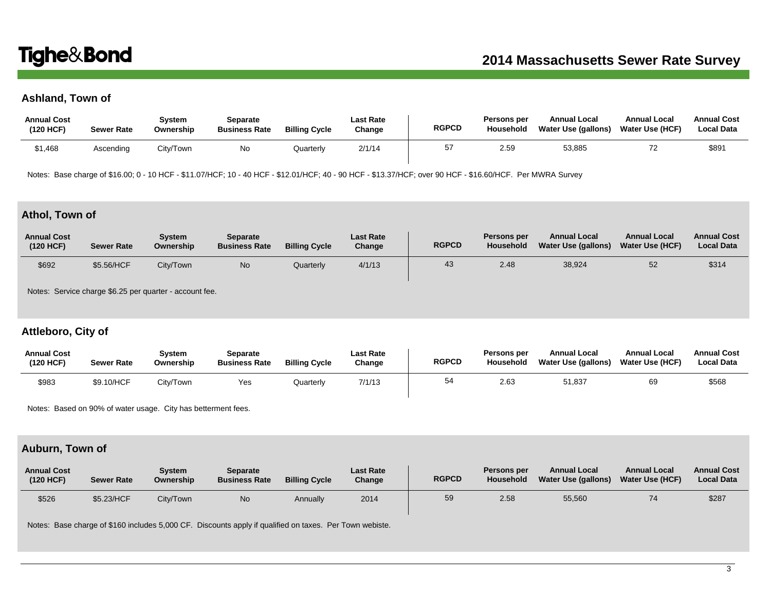# **Ashland, Town of**

| <b>Annual Cost</b><br>(120 HCF) | <b>Sewer Rate</b> | Svstem<br>Ownership | Separate<br><b>Business Rate</b> | <b>Billing Cycle</b> | <b>Last Rate</b><br>Change | <b>RGPCD</b> | Persons per<br>Household | <b>Annual Local</b><br>Water Use (gallons) | <b>Annual Local</b><br>Water Use (HCF) | <b>Annual Cost</b><br><b>Local Data</b> |
|---------------------------------|-------------------|---------------------|----------------------------------|----------------------|----------------------------|--------------|--------------------------|--------------------------------------------|----------------------------------------|-----------------------------------------|
| \$1,468                         | Ascendina         | City/Town           | N0                               | Quarterlv            | 2/1/14                     |              | 2.59                     | 53,885                                     |                                        | \$891                                   |

Notes: Base charge of \$16.00; 0 - 10 HCF - \$11.07/HCF; 10 - 40 HCF - \$12.01/HCF; 40 - 90 HCF - \$13.37/HCF; over 90 HCF - \$16.60/HCF. Per MWRA Survey

# **Athol, Town of**

| <b>Annual Cost</b><br>(120 HCF) | <b>Sewer Rate</b> | Svstem<br>Ownership                                     | <b>Separate</b><br><b>Business Rate</b> | <b>Billing Cycle</b> | <b>Last Rate</b><br>Change | <b>RGPCD</b> | Persons per<br>Household | <b>Annual Local</b><br>Water Use (gallons) | <b>Annual Local</b><br><b>Water Use (HCF)</b> | <b>Annual Cost</b><br><b>Local Data</b> |
|---------------------------------|-------------------|---------------------------------------------------------|-----------------------------------------|----------------------|----------------------------|--------------|--------------------------|--------------------------------------------|-----------------------------------------------|-----------------------------------------|
| \$692                           | \$5.56/HCF        | City/Town                                               | <b>No</b>                               | Quarterly            | 4/1/13                     | 43           | 2.48                     | 38,924                                     | 52                                            | \$314                                   |
|                                 |                   | Notes: Service charge \$6.25 per quarter - account fee. |                                         |                      |                            |              |                          |                                            |                                               |                                         |

## **Attleboro, City of**

| <b>Annual Cost</b><br>(120 HCF) | <b>Sewer Rate</b> | System<br>Ownership | Separate<br><b>Business Rate</b> | <b>Billing Cycle</b> | Last Rate<br>Change | <b>RGPCD</b> | Persons per<br>Household | <b>Annual Local</b><br>Water Use (gallons) | <b>Annual Local</b><br><b>Water Use (HCF)</b> | <b>Annual Cost</b><br><b>Local Data</b> |
|---------------------------------|-------------------|---------------------|----------------------------------|----------------------|---------------------|--------------|--------------------------|--------------------------------------------|-----------------------------------------------|-----------------------------------------|
| \$983                           | \$9.10/HCF        | City/Town           | Yes                              | Quarterly            | 7/1/13              | 54           | 2.63                     | 51.837                                     | 69                                            | \$568                                   |

Notes: Based on 90% of water usage. City has betterment fees.

# **Auburn, Town of**

| <b>Annual Cost</b><br>(120 HCF) | <b>Sewer Rate</b> | Svstem<br>Ownership | Separate<br><b>Business Rate</b> | <b>Billing Cycle</b> | <b>Last Rate</b><br>Change | <b>RGPCD</b> | Persons per<br>Household | <b>Annual Local</b><br>Water Use (gallons) | <b>Annual Local</b><br><b>Water Use (HCF)</b> | <b>Annual Cost</b><br><b>Local Data</b> |
|---------------------------------|-------------------|---------------------|----------------------------------|----------------------|----------------------------|--------------|--------------------------|--------------------------------------------|-----------------------------------------------|-----------------------------------------|
| \$526                           | \$5.23/HCF        | City/Town           | <b>No</b>                        | Annually             | 2014                       | 59           | 2.58                     | 55,560                                     |                                               | \$287                                   |

Notes: Base charge of \$160 includes 5,000 CF. Discounts apply if qualified on taxes. Per Town webiste.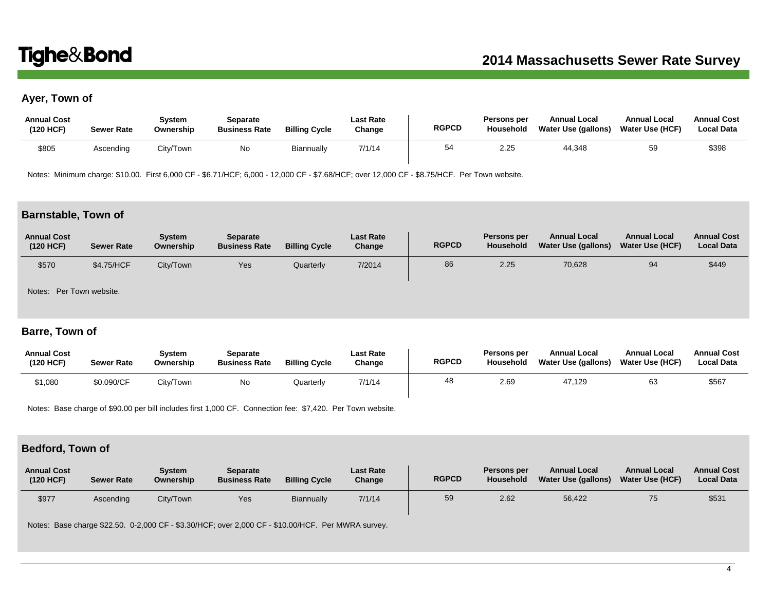# **Ayer, Town of**

| <b>Annual Cost</b><br>(120 HCF) | <b>Sewer Rate</b> | Svstem<br>Ownership | Separate<br><b>Business Rate</b> | <b>Billing Cycle</b> | Last Rate<br>Change | <b>RGPCD</b> | <b>Persons per</b><br><b>Household</b> | <b>Annual Local</b><br>Water Use (gallons) | <b>Annual Local</b><br><b>Water Use (HCF)</b> | <b>Annual Cost</b><br><b>Local Data</b> |
|---------------------------------|-------------------|---------------------|----------------------------------|----------------------|---------------------|--------------|----------------------------------------|--------------------------------------------|-----------------------------------------------|-----------------------------------------|
| \$805                           | Ascending         | City/Town           | No                               | Biannually           | 7/1/14              | 54           | 2.25                                   | 44.348                                     | 59                                            | \$398                                   |

Notes: Minimum charge: \$10.00. First 6,000 CF - \$6.71/HCF; 6,000 - 12,000 CF - \$7.68/HCF; over 12,000 CF - \$8.75/HCF. Per Town website.

### **Barnstable, Town of**

| <b>Annual Cost</b><br>(120 HCF) | <b>Sewer Rate</b> | <b>System</b><br>Ownership | <b>Separate</b><br><b>Business Rate</b> | <b>Billing Cycle</b> | <b>Last Rate</b><br>Change | <b>RGPCD</b> | Persons per<br>Household | <b>Annual Local</b><br>Water Use (gallons) | <b>Annual Local</b><br>Water Use (HCF) | <b>Annual Cost</b><br><b>Local Data</b> |
|---------------------------------|-------------------|----------------------------|-----------------------------------------|----------------------|----------------------------|--------------|--------------------------|--------------------------------------------|----------------------------------------|-----------------------------------------|
| \$570                           | \$4.75/HCF        | City/Town                  | Yes                                     | Quarterly            | 7/2014                     | 86           | 2.25                     | 70,628                                     | 94                                     | \$449                                   |
| Notes: Per Town website.        |                   |                            |                                         |                      |                            |              |                          |                                            |                                        |                                         |

#### **Barre, Town of**

| <b>Annual Cost</b><br>(120 HCF) | <b>Sewer Rate</b> | Svstem<br>Ownership | Separate<br><b>Business Rate</b> | <b>Billing Cycle</b> | <b>Last Rate</b><br>Change | <b>RGPCD</b> | Persons per<br><b>Household</b> | <b>Annual Local</b><br>Water Use (gallons) | <b>Annual Local</b><br><b>Water Use (HCF)</b> | <b>Annual Cost</b><br><b>Local Data</b> |
|---------------------------------|-------------------|---------------------|----------------------------------|----------------------|----------------------------|--------------|---------------------------------|--------------------------------------------|-----------------------------------------------|-----------------------------------------|
| \$1,080                         | \$0.090/CF        | City/Town           | No                               | Quarterlv            | 7/1/14                     | 48           | 2.69                            | 47.129                                     | 63                                            | \$567                                   |

Notes: Base charge of \$90.00 per bill includes first 1,000 CF. Connection fee: \$7,420. Per Town website.

### **Bedford, Town of**

| <b>Annual Cost</b><br>(120 HCF) | <b>Sewer Rate</b> | System<br>Ownership | Separate<br><b>Business Rate</b> | <b>Billing Cycle</b> | <b>Last Rate</b><br>Change | <b>RGPCD</b> | Persons per<br>Household | <b>Annual Local</b><br>Water Use (gallons) | <b>Annual Local</b><br>Water Use (HCF) | <b>Annual Cost</b><br><b>Local Data</b> |
|---------------------------------|-------------------|---------------------|----------------------------------|----------------------|----------------------------|--------------|--------------------------|--------------------------------------------|----------------------------------------|-----------------------------------------|
| \$977                           | Ascending         | City/Town           | Yes                              | <b>Biannually</b>    | 7/1/14                     | 59           | 2.62                     | 56,422                                     |                                        | \$531                                   |

Notes: Base charge \$22.50. 0-2,000 CF - \$3.30/HCF; over 2,000 CF - \$10.00/HCF. Per MWRA survey.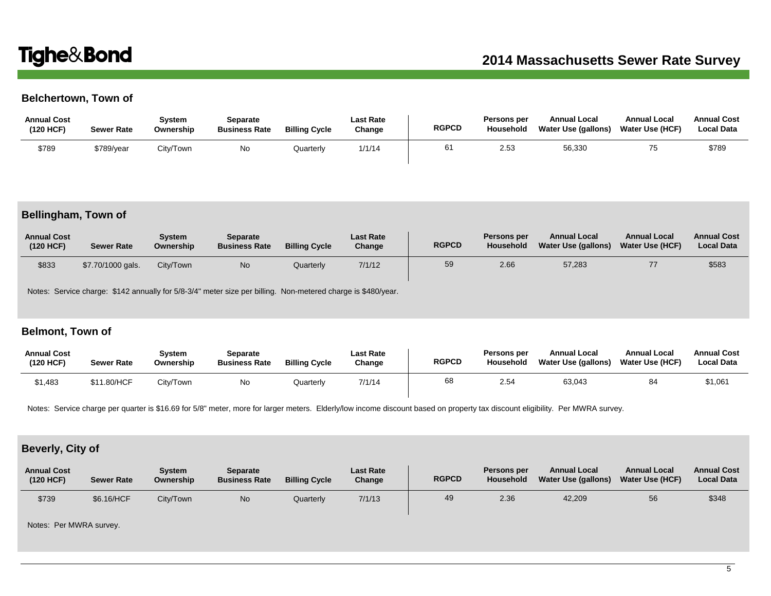## **Belchertown, Town of**

| <b>Annual Cost</b><br>(120 HCF) | <b>Sewer Rate</b> | Svstem<br>Ownership | Separate<br><b>Business Rate</b> | <b>Billing Cycle</b> | Last Rate<br>Change | <b>RGPCD</b> | Persons per<br><b>Household</b> | <b>Annual Local</b><br>Water Use (gallons) | <b>Annual Local</b><br><b>Water Use (HCF)</b> | <b>Annual Cost</b><br><b>Local Data</b> |
|---------------------------------|-------------------|---------------------|----------------------------------|----------------------|---------------------|--------------|---------------------------------|--------------------------------------------|-----------------------------------------------|-----------------------------------------|
| \$789                           | \$789/year        | City/Town           | No                               | Quarterly            | 1/1/14              | 61           | 2.53                            | 56,330                                     | 75                                            | \$789                                   |

### **Bellingham, Town of**

| <b>Annual Cost</b><br>(120 HCF) | <b>Sewer Rate</b> | System<br>Ownership | <b>Separate</b><br><b>Business Rate</b> | <b>Billing Cycle</b> | <b>Last Rate</b><br>Change | <b>RGPCD</b> | Persons per<br>Household | <b>Annual Local</b><br>Water Use (gallons) | <b>Annual Local</b><br>Water Use (HCF) | <b>Annual Cost</b><br><b>Local Data</b> |
|---------------------------------|-------------------|---------------------|-----------------------------------------|----------------------|----------------------------|--------------|--------------------------|--------------------------------------------|----------------------------------------|-----------------------------------------|
| \$833                           | \$7.70/1000 gals. | City/Town           | <b>No</b>                               | Quarterly            | 7/1/12                     | 59           | 2.66                     | 57,283                                     |                                        | \$583                                   |

Notes: Service charge: \$142 annually for 5/8-3/4" meter size per billing. Non-metered charge is \$480/year.

### **Belmont, Town of**

| <b>Annual Cost</b><br>(120 HCF) | <b>Sewer Rate</b> | Svstem<br>Ownership | Separate<br><b>Business Rate</b> | <b>Billing Cycle</b> | Last Rate<br>Change | <b>RGPCD</b> | Persons per<br>Household | <b>Annual Local</b><br>Water Use (gallons) | <b>Annual Local</b><br><b>Water Use (HCF)</b> | <b>Annual Cost</b><br><b>Local Data</b> |
|---------------------------------|-------------------|---------------------|----------------------------------|----------------------|---------------------|--------------|--------------------------|--------------------------------------------|-----------------------------------------------|-----------------------------------------|
| \$1,483                         | \$11.80/HCF       | City/Town           | No                               | Quarterly            | 7/1/14              | 68           | 2.54                     | 63,043                                     | 84                                            | \$1,061                                 |

Notes: Service charge per quarter is \$16.69 for 5/8" meter, more for larger meters. Elderly/low income discount based on property tax discount eligibility. Per MWRA survey.

# **Beverly, City of**

| <b>Annual Cost</b><br>(120 HCF) | <b>Sewer Rate</b> | Svstem<br>Ownership | Separate<br><b>Business Rate</b> | <b>Billing Cycle</b> | <b>Last Rate</b><br>Change | <b>RGPCD</b> | Persons per<br>Household | <b>Annual Local</b><br>Water Use (gallons) | <b>Annual Local</b><br>Water Use (HCF) | <b>Annual Cost</b><br><b>Local Data</b> |
|---------------------------------|-------------------|---------------------|----------------------------------|----------------------|----------------------------|--------------|--------------------------|--------------------------------------------|----------------------------------------|-----------------------------------------|
| \$739                           | \$6.16/HCF        | City/Town           | <b>No</b>                        | Quarterly            | 7/1/13                     | 49           | 2.36                     | 42,209                                     | 56                                     | \$348                                   |

Notes: Per MWRA survey.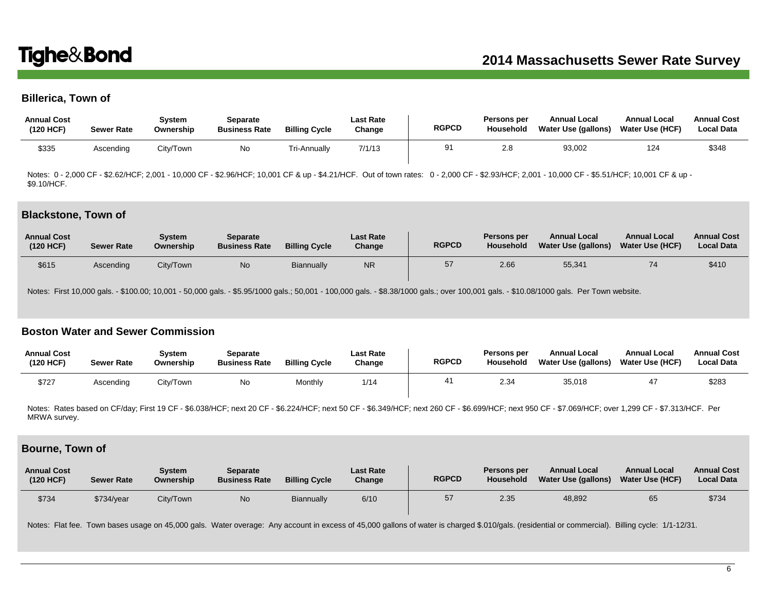### **Billerica, Town of**

| <b>Annual Cost</b><br>(120 HCF) | <b>Sewer Rate</b> | System<br>Ownership | Separate<br><b>Business Rate</b> | <b>Billing Cycle</b> | <b>Last Rate</b><br>Change | <b>RGPCD</b> | Persons per<br>Household | Annual Local<br>Water Use (gallons) | <b>Annual Local</b><br>Water Use (HCF) | <b>Annual Cost</b><br><b>Local Data</b> |
|---------------------------------|-------------------|---------------------|----------------------------------|----------------------|----------------------------|--------------|--------------------------|-------------------------------------|----------------------------------------|-----------------------------------------|
| \$335                           | Ascending         | City/Town           | Νo                               | Tri-Annually         | 7/1/13                     |              | 2.8                      | 93,002                              | 124                                    | \$348                                   |

Notes: 0 - 2,000 CF - \$2.62/HCF; 2,001 - 10,000 CF - \$2.96/HCF; 10,001 CF & up - \$4.21/HCF. Out of town rates: 0 - 2,000 CF - \$2.93/HCF; 2,001 - 10,000 CF - \$5.51/HCF; 10,001 CF & up -\$9.10/HCF.

#### **Blackstone, Town of**

| <b>Annual Cost</b><br>(120 HCF) | <b>Sewer Rate</b> | System<br>Ownership | <b>Separate</b><br><b>Business Rate</b> | <b>Billing Cycle</b> | <b>Last Rate</b><br>Change | <b>RGPCD</b> | Persons per<br>Household | <b>Annual Local</b><br>Water Use (gallons) | <b>Annual Local</b><br>Water Use (HCF) | <b>Annual Cost</b><br><b>Local Data</b> |
|---------------------------------|-------------------|---------------------|-----------------------------------------|----------------------|----------------------------|--------------|--------------------------|--------------------------------------------|----------------------------------------|-----------------------------------------|
| \$615                           | Ascending         | City/Town           | <b>No</b>                               | Biannually           | <b>NR</b>                  | 57           | 2.66                     | 55,341                                     |                                        | \$410                                   |

Notes: First 10,000 gals. - \$100.00; 10,001 - 50,000 gals. - \$5.95/1000 gals.; 50,001 - 100,000 gals. - \$8.38/1000 gals.; over 100,001 gals. - \$10.08/1000 gals. Per Town website.

#### **Boston Water and Sewer Commission**

| <b>Annual Cost</b><br>(120 HCF) | <b>Sewer Rate</b> | Svstem<br>Ownership | Separate<br><b>Business Rate</b> | <b>Billing Cycle</b> | <b>Last Rate</b><br>Change | <b>RGPCD</b> | Persons per<br>Household | <b>Annual Local</b><br>Water Use (gallons) | <b>Annual Local</b><br><b>Water Use (HCF)</b> | <b>Annual Cost</b><br><b>Local Data</b> |
|---------------------------------|-------------------|---------------------|----------------------------------|----------------------|----------------------------|--------------|--------------------------|--------------------------------------------|-----------------------------------------------|-----------------------------------------|
| \$727                           | Ascending         | City/Town           | Νo                               | Monthly              | 1/14                       |              | 2.34                     | 35,018                                     | 47                                            | \$283                                   |

Notes: Rates based on CF/day; First 19 CF - \$6.038/HCF; next 20 CF - \$6.224/HCF; next 50 CF - \$6.349/HCF; next 260 CF - \$6.699/HCF; next 950 CF - \$7.069/HCF; over 1,299 CF - \$7.313/HCF. Per MRWA survey.

#### **Bourne, Town of**

| <b>Annual Cost</b><br>(120 HCF) | <b>Sewer Rate</b> | <b>System</b><br>Ownership | <b>Separate</b><br><b>Business Rate</b> | <b>Billing Cycle</b> | <b>Last Rate</b><br>Change | <b>RGPCD</b> | Persons per<br>Household | <b>Annual Local</b><br><b>Water Use (gallons)</b> | <b>Annual Local</b><br><b>Water Use (HCF)</b> | <b>Annual Cost</b><br><b>Local Data</b> |
|---------------------------------|-------------------|----------------------------|-----------------------------------------|----------------------|----------------------------|--------------|--------------------------|---------------------------------------------------|-----------------------------------------------|-----------------------------------------|
| \$734                           | \$734/year        | City/Town                  | No.                                     | Biannually           | 6/10                       | 57           | 2.35                     | 48,892                                            | 65                                            | \$734                                   |

Notes: Flat fee. Town bases usage on 45,000 gals. Water overage: Any account in excess of 45,000 gallons of water is charged \$.010/gals. (residential or commercial). Billing cycle: 1/1-12/31.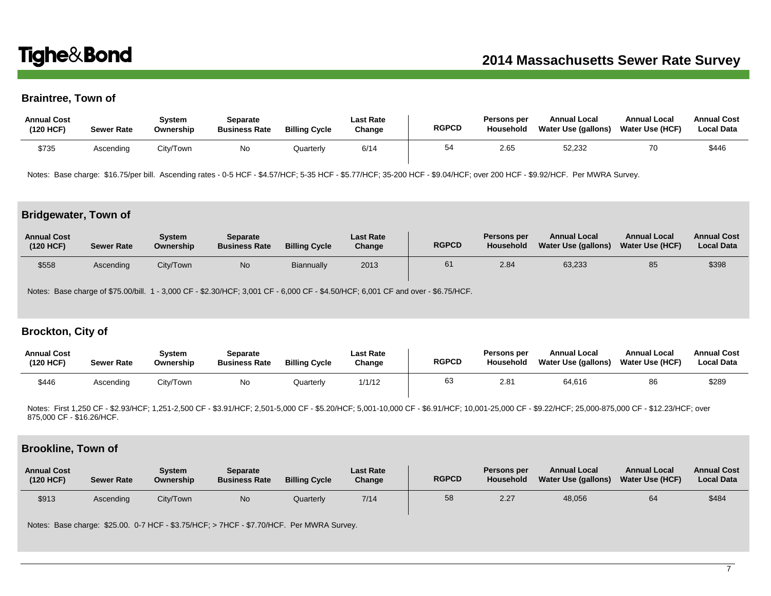#### **Braintree, Town of**

| <b>Annual Cost</b><br>(120 HCF) | <b>Sewer Rate</b> | Svstem<br>Ownership | Separate<br><b>Business Rate</b> | <b>Billing Cycle</b> | <b>Last Rate</b><br>Change | <b>RGPCD</b> | Persons per<br>Household | <b>Annual Local</b><br>Water Use (gallons) | <b>Annual Local</b><br><b>Water Use (HCF)</b> | <b>Annual Cost</b><br><b>Local Data</b> |
|---------------------------------|-------------------|---------------------|----------------------------------|----------------------|----------------------------|--------------|--------------------------|--------------------------------------------|-----------------------------------------------|-----------------------------------------|
| \$735                           | Ascending         | City/Town           | No                               | Quarteriv            | 6/14                       | 54           | 2.65                     | 52,232                                     | 70                                            | \$446                                   |

Notes: Base charge: \$16.75/per bill. Ascending rates - 0-5 HCF - \$4.57/HCF; 5-35 HCF - \$5.77/HCF; 35-200 HCF - \$9.04/HCF; over 200 HCF - \$9.92/HCF. Per MWRA Survey.

#### **Bridgewater, Town of**

| <b>Annual Cost</b><br>(120 HCF) | <b>Sewer Rate</b> | <b>System</b><br>Ownership | Separate<br><b>Business Rate</b> | <b>Billing Cycle</b> | <b>Last Rate</b><br>Change | <b>RGPCD</b> | Persons per<br>Household | <b>Annual Local</b><br>Water Use (gallons) | <b>Annual Local</b><br><b>Water Use (HCF)</b> | <b>Annual Cost</b><br><b>Local Data</b> |
|---------------------------------|-------------------|----------------------------|----------------------------------|----------------------|----------------------------|--------------|--------------------------|--------------------------------------------|-----------------------------------------------|-----------------------------------------|
| \$558                           | Ascendina         | City/Town                  | No.                              | <b>Biannually</b>    | 2013                       | 61           | 2.84                     | 63,233                                     | 85                                            | \$398                                   |

Notes: Base charge of \$75.00/bill. 1 - 3,000 CF - \$2.30/HCF; 3,001 CF - 6,000 CF - \$4.50/HCF; 6,001 CF and over - \$6.75/HCF.

#### **Brockton, City of**

| <b>Annual Cost</b><br>(120 HCF) | <b>Sewer Rate</b> | Svstem<br>Ownership | Separate<br><b>Business Rate</b> | <b>Billing Cycle</b> | <b>Last Rate</b><br>Change | <b>RGPCD</b> | Persons per<br>Household | <b>Annual Local</b><br>Water Use (gallons) | <b>Annual Local</b><br><b>Water Use (HCF)</b> | <b>Annual Cost</b><br><b>Local Data</b> |
|---------------------------------|-------------------|---------------------|----------------------------------|----------------------|----------------------------|--------------|--------------------------|--------------------------------------------|-----------------------------------------------|-----------------------------------------|
| \$446                           | Ascendina         | City/Town           | No                               | Quarterlv            | 1/1/12                     | 63           | 2.81                     | 64.616                                     | 86                                            | \$289                                   |

Notes: First 1,250 CF - \$2.93/HCF; 1,251-2,500 CF - \$3.91/HCF; 2,501-5,000 CF - \$5.20/HCF; 5,001-10,000 CF - \$6.91/HCF; 10,001-25,000 CF - \$9.22/HCF; 25,000-875,000 CF - \$12.23/HCF; over 875,000 CF - \$16.26/HCF.

#### **Brookline, Town of**

| <b>Annual Cost</b><br>(120 HCF) | <b>Sewer Rate</b> | Svstem<br>Ownership | Separate<br><b>Business Rate</b> | <b>Billing Cycle</b> | <b>Last Rate</b><br>Change | <b>RGPCD</b> | Persons per<br>Household | <b>Annual Local</b><br>Water Use (gallons) | <b>Annual Local</b><br>Water Use (HCF) | <b>Annual Cost</b><br><b>Local Data</b> |
|---------------------------------|-------------------|---------------------|----------------------------------|----------------------|----------------------------|--------------|--------------------------|--------------------------------------------|----------------------------------------|-----------------------------------------|
| \$913                           | Ascending         | City/Town           | <b>No</b>                        | Quarterly            | 7/14                       | 58           | 2.27                     | 48,056                                     | 64                                     | \$484                                   |

Notes: Base charge: \$25.00. 0-7 HCF - \$3.75/HCF; > 7HCF - \$7.70/HCF. Per MWRA Survey.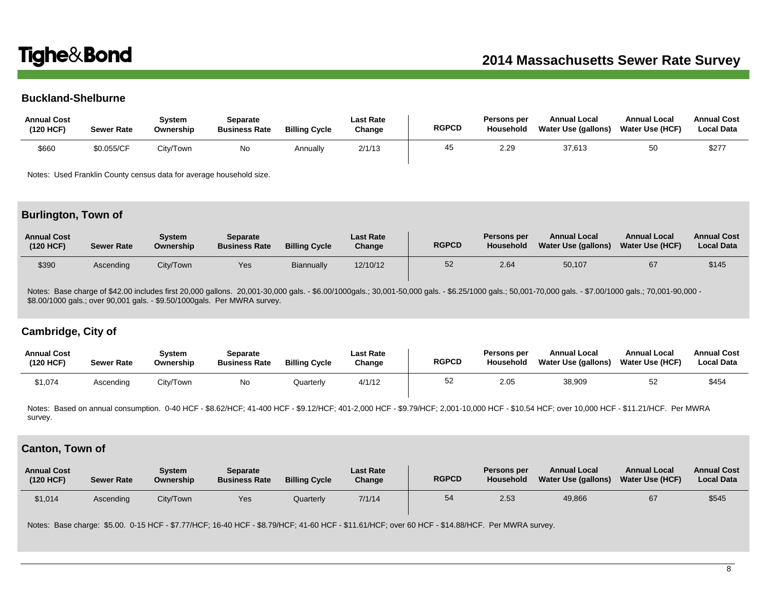## **Buckland-Shelburne**

| <b>Annual Cost</b><br>(120 HCF) | <b>Sewer Rate</b> | Svstem<br>Ownership | Separate<br><b>Business Rate</b> | <b>Billing Cycle</b> | Last Rate<br>Change | <b>RGPCD</b> | <b>Persons per</b><br>Househola | <b>Annual Local</b><br>Water Use (gallons) | <b>Annual Local</b><br><b>Water Use (HCF)</b> | <b>Annual Cost</b><br><b>Local Data</b> |
|---------------------------------|-------------------|---------------------|----------------------------------|----------------------|---------------------|--------------|---------------------------------|--------------------------------------------|-----------------------------------------------|-----------------------------------------|
| \$660                           | \$0.055/CF        | City/Town           | No                               | Annually             | 2/1/13              | 45           | 2.29                            | 37,613                                     |                                               | \$277                                   |

Notes: Used Franklin County census data for average household size.

#### **Burlington, Town of**

| <b>Annual Cost</b><br>(120 HCF) | <b>Sewer Rate</b> | System<br>Ownership | Separate<br><b>Business Rate</b> | <b>Billing Cycle</b> | <b>Last Rate</b><br>Change | <b>RGPCD</b> | Persons per<br>Household | <b>Annual Local</b><br>Water Use (gallons) | <b>Annual Local</b><br>Water Use (HCF) | <b>Annual Cost</b><br><b>Local Data</b> |
|---------------------------------|-------------------|---------------------|----------------------------------|----------------------|----------------------------|--------------|--------------------------|--------------------------------------------|----------------------------------------|-----------------------------------------|
| \$390                           | Ascending         | City/Town           | <b>Yes</b>                       | <b>Biannually</b>    | 12/10/12                   | 52           | 2.64                     | 50,107                                     |                                        | \$145                                   |

Notes: Base charge of \$42.00 includes first 20,000 gallons. 20,001-30,000 gals. - \$6.00/1000gals.; 30,001-50,000 gals. - \$6.25/1000 gals.; 50,001-70,000 gals. - \$7.00/1000 gals.; 70,001-90,000 - 90,000 \$8.00/1000 gals.; over 90,001 gals. - \$9.50/1000gals. Per MWRA survey.

#### **Cambridge, City of**

| <b>Annual Cost</b><br>(120 HCF) | <b>Sewer Rate</b> | Svstem<br>Ownership | Separate<br><b>Business Rate</b> | <b>Billing Cycle</b> | <b>Last Rate</b><br>Change | <b>RGPCD</b> | Persons per<br>Household | <b>Annual Local</b><br>Water Use (gallons) | <b>Annual Local</b><br><b>Water Use (HCF)</b> | <b>Annual Cost</b><br><b>Local Data</b> |
|---------------------------------|-------------------|---------------------|----------------------------------|----------------------|----------------------------|--------------|--------------------------|--------------------------------------------|-----------------------------------------------|-----------------------------------------|
| \$1,074                         | Ascending         | City/Town           | No                               | Quarterly            | 4/1/12                     | 52           | 2.05                     | 38,909                                     | 52                                            | \$454                                   |

Notes: Based on annual consumption. 0-40 HCF - \$8.62/HCF; 41-400 HCF - \$9.12/HCF; 401-2,000 HCF - \$9.79/HCF; 2,001-10,000 HCF - \$10.54 HCF; over 10,000 HCF - \$11.21/HCF. Per MWRA survey.

#### **Canton, Town of**

| <b>Annual Cost</b><br>(120 HCF) | <b>Sewer Rate</b> | <b>System</b><br>Ownership | Separate<br><b>Business Rate</b> | <b>Billing Cycle</b> | <b>Last Rate</b><br>Change | <b>RGPCD</b> | Persons per<br>Household | <b>Annual Local</b><br><b>Water Use (gallons)</b> | <b>Annual Local</b><br><b>Water Use (HCF)</b> | <b>Annual Cost</b><br><b>Local Data</b> |
|---------------------------------|-------------------|----------------------------|----------------------------------|----------------------|----------------------------|--------------|--------------------------|---------------------------------------------------|-----------------------------------------------|-----------------------------------------|
| \$1,014                         | Ascending         | City/Town                  | Yes                              | Quarterly            | 7/1/14                     | 54           | 2.53                     | 49,866                                            | 67                                            | \$545                                   |

Notes: Base charge: \$5.00. 0-15 HCF - \$7.77/HCF; 16-40 HCF - \$8.79/HCF; 41-60 HCF - \$11.61/HCF; over 60 HCF - \$14.88/HCF. Per MWRA survey.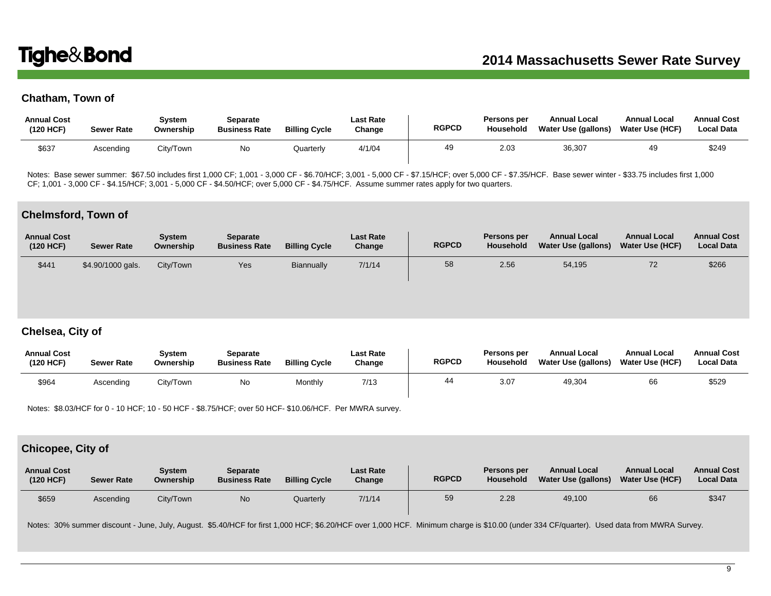### **Chatham, Town of**

| <b>Annual Cost</b><br>(120 HCF) | <b>Sewer Rate</b> | System<br>Ownership | Separate<br><b>Business Rate</b> | <b>Billing Cycle</b> | <b>Last Rate</b><br>Change | <b>RGPCD</b> | <b>Persons per</b><br>Household | <b>Annual Local</b><br>Water Use (gallons) | <b>Annual Local</b><br><b>Water Use (HCF)</b> | <b>Annual Cost</b><br><b>Local Data</b> |
|---------------------------------|-------------------|---------------------|----------------------------------|----------------------|----------------------------|--------------|---------------------------------|--------------------------------------------|-----------------------------------------------|-----------------------------------------|
| \$637                           | Ascendina         | City/Town           | No                               | Quarterly            | 4/1/04                     | 49           | 2.03                            | 36,307                                     | 49                                            | \$249                                   |

Notes: Base sewer summer: \$67.50 includes first 1,000 CF; 1,001 - 3,000 CF - \$6.70/HCF; 3,001 - 5,000 CF - \$7.15/HCF; over 5,000 CF - \$7.35/HCF. Base sewer winter - \$33.75 includes first 1,000 CF; 1,001 - 3,000 CF - \$4.15/HCF; 3,001 - 5,000 CF - \$4.50/HCF; over 5,000 CF - \$4.75/HCF. Assume summer rates apply for two quarters.

#### **Chelmsford, Town of**

| <b>Annual Cost</b><br>(120 HCF) | <b>Sewer Rate</b> | System<br>Ownership | <b>Separate</b><br><b>Business Rate</b> | <b>Billing Cycle</b> | <b>Last Rate</b><br>Change | <b>RGPCD</b> | Persons per<br><b>Household</b> | <b>Annual Local</b><br>Water Use (gallons) | <b>Annual Local</b><br>Water Use (HCF) | <b>Annual Cost</b><br><b>Local Data</b> |
|---------------------------------|-------------------|---------------------|-----------------------------------------|----------------------|----------------------------|--------------|---------------------------------|--------------------------------------------|----------------------------------------|-----------------------------------------|
| \$441                           | \$4.90/1000 gals. | City/Town           | Yes                                     | Biannually           | 7/1/14                     | 58           | 2.56                            | 54,195                                     |                                        | \$266                                   |

#### **Chelsea, City of**

| <b>Annual Cost</b><br>(120 HCF) | <b>Sewer Rate</b> | Svstem<br>Ownership | Separate<br><b>Business Rate</b> | <b>Billing Cycle</b> | <b>Last Rate</b><br>Change | <b>RGPCD</b> | Persons per<br>Household | <b>Annual Local</b><br>Water Use (gallons) | <b>Annual Local</b><br><b>Water Use (HCF)</b> | <b>Annual Cost</b><br><b>Local Data</b> |
|---------------------------------|-------------------|---------------------|----------------------------------|----------------------|----------------------------|--------------|--------------------------|--------------------------------------------|-----------------------------------------------|-----------------------------------------|
| \$964                           | Ascendina         | Citv/Town           | No                               | Monthly              | 7/13                       | 44           | 3.07                     | 49.304                                     | 66                                            | \$529                                   |

Notes: \$8.03/HCF for 0 - 10 HCF; 10 - 50 HCF - \$8.75/HCF; over 50 HCF- \$10.06/HCF. Per MWRA survey.

#### **Chicopee, City of**

| <b>Annual Cost</b><br>(120 HCF) | <b>Sewer Rate</b> | <b>System</b><br>Ownership | Separate<br><b>Business Rate</b> | <b>Billing Cycle</b> | <b>Last Rate</b><br>Change | <b>RGPCD</b> | Persons per<br>Household | <b>Annual Local</b><br>Water Use (gallons) | <b>Annual Local</b><br>Water Use (HCF) | <b>Annual Cost</b><br><b>Local Data</b> |
|---------------------------------|-------------------|----------------------------|----------------------------------|----------------------|----------------------------|--------------|--------------------------|--------------------------------------------|----------------------------------------|-----------------------------------------|
| \$659                           | Ascending         | City/Town                  | <b>No</b>                        | Quarterly            | 7/1/14                     | 59           | 2.28                     | 49,100                                     | 66                                     | \$347                                   |

Notes: 30% summer discount - June, July, August. \$5.40/HCF for first 1,000 HCF; \$6.20/HCF over 1,000 HCF. Minimum charge is \$10.00 (under 334 CF/quarter). Used data from MWRA Survey.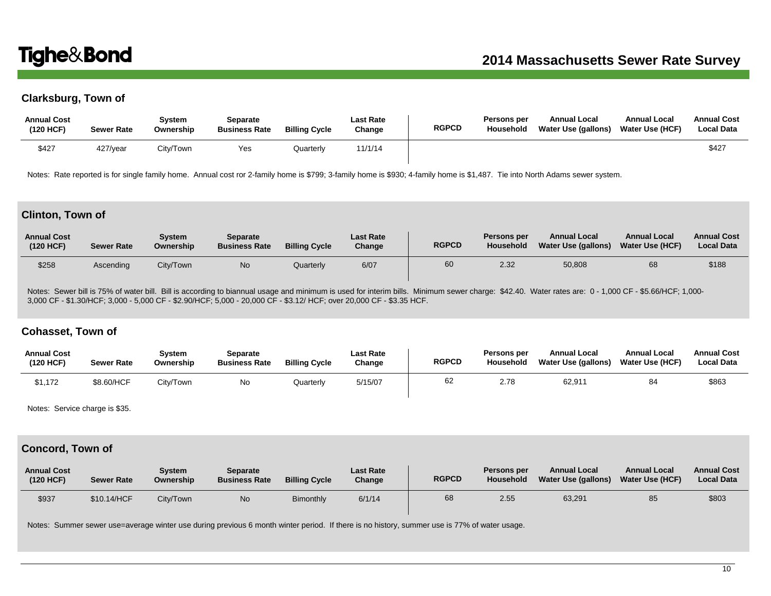### **Clarksburg, Town of**

| <b>Annual Cost</b><br>(120 HCF) | <b>Sewer Rate</b> | Svstem<br>Ownership | Separate<br><b>Business Rate</b> | <b>Billing Cycle</b> | Last Rate<br>Change | <b>RGPCD</b> | Persons per<br><b>Household</b> | <b>Annual Local</b><br>Water Use (gallons) | <b>Annual Local</b><br><b>Water Use (HCF)</b> | <b>Annual Cost</b><br><b>Local Data</b> |
|---------------------------------|-------------------|---------------------|----------------------------------|----------------------|---------------------|--------------|---------------------------------|--------------------------------------------|-----------------------------------------------|-----------------------------------------|
| \$427                           | 427/year          | City/Town           | Yes                              | Quarterly            | 11/1/14             |              |                                 |                                            |                                               | \$427                                   |

Notes: Rate reported is for single family home. Annual cost ror 2-family home is \$799; 3-family home is \$930; 4-family home is \$1,487. Tie into North Adams sewer system.

#### **Clinton, Town of**

| <b>Annual Cost</b><br>(120 HCF) | <b>Sewer Rate</b> | Svstem<br>Ownership | Separate<br><b>Business Rate</b> | <b>Billing Cycle</b> | <b>Last Rate</b><br>Change | <b>RGPCD</b> | Persons per<br>Household | <b>Annual Local</b><br>Water Use (gallons) | <b>Annual Local</b><br>Water Use (HCF) | <b>Annual Cost</b><br><b>Local Data</b> |
|---------------------------------|-------------------|---------------------|----------------------------------|----------------------|----------------------------|--------------|--------------------------|--------------------------------------------|----------------------------------------|-----------------------------------------|
| \$258                           | Ascending         | City/Town           | <b>No</b>                        | Quarterly            | 6/07                       | 60           | 2.32                     | 50,808                                     | 68                                     | \$188                                   |

Notes: Sewer bill is 75% of water bill. Bill is according to biannual usage and minimum is used for interim bills. Minimum sewer charge: \$42.40. Water rates are: 0 - 1,000 CF - \$5.66/HCF; 1,000-3,000 CF - \$1.30/HCF; 3,000 - 5,000 CF - \$2.90/HCF; 5,000 - 20,000 CF - \$3.12/ HCF; over 20,000 CF - \$3.35 HCF.

#### **Cohasset, Town of**

| <b>Annual Cost</b><br>(120 HCF) | <b>Sewer Rate</b> | System<br>Ownership | Separate<br><b>Business Rate</b> | <b>Billing Cycle</b> | Last Rate<br>Change | <b>RGPCD</b> | Persons per<br><b>Household</b> | <b>Annual Local</b><br>Water Use (gallons) | <b>Annual Local</b><br><b>Water Use (HCF)</b> | <b>Annual Cost</b><br><b>Local Data</b> |
|---------------------------------|-------------------|---------------------|----------------------------------|----------------------|---------------------|--------------|---------------------------------|--------------------------------------------|-----------------------------------------------|-----------------------------------------|
| \$1.172                         | \$8.60/HCF        | City/Town           | N0                               | Quarterly            | 5/15/07             | 62           | 2.78                            | 62,911                                     | 84                                            | \$863                                   |

Notes: Service charge is \$35.

#### **Concord, Town of**

| <b>Annual Cost</b><br>(120 HCF) | <b>Sewer Rate</b> | Svstem<br>Ownership | Separate<br><b>Business Rate</b> | <b>Billing Cycle</b> | <b>Last Rate</b><br>Change | <b>RGPCD</b> | Persons per<br>Household | <b>Annual Local</b><br><b>Water Use (gallons)</b> | <b>Annual Local</b><br><b>Water Use (HCF)</b> | <b>Annual Cost</b><br><b>Local Data</b> |
|---------------------------------|-------------------|---------------------|----------------------------------|----------------------|----------------------------|--------------|--------------------------|---------------------------------------------------|-----------------------------------------------|-----------------------------------------|
| \$937                           | \$10.14/HCF       | City/Town           | <b>No</b>                        | Bimonthly            | 6/1/14                     | 68           | 2.55                     | 63,291                                            | 85                                            | \$803                                   |

Notes: Summer sewer use=average winter use during previous 6 month winter period. If there is no history, summer use is 77% of water usage.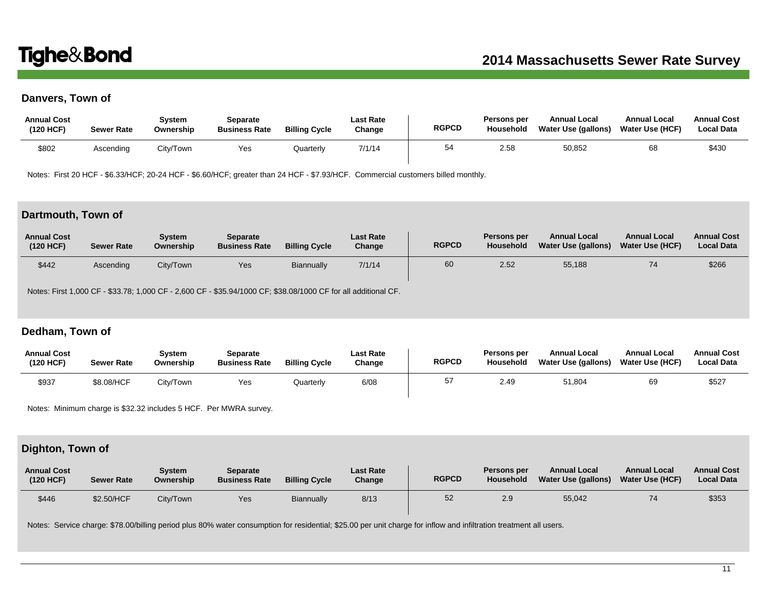## **Danvers, Town of**

| <b>Annual Cost</b><br>(120 HCF) | Sewer Rate | Svstem<br>Ownership | Separate<br><b>Business Rate</b> | <b>Billing Cycle</b> | Last Rate<br>Change | <b>RGPCD</b> | <b>Persons per</b><br>Household | <b>Annual Local</b><br>Water Use (gallons) | <b>Annual Local</b><br>Water Use (HCF) | <b>Annual Cost</b><br><b>Local Data</b> |
|---------------------------------|------------|---------------------|----------------------------------|----------------------|---------------------|--------------|---------------------------------|--------------------------------------------|----------------------------------------|-----------------------------------------|
| \$802                           | Ascending  | City/Town           | Yes                              | Quarterly            | 7/1/14              | 54           | 2.58                            | 50,852                                     | 68                                     | \$430                                   |

Notes: First 20 HCF - \$6.33/HCF; 20-24 HCF - \$6.60/HCF; greater than 24 HCF - \$7.93/HCF. Commercial customers billed monthly.

#### **Dartmouth, Town of**

| <b>Annual Cost</b><br>(120 HCF) | <b>Sewer Rate</b> | Svstem<br>Ownership | <b>Separate</b><br><b>Business Rate</b> | <b>Billing Cycle</b> | <b>Last Rate</b><br>Change | <b>RGPCD</b> | Persons per<br>Household | <b>Annual Local</b><br><b>Water Use (gallons)</b> | <b>Annual Local</b><br><b>Water Use (HCF)</b> | <b>Annual Cost</b><br><b>Local Data</b> |
|---------------------------------|-------------------|---------------------|-----------------------------------------|----------------------|----------------------------|--------------|--------------------------|---------------------------------------------------|-----------------------------------------------|-----------------------------------------|
| \$442                           | Ascending         | City/Town           | Yes                                     | Biannually           | 7/1/14                     | 60           | 2.52                     | 55,188                                            |                                               | \$266                                   |

Notes: First 1,000 CF - \$33.78; 1,000 CF - 2,600 CF - \$35.94/1000 CF; \$38.08/1000 CF for all additional CF.

### **Dedham, Town of**

| <b>Annual Cost</b><br>(120 HCF) | <b>Sewer Rate</b> | System<br>Ownership | Separate<br><b>Business Rate</b> | <b>Billing Cycle</b> | Last Rate<br>Change | <b>RGPCD</b> | Persons per<br>Household | <b>Annual Local</b><br>Water Use (gallons) | <b>Annual Local</b><br><b>Water Use (HCF)</b> | <b>Annual Cost</b><br><b>Local Data</b> |
|---------------------------------|-------------------|---------------------|----------------------------------|----------------------|---------------------|--------------|--------------------------|--------------------------------------------|-----------------------------------------------|-----------------------------------------|
| \$937                           | \$8.08/HCF        | City/Town           | Yes                              | Quarterly            | 6/08                | 57           | 2.49                     | 51,804                                     | 69                                            | \$527                                   |

Notes: Minimum charge is \$32.32 includes 5 HCF. Per MWRA survey.

### **Dighton, Town of**

| <b>Annual Cost</b><br>(120 HCF) | <b>Sewer Rate</b> | Svstem<br>Ownership | Separate<br><b>Business Rate</b> | <b>Billing Cycle</b> | <b>Last Rate</b><br>Change | <b>RGPCD</b> | Persons per<br>Household | <b>Annual Local</b><br><b>Water Use (gallons)</b> | <b>Annual Local</b><br><b>Water Use (HCF)</b> | <b>Annual Cost</b><br><b>Local Data</b> |
|---------------------------------|-------------------|---------------------|----------------------------------|----------------------|----------------------------|--------------|--------------------------|---------------------------------------------------|-----------------------------------------------|-----------------------------------------|
| \$446                           | \$2.50/HCF        | City/Town           | Yes                              | Biannually           | 8/13                       | 52           | 2.9                      | 55,042                                            | 74                                            | \$353                                   |

Notes: Service charge: \$78.00/billing period plus 80% water consumption for residential; \$25.00 per unit charge for inflow and infiltration treatment all users.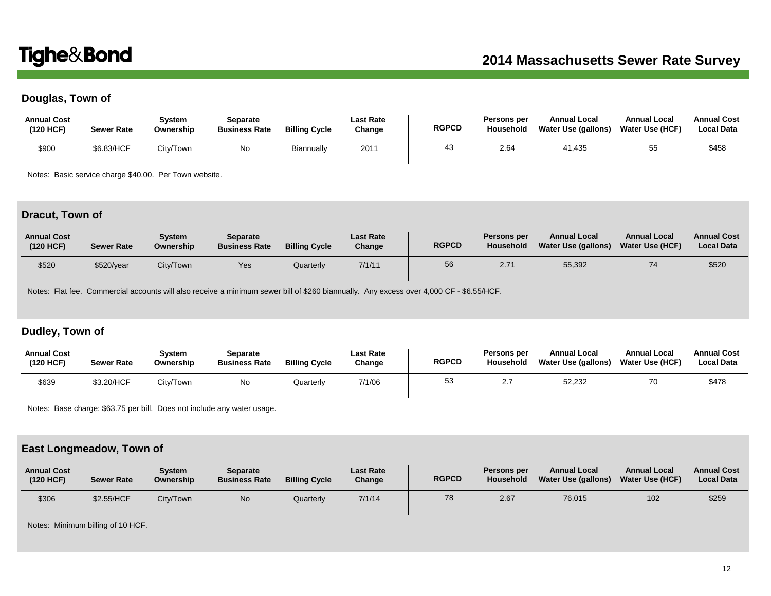# **Douglas, Town of**

| <b>Annual Cost</b><br>(120 HCF) | <b>Sewer Rate</b> | Svstem<br>Ownership | Separate<br><b>Business Rate</b> | <b>Billing Cycle</b> | Last Rate<br>Change | <b>RGPCD</b> | Persons per<br>Household | <b>Annual Local</b><br>Water Use (gallons) | <b>Annual Local</b><br><b>Water Use (HCF)</b> | <b>Annual Cost</b><br><b>Local Data</b> |
|---------------------------------|-------------------|---------------------|----------------------------------|----------------------|---------------------|--------------|--------------------------|--------------------------------------------|-----------------------------------------------|-----------------------------------------|
| \$900                           | \$6.83/HCF        | City/Town           | No                               | Biannually           | 2011                | 43           | 2.64                     | 41.435                                     | へん                                            | \$458                                   |

Notes: Basic service charge \$40.00. Per Town website.

### **Dracut, Town of**

| <b>Annual Cost</b><br>(120 HCF) | <b>Sewer Rate</b> | System<br>Ownership | Separate<br><b>Business Rate</b> | <b>Billing Cycle</b> | <b>Last Rate</b><br>Change | <b>RGPCD</b> | Persons per<br>Household | <b>Annual Local</b><br>Water Use (gallons) | <b>Annual Local</b><br>Water Use (HCF) | <b>Annual Cost</b><br><b>Local Data</b> |
|---------------------------------|-------------------|---------------------|----------------------------------|----------------------|----------------------------|--------------|--------------------------|--------------------------------------------|----------------------------------------|-----------------------------------------|
| \$520                           | \$520/year        | City/Town           | Yes                              | Quarterly            | 7/1/11                     | 56           | 2.71                     | 55,392                                     |                                        | \$520                                   |

Notes: Flat fee. Commercial accounts will also receive a minimum sewer bill of \$260 biannually. Any excess over 4,000 CF - \$6.55/HCF.

### **Dudley, Town of**

| <b>Annual Cost</b><br>(120 HCF) | <b>Sewer Rate</b> | Svstem<br>Ownership | Separate<br><b>Business Rate</b> | <b>Billing Cycle</b> | <b>Last Rate</b><br>Change | <b>RGPCD</b> | Persons per<br>Household | <b>Annual Local</b><br>Water Use (gallons) | <b>Annual Local</b><br><b>Water Use (HCF)</b> | <b>Annual Cost</b><br><b>Local Data</b> |
|---------------------------------|-------------------|---------------------|----------------------------------|----------------------|----------------------------|--------------|--------------------------|--------------------------------------------|-----------------------------------------------|-----------------------------------------|
| \$639                           | \$3.20/HCF        | City/Town           | No                               | Quarterly            | 7/1/06                     | 53           | ົ<br>۷.۱                 | 52,232                                     | 70                                            | \$478                                   |

Notes: Base charge: \$63.75 per bill. Does not include any water usage.

#### **East Longmeadow, Town of**

| <b>Annual Cost</b><br>(120 HCF) | <b>Sewer Rate</b> | System<br>Ownership | Separate<br><b>Business Rate</b> | <b>Billing Cycle</b> | <b>Last Rate</b><br>Change | <b>RGPCD</b> | Persons per<br>Household | <b>Annual Local</b><br>Water Use (gallons) | <b>Annual Local</b><br><b>Water Use (HCF)</b> | <b>Annual Cost</b><br><b>Local Data</b> |
|---------------------------------|-------------------|---------------------|----------------------------------|----------------------|----------------------------|--------------|--------------------------|--------------------------------------------|-----------------------------------------------|-----------------------------------------|
| \$306                           | \$2.55/HCF        | City/Town           | <b>No</b>                        | Quarterly            | 7/1/14                     | 78           | 2.67                     | 76,015                                     | 102                                           | \$259                                   |

Notes: Minimum billing of 10 HCF.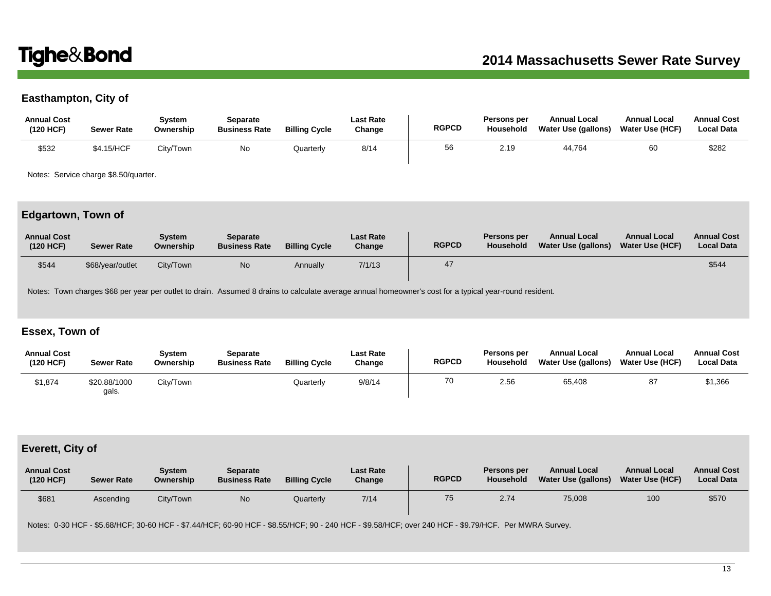# **Easthampton, City of**

| <b>Annual Cost</b><br>(120 HCF) | <b>Sewer Rate</b> | Svstem<br>Ownership | Separate<br><b>Business Rate</b> | <b>Billing Cycle</b> | Last Rate<br>Change | <b>RGPCD</b> | <b>Persons per</b><br><b>Household</b> | <b>Annual Local</b><br>Water Use (gallons) | <b>Annual Local</b><br><b>Water Use (HCF)</b> | <b>Annual Cost</b><br><b>Local Data</b> |
|---------------------------------|-------------------|---------------------|----------------------------------|----------------------|---------------------|--------------|----------------------------------------|--------------------------------------------|-----------------------------------------------|-----------------------------------------|
| \$532                           | \$4.15/HCF        | Citv/Town           | No                               | Quarterly            | 8/14                | 56           | 2.19                                   | 44.764                                     | 60                                            | \$282                                   |

Notes: Service charge \$8.50/quarter.

### **Edgartown, Town of**

| <b>Annual Cost</b><br>(120 HCF) | <b>Sewer Rate</b> | Svstem<br>Ownership | <b>Separate</b><br><b>Business Rate</b> | <b>Billing Cycle</b> | <b>Last Rate</b><br>Change | <b>RGPCD</b> | Persons per<br>Household | <b>Annual Local</b><br>Water Use (gallons) | <b>Annual Local</b><br><b>Water Use (HCF)</b> | <b>Annual Cost</b><br><b>Local Data</b> |
|---------------------------------|-------------------|---------------------|-----------------------------------------|----------------------|----------------------------|--------------|--------------------------|--------------------------------------------|-----------------------------------------------|-----------------------------------------|
| \$544                           | \$68/year/outlet  | City/Town           | No                                      | Annually             | 7/1/13                     |              |                          |                                            |                                               | \$544                                   |

Notes: Town charges \$68 per year per outlet to drain. Assumed 8 drains to calculate average annual homeowner's cost for a typical year-round resident.

#### **Essex, Town of**

| <b>Annual Cost</b><br>(120 HCF) | <b>Sewer Rate</b>     | System<br>Ownership | Separate<br><b>Business Rate</b> | <b>Billing Cycle</b> | Last Rate<br>Change | <b>RGPCD</b> | Persons per<br>Household | <b>Annual Local</b><br>Water Use (gallons) | <b>Annual Local</b><br><b>Water Use (HCF)</b> | <b>Annual Cost</b><br><b>Local Data</b> |
|---------------------------------|-----------------------|---------------------|----------------------------------|----------------------|---------------------|--------------|--------------------------|--------------------------------------------|-----------------------------------------------|-----------------------------------------|
| \$1,874                         | \$20.88/1000<br>gals. | City/Town           |                                  | Quarterly            | 9/8/14              | 70           | 2.56                     | 65,408                                     | 87                                            | \$1,366                                 |

### **Everett, City of**

| <b>Annual Cost</b><br>(120 HCF) | <b>Sewer Rate</b> | Svstem<br>Ownership | <b>Separate</b><br><b>Business Rate</b> | <b>Billing Cycle</b> | <b>Last Rate</b><br>Change | <b>RGPCD</b> | Persons per<br>Household | <b>Annual Local</b><br>Water Use (gallons) | <b>Annual Local</b><br>Water Use (HCF) | <b>Annual Cost</b><br><b>Local Data</b> |
|---------------------------------|-------------------|---------------------|-----------------------------------------|----------------------|----------------------------|--------------|--------------------------|--------------------------------------------|----------------------------------------|-----------------------------------------|
| \$681                           | Ascending         | City/Town           | N <sub>o</sub>                          | Quarterly            | 7/14                       | 75           | 2.74                     | 75,008                                     | 100                                    | \$570                                   |

Notes: 0-30 HCF - \$5.68/HCF; 30-60 HCF - \$7.44/HCF; 60-90 HCF - \$8.55/HCF; 90 - 240 HCF - \$9.58/HCF; over 240 HCF - \$9.79/HCF. Per MWRA Survey.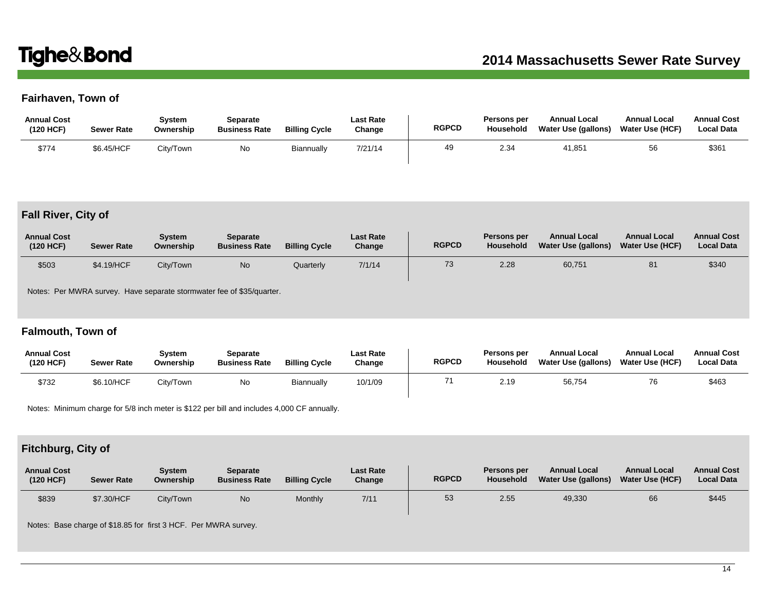# **Fairhaven, Town of**

| <b>Annual Cost</b><br>(120 HCF) | <b>Sewer Rate</b> | Svstem<br>Ownership | Separate<br><b>Business Rate</b> | <b>Billing Cycle</b> | Last Rate<br>Change | <b>RGPCD</b> | Persons per<br>Household | <b>Annual Local</b><br>Water Use (gallons) | <b>Annual Local</b><br><b>Water Use (HCF)</b> | <b>Annual Cost</b><br><b>Local Data</b> |
|---------------------------------|-------------------|---------------------|----------------------------------|----------------------|---------------------|--------------|--------------------------|--------------------------------------------|-----------------------------------------------|-----------------------------------------|
| \$774                           | \$6.45/HCF        | City/Town           | No                               | Biannually           | 7/21/14             | 49           | 2.34                     | 41.851                                     | 56                                            | \$361                                   |

### **Fall River, City of**

| <b>Annual Cost</b><br>(120 HCF) | <b>Sewer Rate</b> | Svstem<br>Ownership | <b>Separate</b><br><b>Business Rate</b> | <b>Billing Cycle</b> | <b>Last Rate</b><br>Change | <b>RGPCD</b> | Persons per<br>Household | <b>Annual Local</b><br>Water Use (gallons) | <b>Annual Local</b><br><b>Water Use (HCF)</b> | <b>Annual Cost</b><br><b>Local Data</b> |
|---------------------------------|-------------------|---------------------|-----------------------------------------|----------------------|----------------------------|--------------|--------------------------|--------------------------------------------|-----------------------------------------------|-----------------------------------------|
| \$503                           | \$4.19/HCF        | City/Town           | <b>No</b>                               | Quarterly            | 7/1/14                     | 73           | 2.28                     | 60,751                                     | 81                                            | \$340                                   |

Notes: Per MWRA survey. Have separate stormwater fee of \$35/quarter.

### **Falmouth, Town of**

| <b>Annual Cost</b><br>(120 HCF) | <b>Sewer Rate</b> | Svstem<br>Ownership | Separate<br><b>Business Rate</b> | <b>Billing Cycle</b> | <b>Last Rate</b><br>Change | <b>RGPCD</b> | Persons per<br>Household | <b>Annual Local</b><br>Water Use (gallons) | <b>Annual Local</b><br><b>Water Use (HCF)</b> | <b>Annual Cost</b><br><b>Local Data</b> |
|---------------------------------|-------------------|---------------------|----------------------------------|----------------------|----------------------------|--------------|--------------------------|--------------------------------------------|-----------------------------------------------|-----------------------------------------|
| \$732                           | \$6.10/HCF        | City/Town           | No                               | Biannually           | 10/1/09                    |              | 2.19                     | 56,754                                     | 76                                            | \$463                                   |

Notes: Minimum charge for 5/8 inch meter is \$122 per bill and includes 4,000 CF annually.

# **Fitchburg, City of**

| <b>Annual Cost</b><br>(120 HCF) | <b>Sewer Rate</b> | Svstem<br>Ownership | Separate<br><b>Business Rate</b> | <b>Billing Cycle</b> | <b>Last Rate</b><br>Change | <b>RGPCD</b> | Persons per<br>Household | <b>Annual Local</b><br>Water Use (gallons) | <b>Annual Local</b><br>Water Use (HCF) | <b>Annual Cost</b><br><b>Local Data</b> |
|---------------------------------|-------------------|---------------------|----------------------------------|----------------------|----------------------------|--------------|--------------------------|--------------------------------------------|----------------------------------------|-----------------------------------------|
| \$839                           | \$7.30/HCF        | City/Town           | <b>No</b>                        | Monthly              | 7/11                       | 53           | 2.55                     | 49,330                                     | 66                                     | \$445                                   |

Notes: Base charge of \$18.85 for first 3 HCF. Per MWRA survey.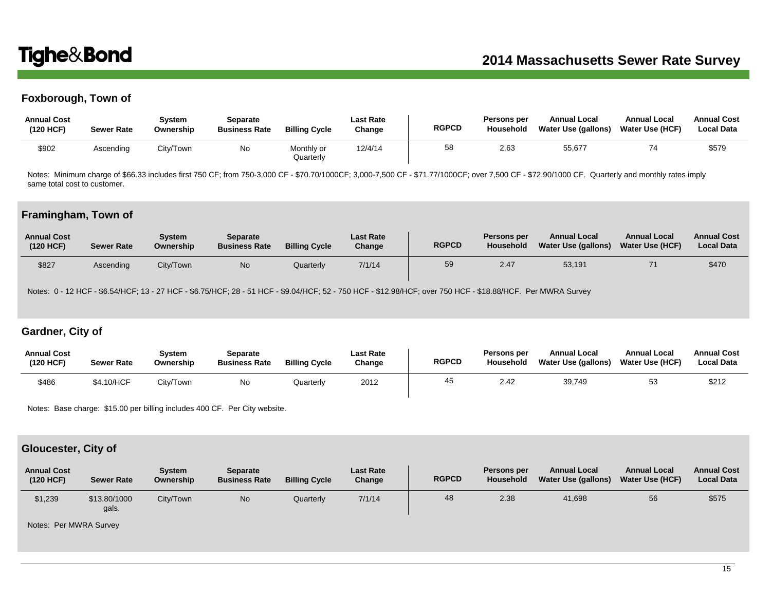## **Foxborough, Town of**

| <b>Annual Cost</b><br>(120 HCF) | <b>Sewer Rate</b> | سSystem<br>Ownership | Separate<br><b>Business Rate</b> | <b>Billing Cycle</b>    | <b>Last Rate</b><br>Change | <b>RGPCD</b> | <b>Persons per</b><br>Household | <b>Annual Local</b><br>Water Use (gallons) | <b>Annual Local</b><br>Water Use (HCF) | <b>Annual Cost</b><br><b>Local Data</b> |
|---------------------------------|-------------------|----------------------|----------------------------------|-------------------------|----------------------------|--------------|---------------------------------|--------------------------------------------|----------------------------------------|-----------------------------------------|
| \$902                           | Ascending         | City/Town            | No                               | Monthly or<br>Quarterly | 12/4/14                    | 58           | 2.63                            | 55,677                                     |                                        | \$579                                   |

Notes: Minimum charge of \$66.33 includes first 750 CF; from 750-3,000 CF - \$70.70/1000CF; 3,000-7,500 CF - \$71.77/1000CF; over 7,500 CF - \$72.90/1000 CF. Quarterly and monthly rates imply same total cost to customer.

#### **Framingham, Town of**

| <b>Annual Cost</b><br>(120 HCF) | <b>Sewer Rate</b> | <b>System</b><br>Ownership | Separate<br><b>Business Rate</b> | <b>Billing Cycle</b> | <b>Last Rate</b><br>Change | <b>RGPCD</b> | Persons per<br>Household | <b>Annual Local</b><br>Water Use (gallons) | <b>Annual Local</b><br><b>Water Use (HCF)</b> | <b>Annual Cost</b><br><b>Local Data</b> |
|---------------------------------|-------------------|----------------------------|----------------------------------|----------------------|----------------------------|--------------|--------------------------|--------------------------------------------|-----------------------------------------------|-----------------------------------------|
| \$827                           | Ascendina         | City/Town                  | No.                              | Quarterly            | 7/1/14                     | 59           | 2.47                     | 53,191                                     |                                               | \$470                                   |

Notes: 0 - 12 HCF - \$6.54/HCF; 13 - 27 HCF - \$6.75/HCF; 28 - 51 HCF - \$9.04/HCF; 52 - 750 HCF - \$12.98/HCF; over 750 HCF - \$18.88/HCF. Per MWRA Survey

### **Gardner, City of**

| <b>Annual Cost</b><br>(120 HCF) | <b>Sewer Rate</b> | Svstem<br>Ownership | Separate<br><b>Business Rate</b> | <b>Billing Cycle</b> | Last Rate<br>Change | <b>RGPCD</b> | Persons per<br>Household | <b>Annual Local</b><br>Water Use (gallons) | <b>Annual Local</b><br><b>Water Use (HCF)</b> | <b>Annual Cost</b><br><b>Local Data</b> |
|---------------------------------|-------------------|---------------------|----------------------------------|----------------------|---------------------|--------------|--------------------------|--------------------------------------------|-----------------------------------------------|-----------------------------------------|
| \$486                           | \$4.10/HCF        | City/Town           | Νo                               | Quarterly            | 2012                | 45           | 2.42                     | 39,749                                     | 53                                            | \$212                                   |

Notes: Base charge: \$15.00 per billing includes 400 CF. Per City website.

#### **Gloucester, City of**

| <b>Annual Cost</b><br>(120 HCF) | <b>Sewer Rate</b>     | System<br>Ownership | <b>Separate</b><br><b>Business Rate</b> | <b>Billing Cycle</b> | <b>Last Rate</b><br>Change | <b>RGPCD</b> | Persons per<br>Household | <b>Annual Local</b><br>Water Use (gallons) | <b>Annual Local</b><br><b>Water Use (HCF)</b> | <b>Annual Cost</b><br><b>Local Data</b> |
|---------------------------------|-----------------------|---------------------|-----------------------------------------|----------------------|----------------------------|--------------|--------------------------|--------------------------------------------|-----------------------------------------------|-----------------------------------------|
| \$1,239                         | \$13.80/1000<br>gals. | City/Town           | N <sub>o</sub>                          | Quarterly            | 7/1/14                     | 48           | 2.38                     | 41,698                                     | 56                                            | \$575                                   |

Notes: Per MWRA Survey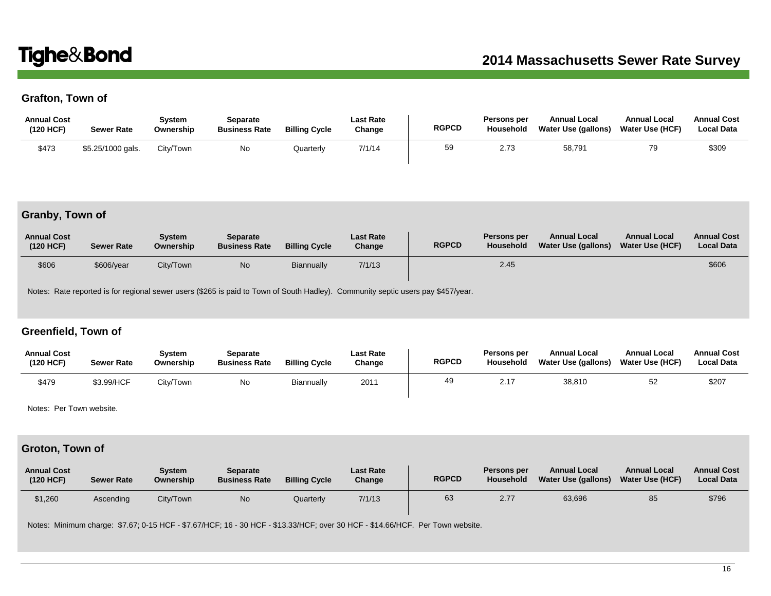## **Grafton, Town of**

| <b>Annual Cost</b><br>(120 HCF) | <b>Sewer Rate</b> | Svstem<br>Ownership | Separate<br><b>Business Rate</b> | <b>Billing Cycle</b> | Last Rate<br>Change | <b>RGPCD</b> | Persons per<br>Household | <b>Annual Local</b><br>Water Use (gallons) | <b>Annual Local</b><br><b>Water Use (HCF)</b> | <b>Annual Cost</b><br><b>Local Data</b> |
|---------------------------------|-------------------|---------------------|----------------------------------|----------------------|---------------------|--------------|--------------------------|--------------------------------------------|-----------------------------------------------|-----------------------------------------|
| \$473                           | \$5.25/1000 gals. | Citv/Town           | No                               | Quarterly            | 7/1/14              | 59           | 2.73                     | 58,791                                     | 79                                            | \$309                                   |

### **Granby, Town of**

| <b>Annual Cost</b><br>(120 HCF) | <b>Sewer Rate</b> | <b>System</b><br>Ownership | <b>Separate</b><br><b>Business Rate</b> | <b>Billing Cycle</b> | <b>Last Rate</b><br>Change | <b>RGPCD</b> | Persons per<br>Household | <b>Annual Local</b><br>Water Use (gallons) | <b>Annual Local</b><br><b>Water Use (HCF)</b> | <b>Annual Cost</b><br><b>Local Data</b> |
|---------------------------------|-------------------|----------------------------|-----------------------------------------|----------------------|----------------------------|--------------|--------------------------|--------------------------------------------|-----------------------------------------------|-----------------------------------------|
| \$606                           | \$606/year        | City/Town                  | <b>No</b>                               | Biannually           | 7/1/13                     |              | 2.45                     |                                            |                                               | \$606                                   |

Notes: Rate reported is for regional sewer users (\$265 is paid to Town of South Hadley). Community septic users pay \$457/year.

### **Greenfield, Town of**

| <b>Annual Cost</b><br>(120 HCF) | <b>Sewer Rate</b> | Svstem<br>Ownership | Separate<br><b>Business Rate</b> | <b>Billing Cycle</b> | <b>Last Rate</b><br>Change | <b>RGPCD</b> | Persons per<br>Household | <b>Annual Local</b><br>Water Use (gallons) | <b>Annual Local</b><br><b>Water Use (HCF)</b> | <b>Annual Cost</b><br><b>Local Data</b> |
|---------------------------------|-------------------|---------------------|----------------------------------|----------------------|----------------------------|--------------|--------------------------|--------------------------------------------|-----------------------------------------------|-----------------------------------------|
| \$479                           | \$3.99/HCF        | City/Town           | No                               | Biannually           | 201'                       | 49           | 2.17                     | 38,810                                     | 52                                            | \$207                                   |

Notes: Per Town website.

### **Groton, Town of**

| <b>Annual Cost</b><br>(120 HCF) | <b>Sewer Rate</b> | Svstem<br>Ownership | <b>Separate</b><br><b>Business Rate</b> | <b>Billing Cycle</b> | <b>Last Rate</b><br>Change | <b>RGPCD</b> | Persons per<br>Household | <b>Annual Local</b><br><b>Water Use (gallons)</b> | <b>Annual Local</b><br><b>Water Use (HCF)</b> | <b>Annual Cost</b><br><b>Local Data</b> |
|---------------------------------|-------------------|---------------------|-----------------------------------------|----------------------|----------------------------|--------------|--------------------------|---------------------------------------------------|-----------------------------------------------|-----------------------------------------|
| \$1,260                         | Ascending         | City/Town           | <b>No</b>                               | Quarterly            | 7/1/13                     | 63           | 2.77                     | 63,696                                            | 85                                            | \$796                                   |

Notes: Minimum charge: \$7.67; 0-15 HCF - \$7.67/HCF; 16 - 30 HCF - \$13.33/HCF; over 30 HCF - \$14.66/HCF. Per Town website.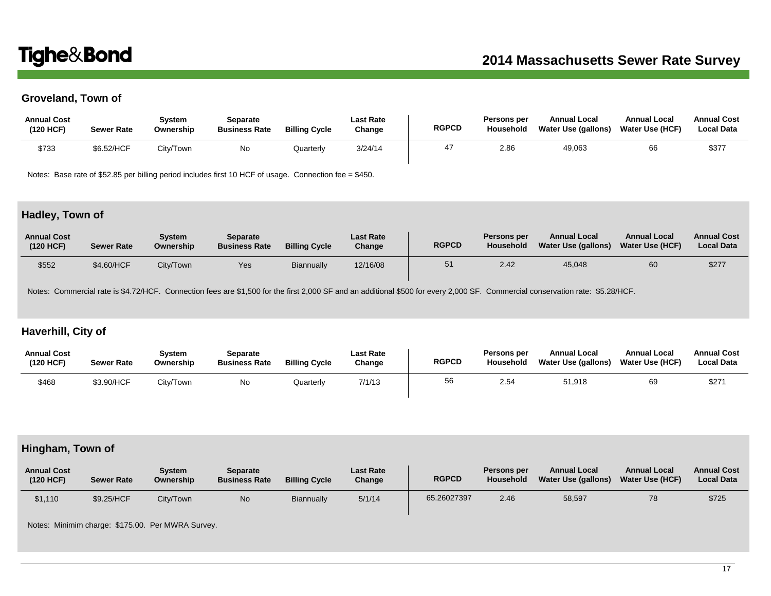## **Groveland, Town of**

| <b>Annual Cost</b><br>(120 HCF) | <b>Sewer Rate</b> | Svstem<br>Ownership | Separate<br><b>Business Rate</b> | <b>Billing Cycle</b> | Last Rate<br>Change | <b>RGPCD</b> | Persons per<br>Household | <b>Annual Local</b><br>Water Use (gallons) | <b>Annual Local</b><br><b>Water Use (HCF)</b> | <b>Annual Cost</b><br><b>Local Data</b> |
|---------------------------------|-------------------|---------------------|----------------------------------|----------------------|---------------------|--------------|--------------------------|--------------------------------------------|-----------------------------------------------|-----------------------------------------|
| \$733                           | \$6.52/HCF        | City/Town           | No                               | Quarterly            | 3/24/14             |              | 2.86                     | 49,063                                     | 66                                            | \$377                                   |

Notes: Base rate of \$52.85 per billing period includes first 10 HCF of usage. Connection fee = \$450.

# **Hadley, Town of**

| <b>Annual Cost</b><br>(120 HCF) | <b>Sewer Rate</b> | Svstem<br>Ownership | Separate<br><b>Business Rate</b> | <b>Billing Cycle</b> | <b>Last Rate</b><br>Change | <b>RGPCD</b> | Persons per<br>Household | <b>Annual Local</b><br>Water Use (gallons) | <b>Annual Local</b><br>Water Use (HCF) | <b>Annual Cost</b><br><b>Local Data</b> |
|---------------------------------|-------------------|---------------------|----------------------------------|----------------------|----------------------------|--------------|--------------------------|--------------------------------------------|----------------------------------------|-----------------------------------------|
| \$552                           | \$4,60/HCF        | City/Town           | Yes                              | <b>Biannually</b>    | 12/16/08                   | 51           | 2.42                     | 45,048                                     | 60                                     | \$277                                   |

Notes: Commercial rate is \$4.72/HCF. Connection fees are \$1,500 for the first 2,000 SF and an additional \$500 for every 2,000 SF. Commercial conservation rate: \$5.28/HCF.

### **Haverhill, City of**

| <b>Annual Cost</b><br>(120 HCF) | <b>Sewer Rate</b> | Svstem<br>Ownership | Separate<br><b>Business Rate</b> | <b>Billing Cycle</b> | Last Rate<br>Change | <b>RGPCD</b> | Persons per<br>Household | <b>Annual Local</b><br>Water Use (gallons) | <b>Annual Local</b><br>Water Use (HCF) | <b>Annual Cost</b><br><b>Local Data</b> |
|---------------------------------|-------------------|---------------------|----------------------------------|----------------------|---------------------|--------------|--------------------------|--------------------------------------------|----------------------------------------|-----------------------------------------|
| \$468                           | \$3.90/HCF        | City/Town           | No                               | Quarterly            | 7/1/13              | 56           | 2.54                     | 51.918                                     | 69                                     | \$271                                   |

## **Hingham, Town of**

| <b>Annual Cost</b><br>(120 HCF) | <b>Sewer Rate</b> | System<br>Ownership | <b>Separate</b><br><b>Business Rate</b> | <b>Billing Cycle</b> | <b>Last Rate</b><br>Change | <b>RGPCD</b> | Persons per<br>Household | <b>Annual Local</b><br>Water Use (gallons) | <b>Annual Local</b><br>Water Use (HCF) | <b>Annual Cost</b><br><b>Local Data</b> |
|---------------------------------|-------------------|---------------------|-----------------------------------------|----------------------|----------------------------|--------------|--------------------------|--------------------------------------------|----------------------------------------|-----------------------------------------|
| \$1,110                         | \$9.25/HCF        | City/Town           | N <sub>o</sub>                          | Biannually           | 5/1/14                     | 65.26027397  | 2.46                     | 58,597                                     | 78                                     | \$725                                   |

Notes: Minimim charge: \$175.00. Per MWRA Survey.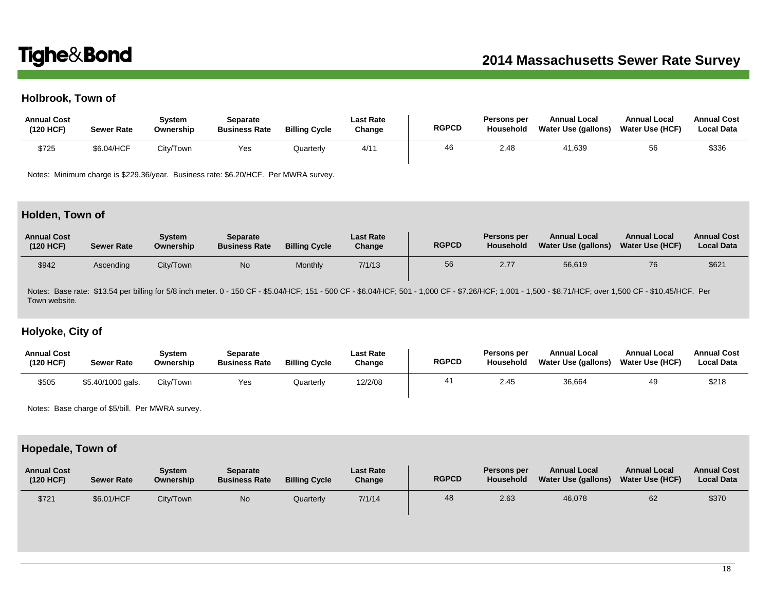## **Holbrook, Town of**

| <b>Annual Cost</b><br>(120 HCF) | <b>Sewer Rate</b> | Svstem<br>Ownership | <b>Separate</b><br><b>Business Rate</b> | <b>Billing Cycle</b> | <b>Last Rate</b><br>Change | <b>RGPCD</b> | <b>Persons per</b><br>Household | <b>Annual Local</b><br>Water Use (gallons) | <b>Annual Local</b><br><b>Water Use (HCF)</b> | <b>Annual Cost</b><br><b>Local Data</b> |
|---------------------------------|-------------------|---------------------|-----------------------------------------|----------------------|----------------------------|--------------|---------------------------------|--------------------------------------------|-----------------------------------------------|-----------------------------------------|
| \$725                           | \$6.04/HCF        | City/Town           | Yes                                     | Quarterly            | 4/1                        | 46           | 2.48                            | 41,639                                     | 56                                            | \$336                                   |

Notes: Minimum charge is \$229.36/year. Business rate: \$6.20/HCF. Per MWRA survey.

### **Holden, Town of**

| <b>Annual Cost</b><br>(120 HCF) | <b>Sewer Rate</b> | System<br>Ownership | Separate<br><b>Business Rate</b> | <b>Billing Cycle</b> | <b>Last Rate</b><br>Change | <b>RGPCD</b> | Persons per<br>Household | <b>Annual Local</b><br>Water Use (gallons) | <b>Annual Local</b><br>Water Use (HCF) | <b>Annual Cost</b><br><b>Local Data</b> |
|---------------------------------|-------------------|---------------------|----------------------------------|----------------------|----------------------------|--------------|--------------------------|--------------------------------------------|----------------------------------------|-----------------------------------------|
| \$942                           | Ascending         | City/Town           | <b>No</b>                        | Monthly              | 7/1/13                     | 56           | 2.77                     | 56,619                                     | 76                                     | \$621                                   |

Notes: Base rate: \$13.54 per billing for 5/8 inch meter. 0 - 150 CF - \$5.04/HCF; 151 - 500 CF - \$6.04/HCF; 501 - 1,000 CF - \$7.26/HCF; 1,001 - 1,500 - \$8.71/HCF; over 1,500 CF - \$10.45/HCF. Per Town website.

### **Holyoke, City of**

| <b>Annual Cost</b><br>(120 HCF) | <b>Sewer Rate</b> | Svstem<br>Ownership | Separate<br><b>Business Rate</b> | <b>Billing Cycle</b> | Last Rate<br>Change | <b>RGPCD</b> | Persons per<br><b>Household</b> | <b>Annual Local</b><br>Water Use (gallons) | <b>Annual Local</b><br><b>Water Use (HCF)</b> | <b>Annual Cost</b><br><b>Local Data</b> |
|---------------------------------|-------------------|---------------------|----------------------------------|----------------------|---------------------|--------------|---------------------------------|--------------------------------------------|-----------------------------------------------|-----------------------------------------|
| \$505                           | \$5.40/1000 gals. | City/Town           | Yes                              | Quarterly            | 12/2/08             | 41           | 2.45                            | 36,664                                     | 49                                            | \$218                                   |

Notes: Base charge of \$5/bill. Per MWRA survey.

### **Hopedale, Town of**

| <b>Annual Cost</b><br>(120 HCF) | <b>Sewer Rate</b> | Svstem<br>Ownership | <b>Separate</b><br><b>Business Rate</b> | <b>Billing Cycle</b> | <b>Last Rate</b><br>Change | <b>RGPCD</b> | Persons per<br>Household | <b>Annual Local</b><br>Water Use (gallons) | <b>Annual Local</b><br><b>Water Use (HCF)</b> | <b>Annual Cost</b><br><b>Local Data</b> |
|---------------------------------|-------------------|---------------------|-----------------------------------------|----------------------|----------------------------|--------------|--------------------------|--------------------------------------------|-----------------------------------------------|-----------------------------------------|
| \$721                           | \$6.01/HCF        | City/Town           | No                                      | Quarterly            | 7/1/14                     | 48           | 2.63                     | 46,078                                     | 62                                            | \$370                                   |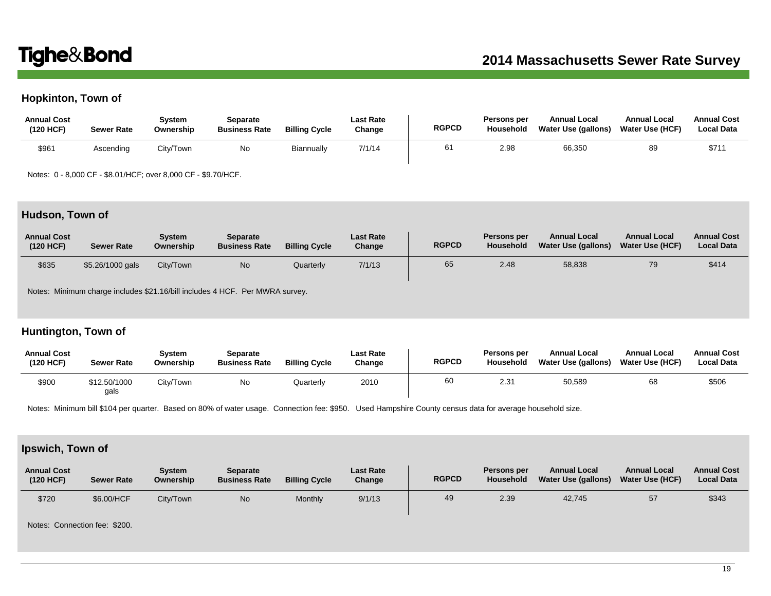## **Hopkinton, Town of**

| <b>Annual Cost</b><br>(120 HCF) | <b>Sewer Rate</b> | Svstem<br>Ownership | Separate<br><b>Business Rate</b> | <b>Billing Cycle</b> | <b>Last Rate</b><br>Change | <b>RGPCD</b> | Persons per<br>Household | <b>Annual Local</b><br>Water Use (gallons) | <b>Annual Local</b><br><b>Water Use (HCF)</b> | <b>Annual Cost</b><br><b>Local Data</b> |
|---------------------------------|-------------------|---------------------|----------------------------------|----------------------|----------------------------|--------------|--------------------------|--------------------------------------------|-----------------------------------------------|-----------------------------------------|
| \$96'                           | Ascending         | Citv/Town           | No                               | Biannually           | 7/1/14                     | 61           | 2.98                     | 66,350                                     | 89                                            | \$71'                                   |

Notes: 0 - 8,000 CF - \$8.01/HCF; over 8,000 CF - \$9.70/HCF.

### **Hudson, Town of**

| <b>Annual Cost</b><br>(120 HCF) | <b>Sewer Rate</b> | System<br>Ownership | <b>Separate</b><br><b>Business Rate</b> | <b>Billing Cycle</b> | <b>Last Rate</b><br>Change | <b>RGPCD</b> | Persons per<br>Household | <b>Annual Local</b><br>Water Use (gallons) | <b>Annual Local</b><br>Water Use (HCF) | <b>Annual Cost</b><br><b>Local Data</b> |
|---------------------------------|-------------------|---------------------|-----------------------------------------|----------------------|----------------------------|--------------|--------------------------|--------------------------------------------|----------------------------------------|-----------------------------------------|
| \$635                           | \$5.26/1000 gals  | City/Town           | <b>No</b>                               | Quarterly            | 7/1/13                     | 65           | 2.48                     | 58,838                                     | 79                                     | \$414                                   |

Notes: Minimum charge includes \$21.16/bill includes 4 HCF. Per MWRA survey.

### **Huntington, Town of**

| <b>Annual Cost</b><br>(120 HCF) | <b>Sewer Rate</b>    | System<br>Ownership | Separate<br><b>Business Rate</b> | <b>Billing Cycle</b> | Last Rate<br>Change | <b>RGPCD</b> | Persons per<br>Household | <b>Annual Local</b><br>Water Use (gallons) | <b>Annual Local</b><br><b>Water Use (HCF)</b> | <b>Annual Cost</b><br><b>Local Data</b> |
|---------------------------------|----------------------|---------------------|----------------------------------|----------------------|---------------------|--------------|--------------------------|--------------------------------------------|-----------------------------------------------|-----------------------------------------|
| \$900                           | \$12.50/1000<br>qals | City/Town           | No                               | Quarterly            | 2010                | 60           | 2.31                     | 50,589                                     | 68                                            | \$506                                   |

Notes: Minimum bill \$104 per quarter. Based on 80% of water usage. Connection fee: \$950. Used Hampshire County census data for average household size.

## **Ipswich, Town of**

| <b>Annual Cost</b><br>(120 HCF) | <b>Sewer Rate</b> | Svstem<br>Ownership | Separate<br><b>Business Rate</b> | <b>Billing Cycle</b> | <b>Last Rate</b><br>Change | <b>RGPCD</b> | Persons per<br>Household | <b>Annual Local</b><br>Water Use (gallons) | <b>Annual Local</b><br><b>Water Use (HCF)</b> | <b>Annual Cost</b><br><b>Local Data</b> |
|---------------------------------|-------------------|---------------------|----------------------------------|----------------------|----------------------------|--------------|--------------------------|--------------------------------------------|-----------------------------------------------|-----------------------------------------|
| \$720                           | \$6,00/HCF        | City/Town           | <b>No</b>                        | Monthly              | 9/1/13                     | 49           | 2.39                     | 42,745                                     | 57                                            | \$343                                   |

Notes: Connection fee: \$200.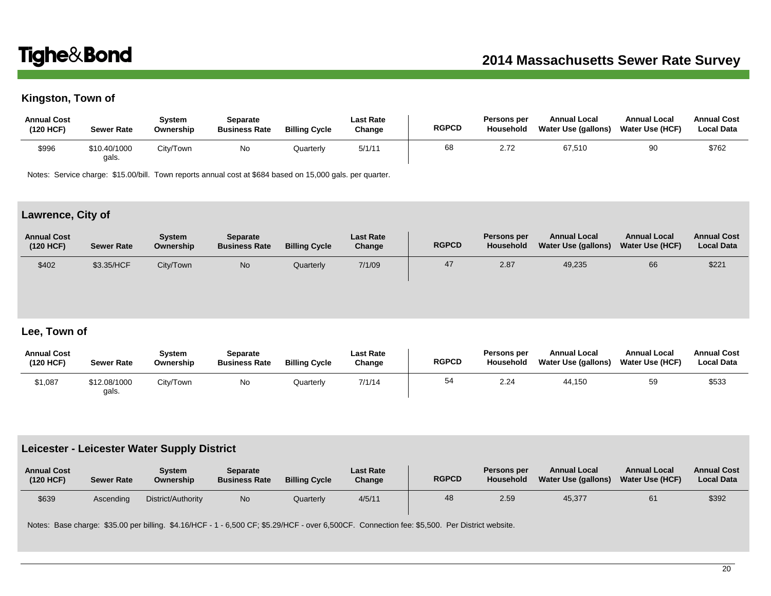## **Kingston, Town of**

| <b>Annual Cost</b><br>(120 HCF) | <b>Sewer Rate</b>     | Svstem<br>Ownership | Separate<br><b>Business Rate</b> | <b>Billing Cycle</b> | Last Rate<br>Change | <b>RGPCD</b> | Persons per<br>Household | <b>Annual Local</b><br>Water Use (gallons) | <b>Annual Local</b><br><b>Water Use (HCF)</b> | <b>Annual Cost</b><br><b>Local Data</b> |
|---------------------------------|-----------------------|---------------------|----------------------------------|----------------------|---------------------|--------------|--------------------------|--------------------------------------------|-----------------------------------------------|-----------------------------------------|
| \$996                           | \$10.40/1000<br>gals. | City/Town           | No                               | Quarterly            | 5/1/11              | 68           | 2.72                     | 67.510                                     | 90                                            | \$762                                   |

Notes: Service charge: \$15.00/bill. Town reports annual cost at \$684 based on 15,000 gals. per quarter.

### **Lawrence, City of**

| <b>Annual Cost</b><br>(120 HCF) | <b>Sewer Rate</b> | System<br>Ownership | <b>Separate</b><br><b>Business Rate</b> | <b>Billing Cycle</b> | <b>Last Rate</b><br>Change | <b>RGPCD</b> | Persons per<br>Household | <b>Annual Local</b><br><b>Water Use (gallons)</b> | <b>Annual Local</b><br><b>Water Use (HCF)</b> | <b>Annual Cost</b><br><b>Local Data</b> |
|---------------------------------|-------------------|---------------------|-----------------------------------------|----------------------|----------------------------|--------------|--------------------------|---------------------------------------------------|-----------------------------------------------|-----------------------------------------|
| \$402                           | \$3.35/HCF        | City/Town           | <b>No</b>                               | Quarterly            | 7/1/09                     | 47           | 2.87                     | 49,235                                            | 66                                            | \$221                                   |

### **Lee, Town of**

| <b>Annual Cost</b><br>(120 HCF) | <b>Sewer Rate</b>     | Svstem<br>Ownership | Separate<br><b>Business Rate</b> | <b>Billing Cycle</b> | <b>Last Rate</b><br>Change | <b>RGPCD</b> | Persons per<br>Household | <b>Annual Local</b><br>Water Use (gallons) | <b>Annual Local</b><br><b>Water Use (HCF)</b> | <b>Annual Cost</b><br><b>Local Data</b> |
|---------------------------------|-----------------------|---------------------|----------------------------------|----------------------|----------------------------|--------------|--------------------------|--------------------------------------------|-----------------------------------------------|-----------------------------------------|
| \$1,087                         | \$12.08/1000<br>gals. | City/Town           | No                               | Quarterly            | 7/1/14                     | 54           | 2.24                     | 44.150                                     | 59                                            | \$533                                   |

#### **Leicester - Leicester Water Supply District**

| <b>Annual Cost</b><br>(120 HCF) | <b>Sewer Rate</b> | Svstem<br>Ownership | Separate<br><b>Business Rate</b> | <b>Billing Cycle</b> | <b>Last Rate</b><br>Change | <b>RGPCD</b> | Persons per<br>Household | <b>Annual Local</b><br>Water Use (gallons) | <b>Annual Local</b><br>Water Use (HCF) | <b>Annual Cost</b><br><b>Local Data</b> |
|---------------------------------|-------------------|---------------------|----------------------------------|----------------------|----------------------------|--------------|--------------------------|--------------------------------------------|----------------------------------------|-----------------------------------------|
| \$639                           | Ascendina         | District/Authority  | <b>No</b>                        | Quarterly            | 4/5/11                     | 48           | 2.59                     | 45.377                                     | 61                                     | \$392                                   |

Notes: Base charge: \$35.00 per billing. \$4.16/HCF - 1 - 6,500 CF; \$5.29/HCF - over 6,500CF. Connection fee: \$5,500. Per District website.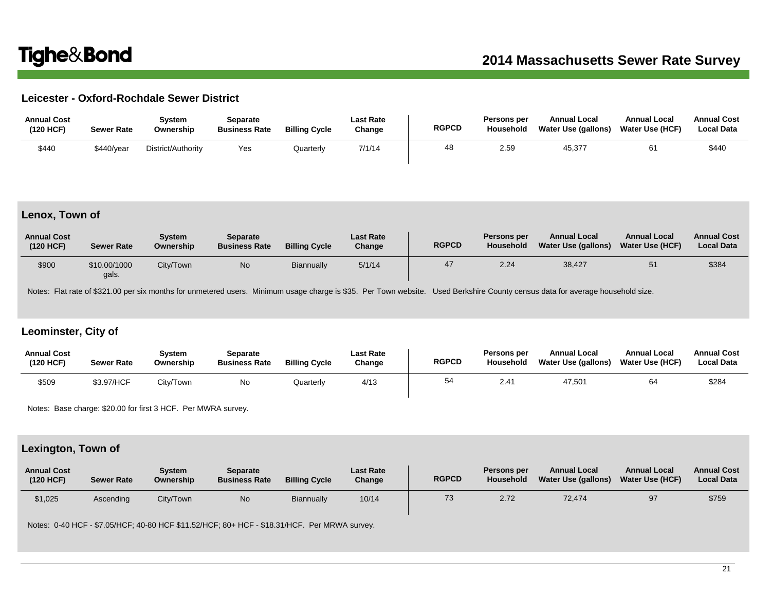### **Leicester - Oxford-Rochdale Sewer District**

| <b>Annual Cost</b><br>(120 HCF) | <b>Sewer Rate</b> | Svstem<br>Ownership | Separate<br><b>Business Rate</b> | <b>Billing Cycle</b> | <b>Last Rate</b><br>Change | <b>RGPCD</b> | Persons per<br>Household | <b>Annual Local</b><br><b>Water Use (gallons)</b> | <b>Annual Local</b><br><b>Water Use (HCF)</b> | <b>Annual Cost</b><br><b>Local Data</b> |
|---------------------------------|-------------------|---------------------|----------------------------------|----------------------|----------------------------|--------------|--------------------------|---------------------------------------------------|-----------------------------------------------|-----------------------------------------|
| \$440                           | $$440$ /year      | District/Authority  | Yes                              | Quarterly            | 7/1/14                     | 48           | 2.59                     | 45,377                                            |                                               | \$440                                   |

#### **Lenox, Town of**

| <b>Annual Cost</b><br>(120 HCF) | <b>Sewer Rate</b>     | Svstem<br>Ownership | Separate<br><b>Business Rate</b> | <b>Billing Cycle</b> | <b>Last Rate</b><br>Change | <b>RGPCD</b> | Persons per<br><b>Household</b> | <b>Annual Local</b><br>Water Use (gallons) | <b>Annual Local</b><br><b>Water Use (HCF)</b> | <b>Annual Cost</b><br><b>Local Data</b> |
|---------------------------------|-----------------------|---------------------|----------------------------------|----------------------|----------------------------|--------------|---------------------------------|--------------------------------------------|-----------------------------------------------|-----------------------------------------|
| \$900                           | \$10.00/1000<br>gals. | City/Town           | <b>No</b>                        | Biannually           | 5/1/14                     |              | 2.24                            | 38,427                                     |                                               | \$384                                   |

Notes: Flat rate of \$321.00 per six months for unmetered users. Minimum usage charge is \$35. Per Town website. Used Berkshire County census data for average household size.

### **Leominster, City of**

| <b>Annual Cost</b><br>(120 HCF) | <b>Sewer Rate</b> | Svstem<br>Ownership | Separate<br><b>Business Rate</b> | <b>Billing Cycle</b> | Last Rate<br>Change | <b>RGPCD</b> | Persons per<br>Household | <b>Annual Local</b><br>Water Use (gallons) | <b>Annual Local</b><br><b>Water Use (HCF)</b> | <b>Annual Cost</b><br><b>Local Data</b> |
|---------------------------------|-------------------|---------------------|----------------------------------|----------------------|---------------------|--------------|--------------------------|--------------------------------------------|-----------------------------------------------|-----------------------------------------|
| \$509                           | \$3.97/HCF        | City/Town           | Νo                               | Quarterl∖            | 4/13                | 54           | 2.41                     | 47,501                                     | 64                                            | \$284                                   |

Notes: Base charge: \$20.00 for first 3 HCF. Per MWRA survey.

## **Lexington, Town of**

| <b>Annual Cost</b><br>(120 HCF) | <b>Sewer Rate</b> | System<br>Ownership | Separate<br><b>Business Rate</b> | <b>Billing Cycle</b> | <b>Last Rate</b><br>Change | <b>RGPCD</b> | Persons per<br>Household | <b>Annual Local</b><br>Water Use (gallons) | <b>Annual Local</b><br><b>Water Use (HCF)</b> | <b>Annual Cost</b><br><b>Local Data</b> |
|---------------------------------|-------------------|---------------------|----------------------------------|----------------------|----------------------------|--------------|--------------------------|--------------------------------------------|-----------------------------------------------|-----------------------------------------|
| \$1,025                         | Ascending         | City/Town           | <b>No</b>                        | Biannually           | 10/14                      | 73           | 2.72                     | 72.474                                     | 97                                            | \$759                                   |

Notes: 0-40 HCF - \$7.05/HCF; 40-80 HCF \$11.52/HCF; 80+ HCF - \$18.31/HCF. Per MRWA survey.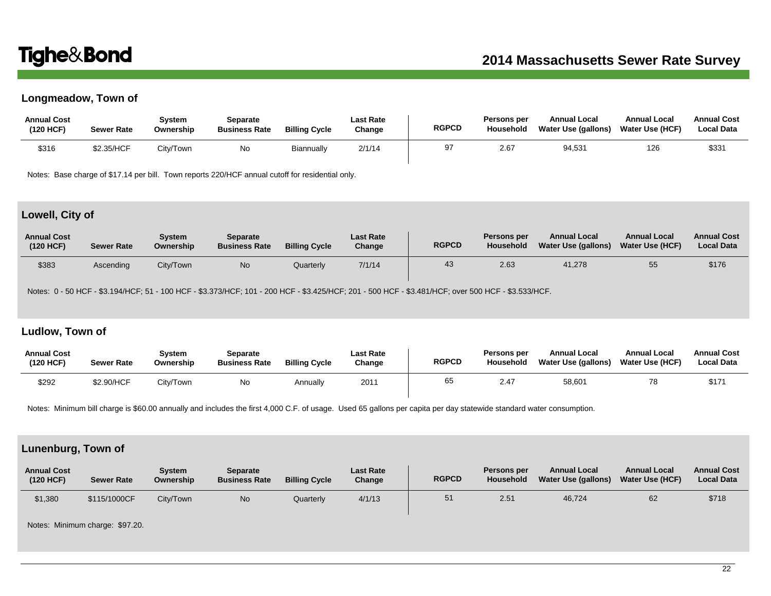## **Longmeadow, Town of**

| <b>Annual Cost</b><br>(120 HCF) | <b>Sewer Rate</b> | Svstem<br>Ownership | Separate<br><b>Business Rate</b> | <b>Billing Cycle</b> | <b>Last Rate</b><br>Change | <b>RGPCD</b> | Persons per<br>Household | <b>Annual Local</b><br>Water Use (gallons) | <b>Annual Local</b><br><b>Water Use (HCF)</b> | <b>Annual Cost</b><br><b>Local Data</b> |
|---------------------------------|-------------------|---------------------|----------------------------------|----------------------|----------------------------|--------------|--------------------------|--------------------------------------------|-----------------------------------------------|-----------------------------------------|
| \$316                           | \$2.35/HCF        | Citv/Town           | No                               | Biannually           | 2/1/14                     | 97           | 2.67                     | 94,531                                     | 126                                           | \$331                                   |

Notes: Base charge of \$17.14 per bill. Town reports 220/HCF annual cutoff for residential only.

# **Lowell, City of**

| <b>Annual Cost</b><br>(120 HCF) | <b>Sewer Rate</b> | Svstem<br>Ownership | <b>Separate</b><br><b>Business Rate</b> | <b>Billing Cycle</b> | <b>Last Rate</b><br>Change | <b>RGPCD</b> | Persons per<br>Household | <b>Annual Local</b><br>Water Use (gallons) | <b>Annual Local</b><br><b>Water Use (HCF)</b> | <b>Annual Cost</b><br><b>Local Data</b> |
|---------------------------------|-------------------|---------------------|-----------------------------------------|----------------------|----------------------------|--------------|--------------------------|--------------------------------------------|-----------------------------------------------|-----------------------------------------|
| \$383                           | Ascending         | City/Town           | No                                      | Quarterly            | 7/1/14                     | 43           | 2.63                     | 41.278                                     | 55                                            | \$176                                   |

Notes: 0 - 50 HCF - \$3.194/HCF; 51 - 100 HCF - \$3.373/HCF; 101 - 200 HCF - \$3.425/HCF; 201 - 500 HCF - \$3.481/HCF; over 500 HCF - \$3.533/HCF.

#### **Ludlow, Town of**

| <b>Annual Cost</b><br>(120 HCF) | <b>Sewer Rate</b> | Svstem<br>Ownership | Separate<br><b>Business Rate</b> | <b>Billing Cycle</b> | ∟ast Rate<br>Change | <b>RGPCD</b> | <b>Persons per</b><br>Household | <b>Annual Local</b><br>Water Use (gallons) | <b>Annual Local</b><br><b>Water Use (HCF)</b> | <b>Annual Cost</b><br><b>Local Data</b> |
|---------------------------------|-------------------|---------------------|----------------------------------|----------------------|---------------------|--------------|---------------------------------|--------------------------------------------|-----------------------------------------------|-----------------------------------------|
| \$292                           | \$2.90/HCF        | City/Town           | Νo                               | Annually             | 2011                | 65           | 2.47                            | 58,601                                     | 78                                            | \$17'                                   |

Notes: Minimum bill charge is \$60.00 annually and includes the first 4,000 C.F. of usage. Used 65 gallons per capita per day statewide standard water consumption.

### **Lunenburg, Town of**

| <b>Annual Cost</b><br>(120 HCF) | Sewer Rate   | Svstem<br>Ownership | Separate<br><b>Business Rate</b> | <b>Billing Cycle</b> | <b>Last Rate</b><br>Change | <b>RGPCD</b> | Persons per<br>Household | <b>Annual Local</b><br>Water Use (gallons) | <b>Annual Local</b><br>Water Use (HCF) | <b>Annual Cost</b><br><b>Local Data</b> |
|---------------------------------|--------------|---------------------|----------------------------------|----------------------|----------------------------|--------------|--------------------------|--------------------------------------------|----------------------------------------|-----------------------------------------|
| \$1,380                         | \$115/1000CF | City/Town           | <b>No</b>                        | Quarterly            | 4/1/13                     | 51           | 2.51                     | 46,724                                     | 62                                     | \$718                                   |

Notes: Minimum charge: \$97.20.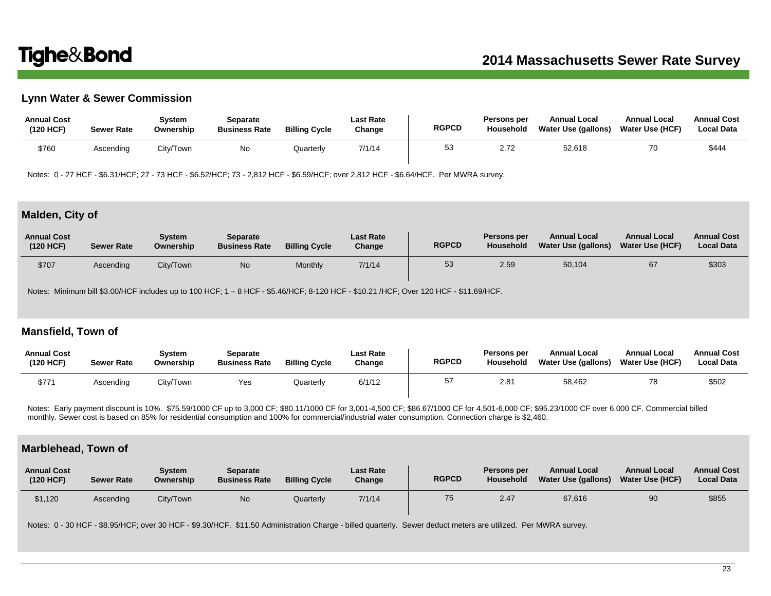#### **Lynn Water & Sewer Commission**

| <b>Annual Cost</b><br>(120 HCF) | Sewer Rate | Svstem<br>Ownership | Separate<br><b>Business Rate</b> | <b>Billing Cycle</b> | <b>Last Rate</b><br>Change | <b>RGPCD</b> | Persons per<br>Household | <b>Annual Local</b><br>Water Use (gallons) | <b>Annual Local</b><br><b>Water Use (HCF)</b> | <b>Annual Cost</b><br><b>Local Data</b> |
|---------------------------------|------------|---------------------|----------------------------------|----------------------|----------------------------|--------------|--------------------------|--------------------------------------------|-----------------------------------------------|-----------------------------------------|
| \$760                           | Ascending  | City/Town           | No                               | Quarteriv            | 7/1/14                     | 53           | 2.72                     | 52,618                                     | 70                                            | \$444                                   |

Notes: 0 - 27 HCF - \$6.31/HCF; 27 - 73 HCF - \$6.52/HCF; 73 - 2,812 HCF - \$6.59/HCF; over 2,812 HCF - \$6.64/HCF. Per MWRA survey.

#### **Malden, City of**

| <b>Annual Cost</b><br>(120 HCF) | <b>Sewer Rate</b> | Svstem<br>Ownership | Separate<br><b>Business Rate</b> | <b>Billing Cycle</b> | <b>Last Rate</b><br>Change | <b>RGPCD</b> | Persons per<br>Household | <b>Annual Local</b><br>Water Use (gallons) | <b>Annual Local</b><br>Water Use (HCF) | <b>Annual Cost</b><br><b>Local Data</b> |
|---------------------------------|-------------------|---------------------|----------------------------------|----------------------|----------------------------|--------------|--------------------------|--------------------------------------------|----------------------------------------|-----------------------------------------|
| \$707                           | Ascending         | City/Town           | <b>No</b>                        | Monthly              | 7/1/14                     | 53           | 2.59                     | 50,104                                     | 67                                     | \$303                                   |

Notes: Minimum bill \$3.00/HCF includes up to 100 HCF; 1 – 8 HCF - \$5.46/HCF; 8-120 HCF - \$10.21 /HCF; Over 120 HCF - \$11.69/HCF.

#### **Mansfield, Town of**

| <b>Annual Cost</b><br>(120 HCF) | <b>Sewer Rate</b> | Svstem<br>Ownership | Separate<br><b>Business Rate</b> | <b>Billing Cycle</b> | Last Rate<br>Change | <b>RGPCD</b> | <b>Persons per</b><br><b>Household</b> | <b>Annual Local</b><br>Water Use (gallons) | <b>Annual Local</b><br><b>Water Use (HCF)</b> | <b>Annual Cost</b><br><b>Local Data</b> |
|---------------------------------|-------------------|---------------------|----------------------------------|----------------------|---------------------|--------------|----------------------------------------|--------------------------------------------|-----------------------------------------------|-----------------------------------------|
| \$77'                           | Ascending         | City/Town           | Yes                              | Quarterly            | 6/1/12              | 57           | 2.81                                   | 58,462                                     | 78                                            | \$502                                   |

Notes: Early payment discount is 10%. \$75.59/1000 CF up to 3,000 CF; \$80.11/1000 CF for 3,001-4,500 CF; \$86.67/1000 CF for 4,501-6,000 CF; \$95.23/1000 CF over 6,000 CF. Commercial billed monthly. Sewer cost is based on 85% for residential consumption and 100% for commercial/industrial water consumption. Connection charge is \$2,460.

#### **Marblehead, Town of**

| <b>Annual Cost</b><br>(120 HCF) | <b>Sewer Rate</b> | System<br>Ownership | Separate<br><b>Business Rate</b> | <b>Billing Cycle</b> | <b>Last Rate</b><br>Change | <b>RGPCD</b> | Persons per<br>Household | <b>Annual Local</b><br>Water Use (gallons) | <b>Annual Local</b><br>Water Use (HCF) | <b>Annual Cost</b><br><b>Local Data</b> |
|---------------------------------|-------------------|---------------------|----------------------------------|----------------------|----------------------------|--------------|--------------------------|--------------------------------------------|----------------------------------------|-----------------------------------------|
| \$1,120                         | Ascending         | City/Town           | <b>No</b>                        | Quarterly            | 7/1/14                     | 75           | 2.47                     | 67,616                                     | 90                                     | \$855                                   |

Notes: 0 - 30 HCF - \$8.95/HCF; over 30 HCF - \$9.30/HCF. \$11.50 Administration Charge - billed quarterly. Sewer deduct meters are utilized. Per MWRA survey.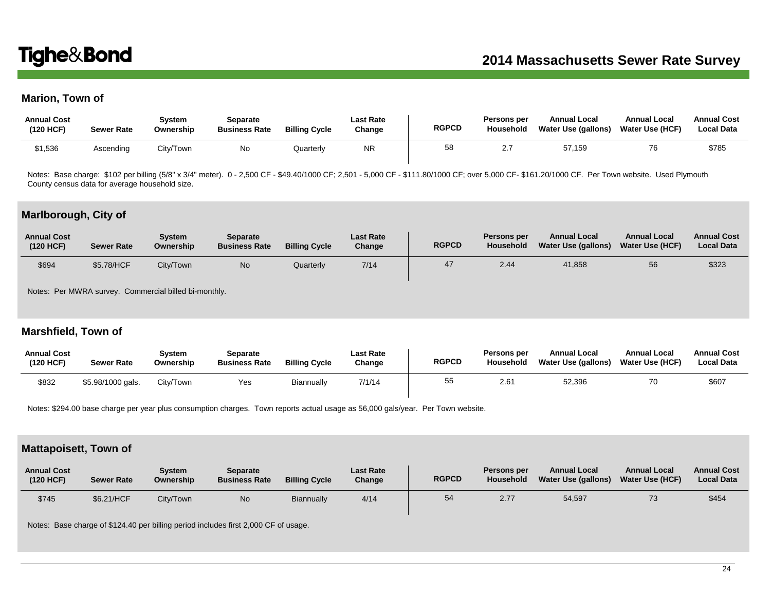## **Marion, Town of**

| <b>Annual Cost</b><br>(120 HCF) | <b>Sewer Rate</b> | System<br>Ownership | Separate<br><b>Business Rate</b> | <b>Billing Cycle</b> | <b>Last Rate</b><br>Change | <b>RGPCD</b> | Persons per<br>Household | <b>Annual Local</b><br>Water Use (gallons) | <b>Annual Local</b><br><b>Water Use (HCF)</b> | <b>Annual Cost</b><br>Local Data |
|---------------------------------|-------------------|---------------------|----------------------------------|----------------------|----------------------------|--------------|--------------------------|--------------------------------------------|-----------------------------------------------|----------------------------------|
| \$1,536                         | Ascending         | City/Town           | No                               | Quarterly            | <b>NR</b>                  | 58           | ົ                        | 57,159                                     | 76                                            | \$785                            |

Notes: Base charge: \$102 per billing (5/8" x 3/4" meter). 0 - 2,500 CF - \$49.40/1000 CF; 2,501 - 5,000 CF - \$111.80/1000 CF; over 5,000 CF- \$161.20/1000 CF. Per Town website. Used Plymouth County census data for average household size.

#### **Marlborough, City of**

| <b>Annual Cost</b><br>(120 HCF) | <b>Sewer Rate</b> | System<br>Ownership | <b>Separate</b><br><b>Business Rate</b> | <b>Billing Cycle</b> | <b>Last Rate</b><br>Change | <b>RGPCD</b> | Persons per<br>Household | <b>Annual Local</b><br>Water Use (gallons) | <b>Annual Local</b><br><b>Water Use (HCF)</b> | <b>Annual Cost</b><br><b>Local Data</b> |
|---------------------------------|-------------------|---------------------|-----------------------------------------|----------------------|----------------------------|--------------|--------------------------|--------------------------------------------|-----------------------------------------------|-----------------------------------------|
| \$694                           | \$5.78/HCF        | City/Town           | <b>No</b>                               | Quarterly            | 7/14                       | 47           | 2.44                     | 41,858                                     | 56                                            | \$323                                   |
| $        -$                     |                   | .                   |                                         |                      |                            |              |                          |                                            |                                               |                                         |

Notes: Per MWRA survey. Commercial billed bi-monthly.

#### **Marshfield, Town of**

| <b>Annual Cost</b><br>(120 HCF) | <b>Sewer Rate</b> | vstemد<br>Ownership | Separate<br><b>Business Rate</b> | <b>Billing Cycle</b> | Last Rate<br>Change | <b>RGPCD</b> | <b>Persons per</b><br>Household | <b>Annual Local</b><br>Water Use (gallons) | <b>Annual Local</b><br><b>Water Use (HCF)</b> | <b>Annual Cost</b><br><b>Local Data</b> |
|---------------------------------|-------------------|---------------------|----------------------------------|----------------------|---------------------|--------------|---------------------------------|--------------------------------------------|-----------------------------------------------|-----------------------------------------|
| \$832                           | \$5.98/1000 gals. | City/Town           | Yes                              | Biannually           | 7/1/14              | 55           | 2.61                            | 52.396                                     | 70                                            | \$607                                   |

Notes: \$294.00 base charge per year plus consumption charges. Town reports actual usage as 56,000 gals/year. Per Town website.

### **Mattapoisett, Town of**

| <b>Annual Cost</b><br>(120 HCF) | <b>Sewer Rate</b> | System<br>Ownership | Separate<br><b>Business Rate</b> | <b>Billing Cycle</b> | <b>Last Rate</b><br>Change | <b>RGPCD</b> | Persons per<br>Household | <b>Annual Local</b><br>Water Use (gallons) | <b>Annual Local</b><br>Water Use (HCF) | <b>Annual Cost</b><br><b>Local Data</b> |
|---------------------------------|-------------------|---------------------|----------------------------------|----------------------|----------------------------|--------------|--------------------------|--------------------------------------------|----------------------------------------|-----------------------------------------|
| \$745                           | \$6.21/HCF        | City/Town           | <b>No</b>                        | Biannually           | 4/14                       | 54           | 2.77                     | 54,597                                     |                                        | \$454                                   |

Notes: Base charge of \$124.40 per billing period includes first 2,000 CF of usage.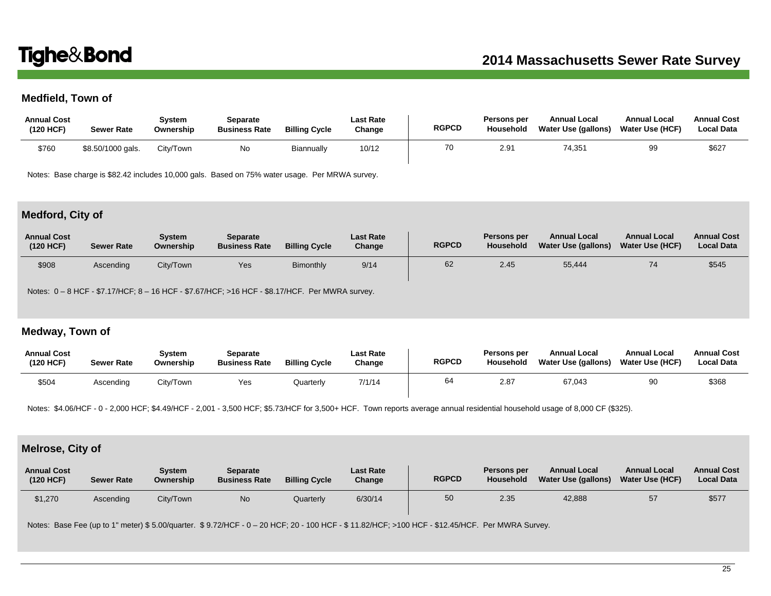# **Medfield, Town of**

| <b>Annual Cost</b><br>(120 HCF) | Sewer Rate        | Svstem<br>Ownership | Separate<br><b>Business Rate</b> | <b>Billing Cycle</b> | <b>Last Rate</b><br>Change | <b>RGPCD</b> | Persons per<br>Household | <b>Annual Local</b><br>Water Use (gallons) | <b>Annual Local</b><br>Water Use (HCF) | <b>Annual Cost</b><br><b>Local Data</b> |
|---------------------------------|-------------------|---------------------|----------------------------------|----------------------|----------------------------|--------------|--------------------------|--------------------------------------------|----------------------------------------|-----------------------------------------|
| \$760                           | \$8.50/1000 gals. | City/Town           | Νo                               | Biannually           | 10/12                      | 70           | 2.91                     | 74,351                                     | 99                                     | \$627                                   |

Notes: Base charge is \$82.42 includes 10,000 gals. Based on 75% water usage. Per MRWA survey.

### **Medford, City of**

| <b>Annual Cost</b><br>(120 HCF) | <b>Sewer Rate</b> | <b>System</b><br>Ownership | Separate<br><b>Business Rate</b> | <b>Billing Cycle</b> | <b>Last Rate</b><br>Change | <b>RGPCD</b> | Persons per<br>Household | <b>Annual Local</b><br>Water Use (gallons) | <b>Annual Local</b><br>Water Use (HCF) | <b>Annual Cost</b><br><b>Local Data</b> |
|---------------------------------|-------------------|----------------------------|----------------------------------|----------------------|----------------------------|--------------|--------------------------|--------------------------------------------|----------------------------------------|-----------------------------------------|
| \$908                           | Ascending         | City/Town                  | Yes                              | Bimonthly            | 9/14                       | 62           | 2.45                     | 55,444                                     |                                        | \$545                                   |

Notes: 0 – 8 HCF - \$7.17/HCF; 8 – 16 HCF - \$7.67/HCF; >16 HCF - \$8.17/HCF. Per MWRA survey.

### **Medway, Town of**

| <b>Annual Cost</b><br>(120 HCF) | <b>Sewer Rate</b> | Svstem<br>Ownership | Separate<br><b>Business Rate</b> | <b>Billing Cycle</b> | <b>Last Rate</b><br>Change | <b>RGPCD</b> | Persons per<br>Household | <b>Annual Local</b><br>Water Use (gallons) | <b>Annual Local</b><br><b>Water Use (HCF)</b> | <b>Annual Cost</b><br><b>Local Data</b> |
|---------------------------------|-------------------|---------------------|----------------------------------|----------------------|----------------------------|--------------|--------------------------|--------------------------------------------|-----------------------------------------------|-----------------------------------------|
| \$504                           | Ascending         | City/Town           | Yes                              | Quarterly            | 7/1/14                     | 64           | 2.87                     | 67.043                                     | 90                                            | \$368                                   |

Notes: \$4.06/HCF - 0 - 2,000 HCF; \$4.49/HCF - 2,001 - 3,500 HCF; \$5.73/HCF for 3,500+ HCF. Town reports average annual residential household usage of 8,000 CF (\$325).

#### **Melrose, City of**

| <b>Annual Cost</b><br>(120 HCF) | <b>Sewer Rate</b> | <b>System</b><br>Ownership | <b>Separate</b><br><b>Business Rate</b> | <b>Billing Cycle</b> | <b>Last Rate</b><br>Change | <b>RGPCD</b> | Persons per<br>Household | <b>Annual Local</b><br>Water Use (gallons) | <b>Annual Local</b><br>Water Use (HCF) | <b>Annual Cost</b><br><b>Local Data</b> |
|---------------------------------|-------------------|----------------------------|-----------------------------------------|----------------------|----------------------------|--------------|--------------------------|--------------------------------------------|----------------------------------------|-----------------------------------------|
| \$1,270                         | Ascending         | City/Town                  | <b>No</b>                               | Quarterly            | 6/30/14                    | 50           | 2.35                     | 42,888                                     | 57                                     | \$577                                   |

Notes: Base Fee (up to 1" meter) \$ 5.00/quarter. \$ 9.72/HCF - 0 – 20 HCF; 20 - 100 HCF - \$ 11.82/HCF; >100 HCF - \$12.45/HCF. Per MWRA Survey.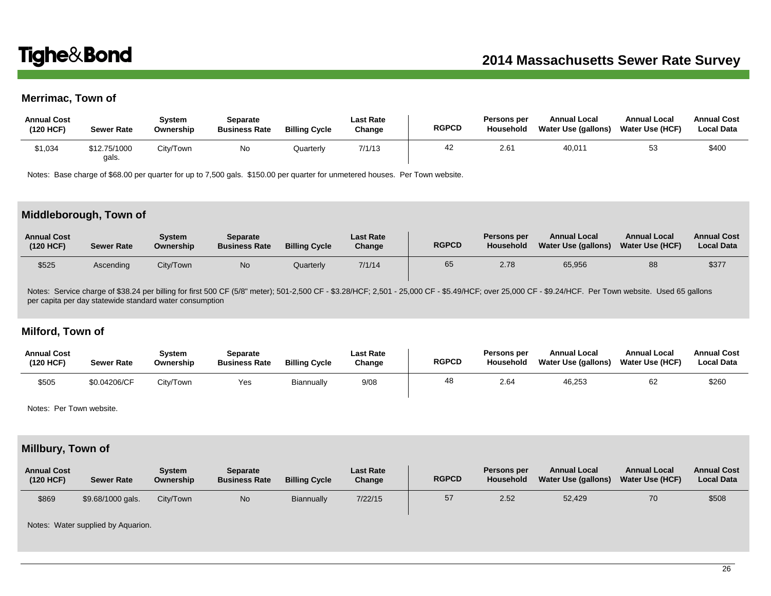## **Merrimac, Town of**

| <b>Annual Cost</b><br>(120 HCF) | <b>Sewer Rate</b>     | Svstem<br>Ownership | Separate<br><b>Business Rate</b> | <b>Billing Cycle</b> | Last Rate<br>Change | <b>RGPCD</b> | Persons per<br>Household | <b>Annual Local</b><br>Water Use (gallons) | <b>Annual Local</b><br><b>Water Use (HCF)</b> | <b>Annual Cost</b><br><b>Local Data</b> |
|---------------------------------|-----------------------|---------------------|----------------------------------|----------------------|---------------------|--------------|--------------------------|--------------------------------------------|-----------------------------------------------|-----------------------------------------|
| \$1,034                         | \$12.75/1000<br>gals. | City/Town           | No                               | Quarterly            | 7/1/13              |              | 2.61                     | 40,01'                                     | 53                                            | \$400                                   |

Notes: Base charge of \$68.00 per quarter for up to 7,500 gals. \$150.00 per quarter for unmetered houses. Per Town website.

#### **Middleborough, Town of**

| <b>Annual Cost</b><br>(120 HCF) | <b>Sewer Rate</b> | Svstem<br>Ownership | Separate<br><b>Business Rate</b> | <b>Billing Cycle</b> | <b>Last Rate</b><br>Change | <b>RGPCD</b> | Persons per<br>Household | <b>Annual Local</b><br>Water Use (gallons) | <b>Annual Local</b><br>Water Use (HCF) | <b>Annual Cost</b><br><b>Local Data</b> |
|---------------------------------|-------------------|---------------------|----------------------------------|----------------------|----------------------------|--------------|--------------------------|--------------------------------------------|----------------------------------------|-----------------------------------------|
| \$525                           | Ascending         | City/Town           | <b>No</b>                        | Quarterly            | 7/1/14                     | 65           | 2.78                     | 65,956                                     | 88                                     | \$377                                   |

Notes: Service charge of \$38.24 per billing for first 500 CF (5/8" meter); 501-2,500 CF - \$3.28/HCF; 2,501 - 25,000 CF - \$5.49/HCF; over 25,000 CF - \$9.24/HCF. Per Town website. Used 65 gallons per capita per day statewide standard water consumption

#### **Milford, Town of**

| <b>Annual Cost</b><br>(120 HCF) | <b>Sewer Rate</b> | System<br>Ownership | Separate<br><b>Business Rate</b> | <b>Billing Cycle</b> | Last Rate<br>Change | <b>RGPCD</b> | Persons per<br>Household | <b>Annual Local</b><br>Water Use (gallons) | <b>Annual Local</b><br><b>Water Use (HCF)</b> | <b>Annual Cost</b><br><b>Local Data</b> |
|---------------------------------|-------------------|---------------------|----------------------------------|----------------------|---------------------|--------------|--------------------------|--------------------------------------------|-----------------------------------------------|-----------------------------------------|
| \$505                           | \$0.04206/CF      | City/Town           | Yes                              | Biannually           | 9/08                | 48           | 2.64                     | 46,253                                     | 62                                            | \$260                                   |

Notes: Per Town website.

## **Millbury, Town of**

| <b>Annual Cost</b><br>(120 HCF) | <b>Sewer Rate</b> | Svstem<br>Ownership | Separate<br><b>Business Rate</b> | <b>Billing Cycle</b> | <b>Last Rate</b><br>Change | <b>RGPCD</b> | Persons per<br>Household | <b>Annual Local</b><br>Water Use (gallons) | <b>Annual Local</b><br>Water Use (HCF) | <b>Annual Cost</b><br><b>Local Data</b> |
|---------------------------------|-------------------|---------------------|----------------------------------|----------------------|----------------------------|--------------|--------------------------|--------------------------------------------|----------------------------------------|-----------------------------------------|
| \$869                           | \$9.68/1000 gals. | City/Town           | <b>No</b>                        | Biannually           | 7/22/15                    | 57           | 2.52                     | 52,429                                     | 70                                     | \$508                                   |

Notes: Water supplied by Aquarion.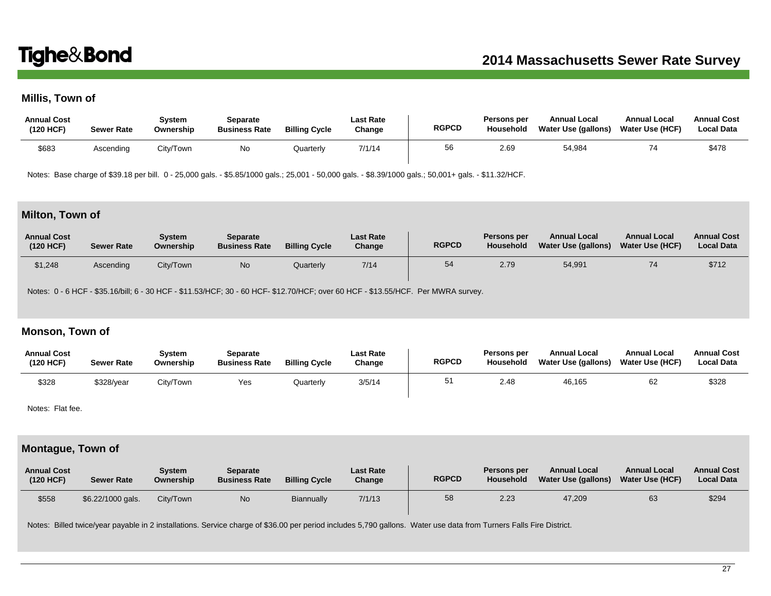## **Millis, Town of**

| <b>Annual Cost</b><br>(120 HCF) | <b>Sewer Rate</b> | Svstem<br>Ownership | Separate<br><b>Business Rate</b> | <b>Billing Cycle</b> | <b>Last Rate</b><br>Change | <b>RGPCD</b> | Persons per<br>Household | <b>Annual Local</b><br>Water Use (gallons) | <b>Annual Local</b><br>Water Use (HCF) | <b>Annual Cost</b><br><b>Local Data</b> |
|---------------------------------|-------------------|---------------------|----------------------------------|----------------------|----------------------------|--------------|--------------------------|--------------------------------------------|----------------------------------------|-----------------------------------------|
| \$683                           | Ascending         | City/Town           | No.                              | Quarterly            | 7/1/14                     | 56           | 2.69                     | 54,984                                     |                                        | \$478                                   |

Notes: Base charge of \$39.18 per bill. 0 - 25,000 gals. - \$5.85/1000 gals.; 25,001 - 50,000 gals. - \$8.39/1000 gals.; 50,001+ gals. - \$11.32/HCF.

### **Milton, Town of**

| <b>Annual Cost</b><br>(120 HCF) | <b>Sewer Rate</b> | Svstem<br>Ownership | <b>Separate</b><br><b>Business Rate</b> | <b>Billing Cycle</b> | <b>Last Rate</b><br>Change | <b>RGPCD</b> | Persons per<br><b>Household</b> | <b>Annual Local</b><br>Water Use (gallons) | <b>Annual Local</b><br>Water Use (HCF) | <b>Annual Cost</b><br><b>Local Data</b> |
|---------------------------------|-------------------|---------------------|-----------------------------------------|----------------------|----------------------------|--------------|---------------------------------|--------------------------------------------|----------------------------------------|-----------------------------------------|
| \$1,248                         | Ascending         | City/Town           | <b>No</b>                               | Quarterly            | 7/14                       | 54           | 2.79                            | 54,991                                     |                                        | \$712                                   |

Notes: 0 - 6 HCF - \$35.16/bill; 6 - 30 HCF - \$11.53/HCF; 30 - 60 HCF- \$12.70/HCF; over 60 HCF - \$13.55/HCF. Per MWRA survey.

#### **Monson, Town of**

| <b>Annual Cost</b><br>(120 HCF) | <b>Sewer Rate</b> | Svstem<br>Ownership | Separate<br><b>Business Rate</b> | <b>Billing Cycle</b> | <b>Last Rate</b><br>Change | <b>RGPCD</b> | Persons per<br>Household | <b>Annual Local</b><br>Water Use (gallons) | <b>Annual Local</b><br><b>Water Use (HCF)</b> | <b>Annual Cost</b><br><b>Local Data</b> |
|---------------------------------|-------------------|---------------------|----------------------------------|----------------------|----------------------------|--------------|--------------------------|--------------------------------------------|-----------------------------------------------|-----------------------------------------|
| \$328                           | \$328/year        | City/Town           | Yes                              | Quarterly            | 3/5/14                     |              | 2.48                     | 46,165                                     | 62                                            | \$328                                   |

Notes: Flat fee.

### **Montague, Town of**

| <b>Annual Cost</b><br>(120 HCF) | <b>Sewer Rate</b> | Svstem<br>Ownership | Separate<br><b>Business Rate</b> | <b>Billing Cycle</b> | <b>Last Rate</b><br>Change | <b>RGPCD</b> | Persons per<br>Household | <b>Annual Local</b><br>Water Use (gallons) | <b>Annual Local</b><br>Water Use (HCF) | <b>Annual Cost</b><br><b>Local Data</b> |
|---------------------------------|-------------------|---------------------|----------------------------------|----------------------|----------------------------|--------------|--------------------------|--------------------------------------------|----------------------------------------|-----------------------------------------|
| \$558                           | \$6.22/1000 gals. | City/Town           | <b>No</b>                        | <b>Biannually</b>    | 7/1/13                     | 58           | 2.23                     | 47.209                                     | 63                                     | \$294                                   |

Notes: Billed twice/year payable in 2 installations. Service charge of \$36.00 per period includes 5,790 gallons. Water use data from Turners Falls Fire District.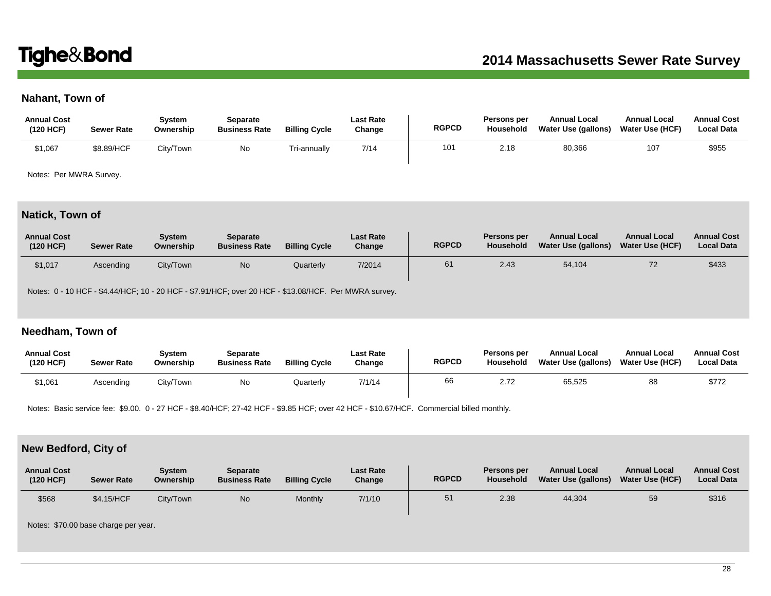## **Nahant, Town of**

| <b>Annual Cost</b><br>(120 HCF) | <b>Sewer Rate</b> | Svstem<br>Ownership | Separate<br><b>Business Rate</b> | <b>Billing Cycle</b> | Last Rate<br>Change | <b>RGPCD</b> | Persons per<br>Household | <b>Annual Local</b><br>Water Use (gallons) | <b>Annual Local</b><br><b>Water Use (HCF)</b> | <b>Annual Cost</b><br><b>Local Data</b> |
|---------------------------------|-------------------|---------------------|----------------------------------|----------------------|---------------------|--------------|--------------------------|--------------------------------------------|-----------------------------------------------|-----------------------------------------|
| \$1,067                         | \$8.89/HCF        | City/Town           | No                               | Tri-annually         | 7/14                | 101          | 2.18                     | 80,366                                     | 107                                           | \$955                                   |

Notes: Per MWRA Survey.

### **Natick, Town of**

| <b>Annual Cost</b><br>(120 HCF) | <b>Sewer Rate</b> | Svstem<br>Ownership | <b>Separate</b><br><b>Business Rate</b> | <b>Billing Cycle</b> | <b>Last Rate</b><br>Change | <b>RGPCD</b> | Persons per<br>Household | <b>Annual Local</b><br>Water Use (gallons) | <b>Annual Local</b><br>Water Use (HCF) | <b>Annual Cost</b><br><b>Local Data</b> |
|---------------------------------|-------------------|---------------------|-----------------------------------------|----------------------|----------------------------|--------------|--------------------------|--------------------------------------------|----------------------------------------|-----------------------------------------|
| \$1,017                         | Ascending         | City/Town           | No                                      | Quarterly            | 7/2014                     | 61           | 2.43                     | 54,104                                     |                                        | \$433                                   |

Notes: 0 - 10 HCF - \$4.44/HCF; 10 - 20 HCF - \$7.91/HCF; over 20 HCF - \$13.08/HCF. Per MWRA survey.

### **Needham, Town of**

| <b>Annual Cost</b><br>(120 HCF) | <b>Sewer Rate</b> | Svstem<br>Ownership | Separate<br><b>Business Rate</b> | <b>Billing Cycle</b> | <b>Last Rate</b><br>Change | <b>RGPCD</b> | Persons per<br>Household | <b>Annual Local</b><br>Water Use (gallons) | <b>Annual Local</b><br><b>Water Use (HCF)</b> | <b>Annual Cost</b><br><b>Local Data</b> |
|---------------------------------|-------------------|---------------------|----------------------------------|----------------------|----------------------------|--------------|--------------------------|--------------------------------------------|-----------------------------------------------|-----------------------------------------|
| \$1,061                         | Ascending         | City/Town           | No                               | Quarterly            | 7/1/14                     | 66           | 2.72                     | 65,525                                     | 88                                            | \$772                                   |

Notes: Basic service fee: \$9.00. 0 - 27 HCF - \$8.40/HCF; 27-42 HCF - \$9.85 HCF; over 42 HCF - \$10.67/HCF. Commercial billed monthly.

## **New Bedford, City of**

| <b>Annual Cost</b><br>(120 HCF) | <b>Sewer Rate</b> | Svstem<br>Ownership | Separate<br><b>Business Rate</b> | <b>Billing Cycle</b> | <b>Last Rate</b><br>Change | <b>RGPCD</b> | Persons per<br>Household | <b>Annual Local</b><br>Water Use (gallons) | <b>Annual Local</b><br>Water Use (HCF) | <b>Annual Cost</b><br><b>Local Data</b> |
|---------------------------------|-------------------|---------------------|----------------------------------|----------------------|----------------------------|--------------|--------------------------|--------------------------------------------|----------------------------------------|-----------------------------------------|
| \$568                           | \$4.15/HCF        | City/Town           | <b>No</b>                        | Monthly              | 7/1/10                     | 51           | 2.38                     | 44,304                                     | 59                                     | \$316                                   |

Notes: \$70.00 base charge per year.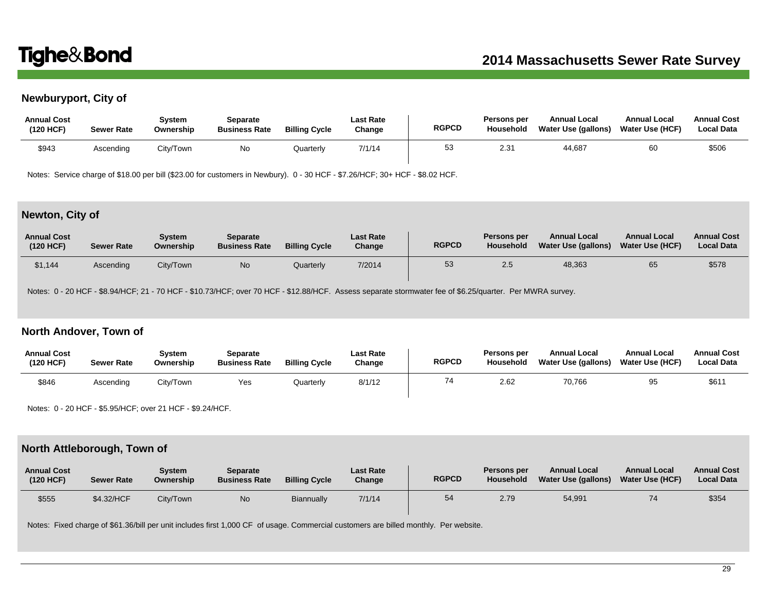# **Newburyport, City of**

| <b>Annual Cost</b><br>(120 HCF) | <b>Sewer Rate</b> | System<br>Ownership | Separate<br><b>Business Rate</b> | <b>Billing Cycle</b> | <b>Last Rate</b><br>Change | <b>RGPCD</b> | Persons per<br><b>Household</b> | <b>Annual Local</b><br>Water Use (gallons) | <b>Annual Local</b><br><b>Water Use (HCF)</b> | <b>Annual Cost</b><br><b>Local Data</b> |
|---------------------------------|-------------------|---------------------|----------------------------------|----------------------|----------------------------|--------------|---------------------------------|--------------------------------------------|-----------------------------------------------|-----------------------------------------|
| \$943                           | Ascending         | City/Town           | No                               | Quarterly            | 7/1/14                     | 53           | 2.31                            | 44.687                                     | 60                                            | \$506                                   |

Notes: Service charge of \$18.00 per bill (\$23.00 for customers in Newbury). 0 - 30 HCF - \$7.26/HCF; 30+ HCF - \$8.02 HCF.

#### **Newton, City of**

| <b>Annual Cost</b><br>(120 HCF) | <b>Sewer Rate</b> | <b>System</b><br>Ownership | <b>Separate</b><br><b>Business Rate</b> | <b>Billing Cycle</b> | <b>Last Rate</b><br>Change | <b>RGPCD</b> | Persons per<br>Household | <b>Annual Local</b><br><b>Water Use (gallons)</b> | <b>Annual Local</b><br><b>Water Use (HCF)</b> | <b>Annual Cost</b><br><b>Local Data</b> |
|---------------------------------|-------------------|----------------------------|-----------------------------------------|----------------------|----------------------------|--------------|--------------------------|---------------------------------------------------|-----------------------------------------------|-----------------------------------------|
| \$1,144                         | Ascendina         | City/Town                  | <b>No</b>                               | Quarterly            | 7/2014                     | 53           | 2.5                      | 48,363                                            | 65                                            | \$578                                   |

Notes: 0 - 20 HCF - \$8.94/HCF; 21 - 70 HCF - \$10.73/HCF; over 70 HCF - \$12.88/HCF. Assess separate stormwater fee of \$6.25/quarter. Per MWRA survey.

#### **North Andover, Town of**

| <b>Annual Cost</b><br>(120 HCF) | <b>Sewer Rate</b> | Svstem<br>Ownership | Separate<br><b>Business Rate</b> | <b>Billing Cycle</b> | Last Rate<br>Change | <b>RGPCD</b> | Persons per<br>Household | <b>Annual Local</b><br>Water Use (gallons) | <b>Annual Local</b><br><b>Water Use (HCF)</b> | <b>Annual Cost</b><br><b>Local Data</b> |
|---------------------------------|-------------------|---------------------|----------------------------------|----------------------|---------------------|--------------|--------------------------|--------------------------------------------|-----------------------------------------------|-----------------------------------------|
| \$846                           | Ascending         | City/Town           | Yes                              | Quarterl∖            | 8/1/12              | 74           | 2.62                     | 70,766                                     | 95                                            | \$611                                   |

Notes: 0 - 20 HCF - \$5.95/HCF; over 21 HCF - \$9.24/HCF.

#### **North Attleborough, Town of**

| <b>Annual Cost</b><br>(120 HCF) | <b>Sewer Rate</b> | Svstem<br>Ownership | Separate<br><b>Business Rate</b> | <b>Billing Cycle</b> | <b>Last Rate</b><br>Change | <b>RGPCD</b> | Persons per<br>Household | <b>Annual Local</b><br>Water Use (gallons) | <b>Annual Local</b><br><b>Water Use (HCF)</b> | <b>Annual Cost</b><br><b>Local Data</b> |
|---------------------------------|-------------------|---------------------|----------------------------------|----------------------|----------------------------|--------------|--------------------------|--------------------------------------------|-----------------------------------------------|-----------------------------------------|
| \$555                           | \$4.32/HCF        | City/Town           | <b>No</b>                        | <b>Biannually</b>    | 7/1/14                     | 54           | 2.79                     | 54,991                                     | 74                                            | \$354                                   |

Notes: Fixed charge of \$61.36/bill per unit includes first 1,000 CF of usage. Commercial customers are billed monthly. Per website.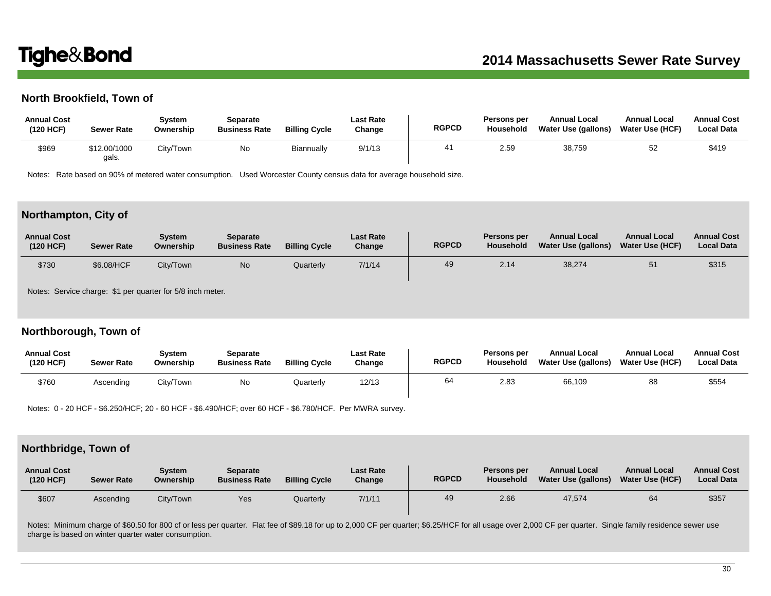### **North Brookfield, Town of**

| <b>Annual Cost</b><br>(120 HCF) | <b>Sewer Rate</b>    | Svstem<br>Ownership | Separate<br><b>Business Rate</b> | <b>Billing Cycle</b> | <b>Last Rate</b><br>Change | <b>RGPCD</b> | Persons per<br>Household | <b>Annual Local</b><br>Water Use (gallons) | <b>Annual Local</b><br>Water Use (HCF) | <b>Annual Cost</b><br><b>Local Data</b> |
|---------------------------------|----------------------|---------------------|----------------------------------|----------------------|----------------------------|--------------|--------------------------|--------------------------------------------|----------------------------------------|-----------------------------------------|
| \$969                           | \$12.00/1000<br>gals | City/Town           | Νo                               | Biannually           | 9/1/13                     |              | 2.59                     | 38,759                                     | 52                                     | \$419                                   |

Notes: Rate based on 90% of metered water consumption. Used Worcester County census data for average household size.

#### **Northampton, City of**

| <b>Annual Cost</b><br>(120 HCF) | <b>Sewer Rate</b> | Svstem<br>Ownership | <b>Separate</b><br><b>Business Rate</b> | <b>Billing Cycle</b> | <b>Last Rate</b><br>Change | <b>RGPCD</b> | Persons per<br>Household | <b>Annual Local</b><br>Water Use (gallons) | <b>Annual Local</b><br><b>Water Use (HCF)</b> | <b>Annual Cost</b><br><b>Local Data</b> |
|---------------------------------|-------------------|---------------------|-----------------------------------------|----------------------|----------------------------|--------------|--------------------------|--------------------------------------------|-----------------------------------------------|-----------------------------------------|
| \$730                           | \$6.08/HCF        | City/Town           | <b>No</b>                               | Quarterly            | 7/1/14                     | 49           | 2.14                     | 38,274                                     |                                               | \$315                                   |
|                                 | .                 |                     |                                         |                      |                            |              |                          |                                            |                                               |                                         |

Notes: Service charge: \$1 per quarter for 5/8 inch meter.

#### **Northborough, Town of**

| <b>Annual Cost</b><br>(120 HCF) | <b>Sewer Rate</b> | Svstem<br>Ownership | Separate<br><b>Business Rate</b> | <b>Billing Cycle</b> | <b>Last Rate</b><br>Change | <b>RGPCD</b> | <b>Persons per</b><br>Household | <b>Annual Local</b><br>Water Use (gallons) | <b>Annual Local</b><br><b>Water Use (HCF)</b> | <b>Annual Cost</b><br><b>Local Data</b> |
|---------------------------------|-------------------|---------------------|----------------------------------|----------------------|----------------------------|--------------|---------------------------------|--------------------------------------------|-----------------------------------------------|-----------------------------------------|
| \$760                           | Ascending         | City/Town           | No                               | Quarterly            | 12/13                      | 64           | 2.83                            | 66,109                                     | 88                                            | \$554                                   |

Notes: 0 - 20 HCF - \$6.250/HCF; 20 - 60 HCF - \$6.490/HCF; over 60 HCF - \$6.780/HCF. Per MWRA survey.

### **Northbridge, Town of**

| <b>Annual Cost</b><br>(120 HCF) | <b>Sewer Rate</b> | Svstem<br>Ownership | Separate<br><b>Business Rate</b> | <b>Billing Cycle</b> | <b>Last Rate</b><br>Change | <b>RGPCD</b> | Persons per<br>Household | <b>Annual Local</b><br>Water Use (gallons) | <b>Annual Local</b><br>Water Use (HCF) | <b>Annual Cost</b><br><b>Local Data</b> |
|---------------------------------|-------------------|---------------------|----------------------------------|----------------------|----------------------------|--------------|--------------------------|--------------------------------------------|----------------------------------------|-----------------------------------------|
| \$607                           | Ascending         | City/Town           | Yes                              | Quarterly            | 7/1/11                     | 49           | 2.66                     | 47,574                                     | 64                                     | \$357                                   |

Notes: Minimum charge of \$60.50 for 800 cf or less per quarter. Flat fee of \$89.18 for up to 2,000 CF per quarter; \$6.25/HCF for all usage over 2,000 CF per quarter. Single family residence sewer use charge is based on winter quarter water consumption.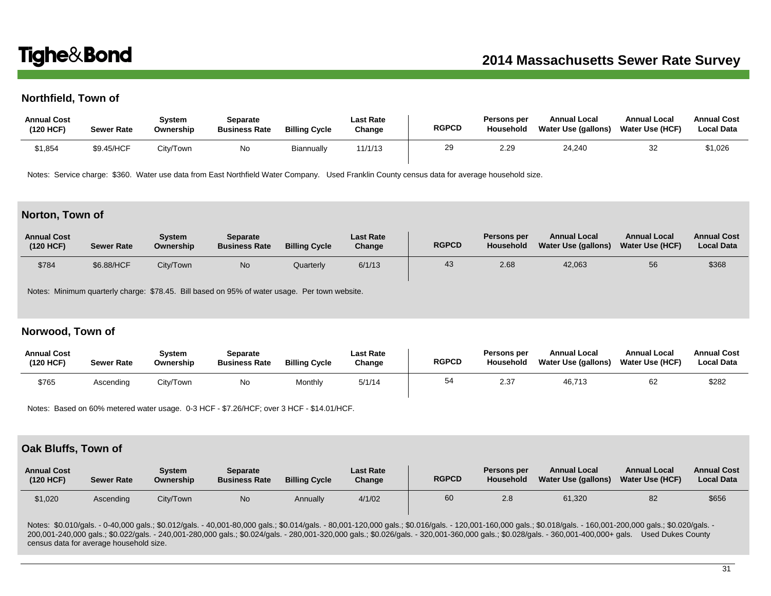### **Northfield, Town of**

| <b>Annual Cost</b><br>(120 HCF) | <b>Sewer Rate</b> | Svstem<br>Ownership | Separate<br><b>Business Rate</b> | <b>Billing Cycle</b> | Last Rate<br>Change | <b>RGPCD</b> | Persons per<br>Household | <b>Annual Local</b><br><b>Water Use (gallons)</b> | <b>Annual Local</b><br><b>Water Use (HCF)</b> | <b>Annual Cost</b><br><b>Local Data</b> |
|---------------------------------|-------------------|---------------------|----------------------------------|----------------------|---------------------|--------------|--------------------------|---------------------------------------------------|-----------------------------------------------|-----------------------------------------|
| \$1,854                         | \$9.45/HCF        | City/Town           | No                               | Biannually           | 11/1/13             | 29           | 2.29                     | 24.240                                            | 32                                            | \$1,026                                 |

Notes: Service charge: \$360. Water use data from East Northfield Water Company. Used Franklin County census data for average household size.

#### **Norton, Town of**

| <b>Annual Cost</b><br>(120 HCF) | <b>Sewer Rate</b> | <b>System</b><br>Ownership | <b>Separate</b><br><b>Business Rate</b> | <b>Billing Cycle</b> | <b>Last Rate</b><br>Change | <b>RGPCD</b> | Persons per<br>Household | <b>Annual Local</b><br>Water Use (gallons) | <b>Annual Local</b><br><b>Water Use (HCF)</b> | <b>Annual Cost</b><br><b>Local Data</b> |
|---------------------------------|-------------------|----------------------------|-----------------------------------------|----------------------|----------------------------|--------------|--------------------------|--------------------------------------------|-----------------------------------------------|-----------------------------------------|
| \$784                           | \$6.88/HCF        | City/Town                  | <b>No</b>                               | Quarterly            | 6/1/13                     | 43           | 2.68                     | 42,063                                     | 56                                            | \$368                                   |

Notes: Minimum quarterly charge: \$78.45. Bill based on 95% of water usage. Per town website.

#### **Norwood, Town of**

| <b>Annual Cost</b><br>(120 HCF) | <b>Sewer Rate</b> | Svstem<br>Ownership | Separate<br><b>Business Rate</b> | <b>Billing Cycle</b> | <b>Last Rate</b><br>Change | <b>RGPCD</b> | Persons per<br>Household | <b>Annual Local</b><br>Water Use (gallons) | <b>Annual Local</b><br><b>Water Use (HCF)</b> | <b>Annual Cost</b><br><b>Local Data</b> |
|---------------------------------|-------------------|---------------------|----------------------------------|----------------------|----------------------------|--------------|--------------------------|--------------------------------------------|-----------------------------------------------|-----------------------------------------|
| \$765                           | Ascending         | City/Town           | No                               | Monthly              | 5/1/14                     | 54           | 2.37                     | 46,713                                     | 62                                            | \$282                                   |

Notes: Based on 60% metered water usage. 0-3 HCF - \$7.26/HCF; over 3 HCF - \$14.01/HCF.

#### **Oak Bluffs, Town of**

| <b>Annual Cost</b><br>(120 HCF) | <b>Sewer Rate</b> | System<br>Ownership | Separate<br><b>Business Rate</b> | <b>Billing Cycle</b> | <b>Last Rate</b><br>Change | <b>RGPCD</b> | Persons per<br>Household | <b>Annual Local</b><br>Water Use (gallons) | <b>Annual Local</b><br><b>Water Use (HCF)</b> | <b>Annual Cost</b><br><b>Local Data</b> |
|---------------------------------|-------------------|---------------------|----------------------------------|----------------------|----------------------------|--------------|--------------------------|--------------------------------------------|-----------------------------------------------|-----------------------------------------|
| \$1,020                         | Ascending         | City/Town           | <b>No</b>                        | Annually             | 4/1/02                     | 60           | 2.8                      | 61,320                                     | 82                                            | \$656                                   |

Notes: \$0.010/gals. - 0-40,000 gals.; \$0.012/gals. - 40,001-80,000 gals.; \$0.014/gals. - 80,001-120,000 gals.; \$0.016/gals. - 120,001-160,000 gals.; \$0.018/gals. - 160,001-200,000 gals.; \$0.020/gals. 200,001-240,000 gals.; \$0.022/gals. - 240,001-280,000 gals.; \$0.024/gals. - 280,001-320,000 gals.; \$0.026/gals. - 320,001-360,000 gals.; \$0.028/gals. - 360,001-400,000+ gals. Used Dukes County census data for average household size.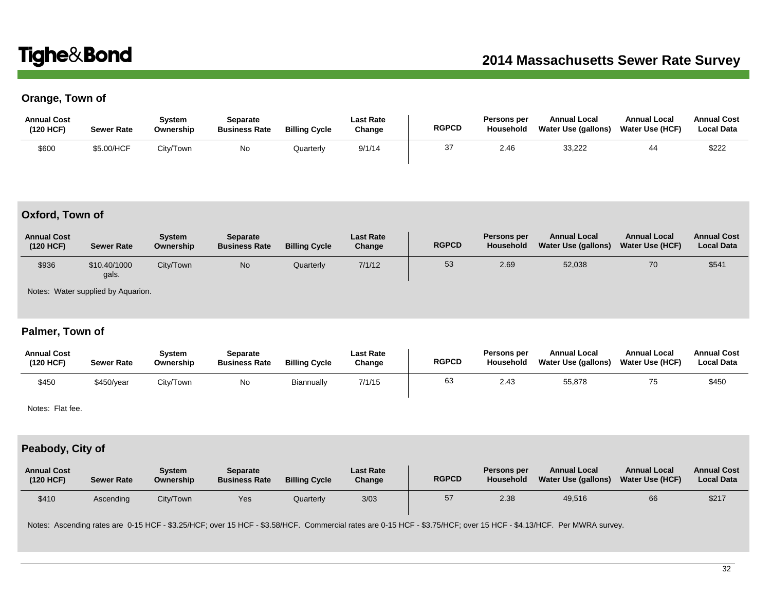# **Orange, Town of**

| <b>Annual Cost</b><br>(120 HCF) | <b>Sewer Rate</b> | Svstem<br>Ownership | Separate<br><b>Business Rate</b> | <b>Billing Cycle</b> | Last Rate<br>Change | <b>RGPCD</b> | Persons per<br>Household | <b>Annual Local</b><br>Water Use (gallons) | <b>Annual Local</b><br>Water Use (HCF) | <b>Annual Cost</b><br><b>Local Data</b> |
|---------------------------------|-------------------|---------------------|----------------------------------|----------------------|---------------------|--------------|--------------------------|--------------------------------------------|----------------------------------------|-----------------------------------------|
| \$600                           | \$5.00/HCF        | City/Town           | No                               | Quarterly            | 9/1/14              | 37           | 2.46                     | 33,222                                     | 44                                     | \$222                                   |

# **Oxford, Town of**

| <b>Annual Cost</b><br>(120 HCF) | <b>Sewer Rate</b>                  | System<br>Ownership | <b>Separate</b><br><b>Business Rate</b> | <b>Billing Cycle</b> | <b>Last Rate</b><br>Change | <b>RGPCD</b> | Persons per<br>Household | <b>Annual Local</b><br><b>Water Use (gallons)</b> | <b>Annual Local</b><br><b>Water Use (HCF)</b> | <b>Annual Cost</b><br><b>Local Data</b> |
|---------------------------------|------------------------------------|---------------------|-----------------------------------------|----------------------|----------------------------|--------------|--------------------------|---------------------------------------------------|-----------------------------------------------|-----------------------------------------|
| \$936                           | \$10.40/1000<br>gals.              | City/Town           | <b>No</b>                               | Quarterly            | 7/1/12                     | 53           | 2.69                     | 52,038                                            | 70                                            | \$541                                   |
|                                 | Notes: Water supplied by Aquarion. |                     |                                         |                      |                            |              |                          |                                                   |                                               |                                         |

# **Palmer, Town of**

| <b>Annual Cost</b><br>(120 HCF) | <b>Sewer Rate</b> | Svstem<br>Ownership | Separate<br><b>Business Rate</b> | <b>Billing Cycle</b> | <b>Last Rate</b><br>Change | <b>RGPCD</b> | Persons per<br>Household | <b>Annual Local</b><br><b>Water Use (gallons)</b> | <b>Annual Local</b><br><b>Water Use (HCF)</b> | <b>Annual Cost</b><br><b>Local Data</b> |
|---------------------------------|-------------------|---------------------|----------------------------------|----------------------|----------------------------|--------------|--------------------------|---------------------------------------------------|-----------------------------------------------|-----------------------------------------|
| \$450                           | \$450/year        | City/Town           | No                               | Biannually           | 7/1/15                     | 63           | 2.43                     | 55,878                                            | 75                                            | \$450                                   |

Notes: Flat fee.

# **Peabody, City of**

| <b>Annual Cost</b><br>(120 HCF) | <b>Sewer Rate</b> | Svstem<br>Ownership | Separate<br><b>Business Rate</b> | <b>Billing Cycle</b> | <b>Last Rate</b><br>Change | <b>RGPCD</b> | Persons per<br>Household | <b>Annual Local</b><br>Water Use (gallons) | <b>Annual Local</b><br>Water Use (HCF) | <b>Annual Cost</b><br><b>Local Data</b> |
|---------------------------------|-------------------|---------------------|----------------------------------|----------------------|----------------------------|--------------|--------------------------|--------------------------------------------|----------------------------------------|-----------------------------------------|
| \$410                           | Ascending         | City/Town           | Yes                              | Quarterly            | 3/03                       | 57           | 2.38                     | 49,516                                     | 66                                     | \$217                                   |

Notes: Ascending rates are 0-15 HCF - \$3.25/HCF; over 15 HCF - \$3.58/HCF. Commercial rates are 0-15 HCF - \$3.75/HCF; over 15 HCF - \$4.13/HCF. Per MWRA survey.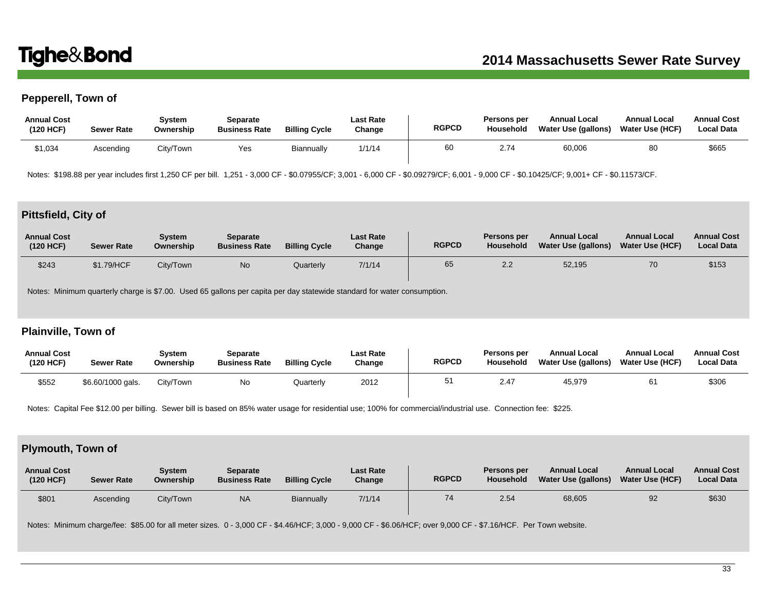# **Pepperell, Town of**

| <b>Annual Cost</b><br>(120 HCF) | Sewer Rate | Svstem<br>Ownership | Separate<br><b>Business Rate</b> | <b>Billing Cycle</b> | <b>Last Rate</b><br>Change | <b>RGPCD</b> | Persons per<br>Household | <b>Annual Local</b><br>Water Use (gallons) | <b>Annual Local</b><br>Water Use (HCF) | <b>Annual Cost</b><br><b>Local Data</b> |
|---------------------------------|------------|---------------------|----------------------------------|----------------------|----------------------------|--------------|--------------------------|--------------------------------------------|----------------------------------------|-----------------------------------------|
| \$1,034                         | Ascending  | City/Town           | Yes                              | Biannually           | 1/1/14                     | 60           | 2.74                     | 60,006                                     | 80                                     | \$665                                   |

Notes: \$198.88 per year includes first 1,250 CF per bill. 1,251 - 3,000 CF - \$0.07955/CF; 3,001 - 6,000 CF - \$0.09279/CF; 6,001 - 9,000 CF - \$0.10425/CF; 9,001+ CF - \$0.11573/CF.

#### **Pittsfield, City of**

| <b>Annual Cost</b><br>(120 HCF) | <b>Sewer Rate</b> | <b>System</b><br>Ownership | Separate<br><b>Business Rate</b> | <b>Billing Cycle</b> | <b>Last Rate</b><br>Change | <b>RGPCD</b> | Persons per<br>Household | <b>Annual Local</b><br><b>Water Use (gallons)</b> | <b>Annual Local</b><br><b>Water Use (HCF)</b> | <b>Annual Cost</b><br><b>Local Data</b> |
|---------------------------------|-------------------|----------------------------|----------------------------------|----------------------|----------------------------|--------------|--------------------------|---------------------------------------------------|-----------------------------------------------|-----------------------------------------|
| \$243                           | \$1.79/HCF        | City/Town                  | No.                              | Quarterly            | 7/1/14                     | 65           | 2.2                      | 52,195                                            | 70                                            | \$153                                   |

Notes: Minimum quarterly charge is \$7.00. Used 65 gallons per capita per day statewide standard for water consumption.

#### **Plainville, Town of**

| <b>Annual Cost</b><br>(120 HCF) | <b>Sewer Rate</b> | Svstem<br>Ownership | Separate<br><b>Business Rate</b> | <b>Billing Cycle</b> | <b>Last Rate</b><br>Change | <b>RGPCD</b> | <b>Persons per</b><br><b>Household</b> | <b>Annual Local</b><br>Water Use (gallons) | <b>Annual Local</b><br><b>Water Use (HCF)</b> | <b>Annual Cost</b><br><b>Local Data</b> |
|---------------------------------|-------------------|---------------------|----------------------------------|----------------------|----------------------------|--------------|----------------------------------------|--------------------------------------------|-----------------------------------------------|-----------------------------------------|
| \$552                           | \$6.60/1000 gals. | City/Town           | No                               | Quarterly            | 2012                       | 51           | 2.47                                   | 45.979                                     | 61                                            | \$306                                   |

Notes: Capital Fee \$12.00 per billing. Sewer bill is based on 85% water usage for residential use; 100% for commercial/industrial use. Connection fee: \$225.

### **Plymouth, Town of**

| <b>Annual Cost</b><br>(120 HCF) | <b>Sewer Rate</b> | <b>System</b><br>Ownership | Separate<br><b>Business Rate</b> | <b>Billing Cycle</b> | <b>Last Rate</b><br>Change | <b>RGPCD</b> | Persons per<br>Household | <b>Annual Local</b><br>Water Use (gallons) | <b>Annual Local</b><br>Water Use (HCF) | <b>Annual Cost</b><br><b>Local Data</b> |
|---------------------------------|-------------------|----------------------------|----------------------------------|----------------------|----------------------------|--------------|--------------------------|--------------------------------------------|----------------------------------------|-----------------------------------------|
| \$801                           | Ascending         | City/Town                  | <b>NA</b>                        | Biannually           | 7/1/14                     | 74           | 2.54                     | 68,605                                     | 92                                     | \$630                                   |

Notes: Minimum charge/fee: \$85.00 for all meter sizes. 0 - 3,000 CF - \$4.46/HCF; 3,000 - 9,000 CF - \$6.06/HCF; over 9,000 CF - \$7.16/HCF. Per Town website.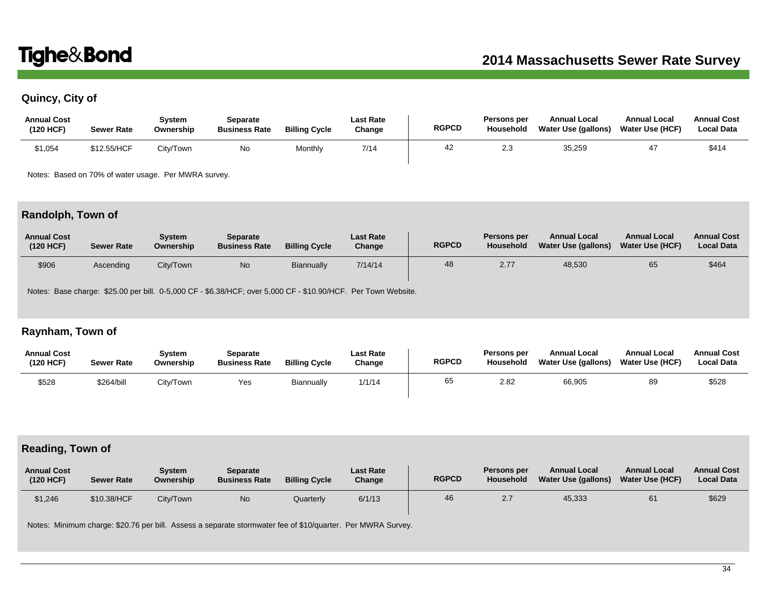# **Quincy, City of**

| <b>Annual Cost</b><br>(120 HCF) | <b>Sewer Rate</b> | Svstem<br>Ownership | Separate<br><b>Business Rate</b> | <b>Billing Cycle</b> | Last Rate<br>Change | <b>RGPCD</b> | Persons per<br>Household | <b>Annual Local</b><br>Water Use (gallons) | <b>Annual Local</b><br><b>Water Use (HCF)</b> | <b>Annual Cost</b><br><b>Local Data</b> |
|---------------------------------|-------------------|---------------------|----------------------------------|----------------------|---------------------|--------------|--------------------------|--------------------------------------------|-----------------------------------------------|-----------------------------------------|
| \$1,054                         | \$12.55/HCF       | City/Town           | No                               | Monthly              | 7/14                | 42           | 2.3                      | 35,259                                     |                                               | \$414                                   |

Notes: Based on 70% of water usage. Per MWRA survey.

### **Randolph, Town of**

| <b>Annual Cost</b><br>(120 HCF) | <b>Sewer Rate</b> | Svstem<br>Ownership | <b>Separate</b><br><b>Business Rate</b> | <b>Billing Cycle</b> | <b>Last Rate</b><br>Change | <b>RGPCD</b> | Persons per<br><b>Household</b> | <b>Annual Local</b><br>Water Use (gallons) | <b>Annual Local</b><br><b>Water Use (HCF)</b> | <b>Annual Cost</b><br><b>Local Data</b> |
|---------------------------------|-------------------|---------------------|-----------------------------------------|----------------------|----------------------------|--------------|---------------------------------|--------------------------------------------|-----------------------------------------------|-----------------------------------------|
| \$906                           | Ascending         | City/Town           | <b>No</b>                               | Biannually           | 7/14/14                    | 48           | 2.77                            | 48,530                                     | 65                                            | \$464                                   |

Notes: Base charge: \$25.00 per bill. 0-5,000 CF - \$6.38/HCF; over 5,000 CF - \$10.90/HCF. Per Town Website.

### **Raynham, Town of**

| <b>Annual Cost</b><br>(120 HCF) | <b>Sewer Rate</b> | Svstem<br>Ownership | Separate<br><b>Business Rate</b> | <b>Billing Cycle</b> | Last Rate<br>Change | <b>RGPCD</b> | Persons per<br>Household | <b>Annual Local</b><br>Water Use (gallons) | <b>Annual Local</b><br><b>Water Use (HCF)</b> | <b>Annual Cost</b><br><b>Local Data</b> |
|---------------------------------|-------------------|---------------------|----------------------------------|----------------------|---------------------|--------------|--------------------------|--------------------------------------------|-----------------------------------------------|-----------------------------------------|
| \$528                           | \$264/bill        | City/Town           | Yes                              | Biannually           | 1/1/14              | 65           | 2.82                     | 66,905                                     | 89                                            | \$528                                   |

## **Reading, Town of**

| <b>Annual Cost</b><br>(120 HCF) | <b>Sewer Rate</b> | Svstem<br>Ownership | Separate<br><b>Business Rate</b> | <b>Billing Cycle</b> | <b>Last Rate</b><br>Change | <b>RGPCD</b> | Persons per<br>Household | <b>Annual Local</b><br>Water Use (gallons) | <b>Annual Local</b><br><b>Water Use (HCF)</b> | <b>Annual Cost</b><br><b>Local Data</b> |
|---------------------------------|-------------------|---------------------|----------------------------------|----------------------|----------------------------|--------------|--------------------------|--------------------------------------------|-----------------------------------------------|-----------------------------------------|
| \$1,246                         | \$10.38/HCF       | City/Town           | No.                              | Quarterly            | 6/1/13                     | 46           | 2.7                      | 45,333                                     | 61                                            | \$629                                   |

Notes: Minimum charge: \$20.76 per bill. Assess a separate stormwater fee of \$10/quarter. Per MWRA Survey.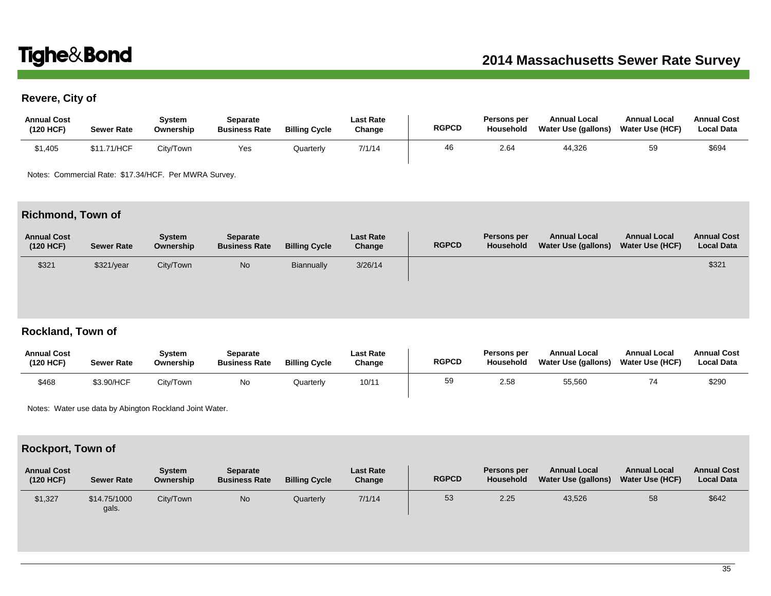# **Revere, City of**

| <b>Annual Cost</b><br>(120 HCF) | <b>Sewer Rate</b> | Svstem<br>Ownership | Separate<br><b>Business Rate</b> | <b>Billing Cycle</b> | <b>Last Rate</b><br>Change | <b>RGPCD</b> | Persons per<br>Household | <b>Annual Local</b><br>Water Use (gallons) | <b>Annual Local</b><br><b>Water Use (HCF)</b> | <b>Annual Cost</b><br><b>Local Data</b> |
|---------------------------------|-------------------|---------------------|----------------------------------|----------------------|----------------------------|--------------|--------------------------|--------------------------------------------|-----------------------------------------------|-----------------------------------------|
| \$1,405                         | \$11.71/HCF       | Citv/Town           | Yes                              | Quarterly            | 7/1/14                     | 46           | 2.64                     | 44.326                                     | 59                                            | \$694                                   |

Notes: Commercial Rate: \$17.34/HCF. Per MWRA Survey.

# **Richmond, Town of**

| <b>Annual Cost</b><br>(120 HCF) | <b>Sewer Rate</b> | System<br>Ownership | Separate<br><b>Business Rate</b> | <b>Billing Cycle</b> | <b>Last Rate</b><br>Change | <b>RGPCD</b> | Persons per<br>Household | <b>Annual Local</b><br>Water Use (gallons) | <b>Annual Local</b><br>Water Use (HCF) | <b>Annual Cost</b><br><b>Local Data</b> |
|---------------------------------|-------------------|---------------------|----------------------------------|----------------------|----------------------------|--------------|--------------------------|--------------------------------------------|----------------------------------------|-----------------------------------------|
| \$321                           | \$321/year        | City/Town           | <b>No</b>                        | Biannually           | 3/26/14                    |              |                          |                                            |                                        | \$321                                   |
|                                 |                   |                     |                                  |                      |                            |              |                          |                                            |                                        |                                         |

### **Rockland, Town of**

| <b>Annual Cost</b><br>(120 HCF) | <b>Sewer Rate</b> | Svstem<br>Ownership | Separate<br><b>Business Rate</b> | <b>Billing Cycle</b> | <b>Last Rate</b><br>Change | <b>RGPCD</b> | Persons per<br>Household | <b>Annual Local</b><br>Water Use (gallons) | <b>Annual Local</b><br><b>Water Use (HCF)</b> | <b>Annual Cost</b><br><b>Local Data</b> |
|---------------------------------|-------------------|---------------------|----------------------------------|----------------------|----------------------------|--------------|--------------------------|--------------------------------------------|-----------------------------------------------|-----------------------------------------|
| \$468                           | \$3.90/HCF        | Citv/Town_          | No                               | Quarterly            | 10/11                      | 59           | 2.58                     | 55,560                                     | 74                                            | \$290                                   |

Notes: Water use data by Abington Rockland Joint Water.

# **Rockport, Town of**

| <b>Annual Cost</b><br>(120 HCF) | <b>Sewer Rate</b>     | Svstem<br>Ownership | <b>Separate</b><br><b>Business Rate</b> | <b>Billing Cycle</b> | <b>Last Rate</b><br>Change | <b>RGPCD</b> | Persons per<br>Household | <b>Annual Local</b><br><b>Water Use (gallons)</b> | <b>Annual Local</b><br>Water Use (HCF) | <b>Annual Cost</b><br><b>Local Data</b> |
|---------------------------------|-----------------------|---------------------|-----------------------------------------|----------------------|----------------------------|--------------|--------------------------|---------------------------------------------------|----------------------------------------|-----------------------------------------|
| \$1,327                         | \$14.75/1000<br>gals. | City/Town           | No                                      | Quarterly            | 7/1/14                     | 53           | 2.25                     | 43,526                                            | 58                                     | \$642                                   |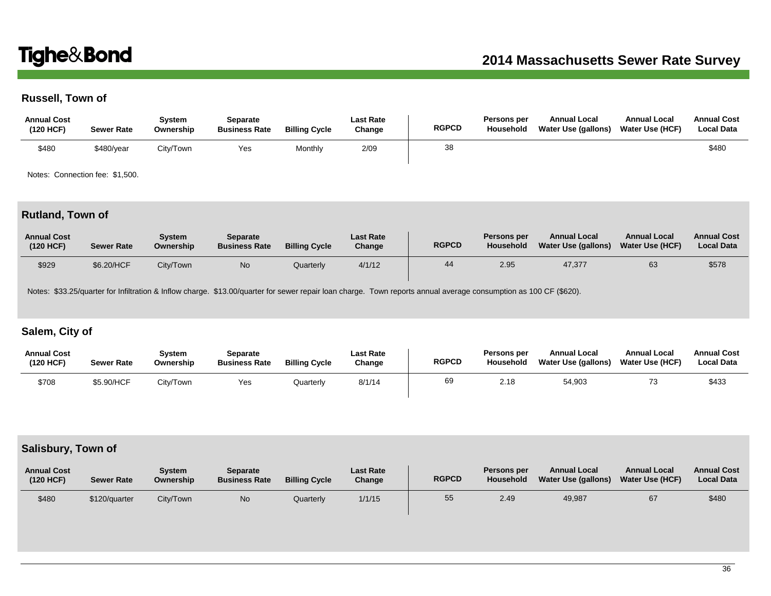## **Russell, Town of**

| <b>Annual Cost</b><br>(120 HCF) | <b>Sewer Rate</b> | Svstem<br>Ownership | Separate<br><b>Business Rate</b> | <b>Billing Cycle</b> | <b>Last Rate</b><br>Change | <b>RGPCD</b> | Persons per<br>Household | <b>Annual Local</b><br>Water Use (gallons) | <b>Annual Local</b><br><b>Water Use (HCF)</b> | <b>Annual Cost</b><br><b>Local Data</b> |
|---------------------------------|-------------------|---------------------|----------------------------------|----------------------|----------------------------|--------------|--------------------------|--------------------------------------------|-----------------------------------------------|-----------------------------------------|
| \$480                           | \$480/year        | City/Town           | Yes                              | Monthly              | 2/09                       | 38           |                          |                                            |                                               | \$480                                   |

Notes: Connection fee: \$1,500.

# **Rutland, Town of**

| <b>Annual Cost</b><br>(120 HCF) | <b>Sewer Rate</b> | Svstem<br>Ownership | Separate<br><b>Business Rate</b> | <b>Billing Cycle</b> | <b>Last Rate</b><br>Change | <b>RGPCD</b> | Persons per<br>Household | <b>Annual Local</b><br><b>Water Use (gallons)</b> | <b>Annual Local</b><br><b>Water Use (HCF)</b> | <b>Annual Cost</b><br><b>Local Data</b> |
|---------------------------------|-------------------|---------------------|----------------------------------|----------------------|----------------------------|--------------|--------------------------|---------------------------------------------------|-----------------------------------------------|-----------------------------------------|
| \$929                           | \$6.20/HCF        | City/Town           | <b>No</b>                        | Quarterly            | 4/1/12                     | 44           | 2.95                     | 47,377                                            | 63                                            | \$578                                   |

Notes: \$33.25/quarter for Infiltration & Inflow charge. \$13.00/quarter for sewer repair loan charge. Town reports annual average consumption as 100 CF (\$620).

### **Salem, City of**

| <b>Annual Cost</b><br>(120 HCF) | <b>Sewer Rate</b> | Svstem<br>Ownership | Separate<br><b>Business Rate</b> | <b>Billing Cycle</b> | <b>Last Rate</b><br>Change | <b>RGPCD</b> | Persons per<br><b>Household</b> | <b>Annual Local</b><br><b>Water Use (gallons)</b> | <b>Annual Local</b><br><b>Water Use (HCF)</b> | <b>Annual Cost</b><br><b>Local Data</b> |
|---------------------------------|-------------------|---------------------|----------------------------------|----------------------|----------------------------|--------------|---------------------------------|---------------------------------------------------|-----------------------------------------------|-----------------------------------------|
| \$708                           | \$5.90/HCF        | City/Town           | Yes                              | Quarterly            | 8/1/14                     | 69           | 2.18                            | 54.903                                            | 73                                            | \$433                                   |

# **Salisbury, Town of**

| <b>Annual Cost</b><br>(120 HCF) | <b>Sewer Rate</b> | Svstem<br>Ownership | <b>Separate</b><br><b>Business Rate</b> | <b>Billing Cycle</b> | <b>Last Rate</b><br>Change | <b>RGPCD</b> | Persons per<br>Household | <b>Annual Local</b><br><b>Water Use (gallons)</b> | <b>Annual Local</b><br><b>Water Use (HCF)</b> | <b>Annual Cost</b><br><b>Local Data</b> |
|---------------------------------|-------------------|---------------------|-----------------------------------------|----------------------|----------------------------|--------------|--------------------------|---------------------------------------------------|-----------------------------------------------|-----------------------------------------|
| \$480                           | \$120/quarter     | City/Town           | <b>No</b>                               | Quarterly            | 1/1/15                     | 55           | 2.49                     | 49,987                                            | 67                                            | \$480                                   |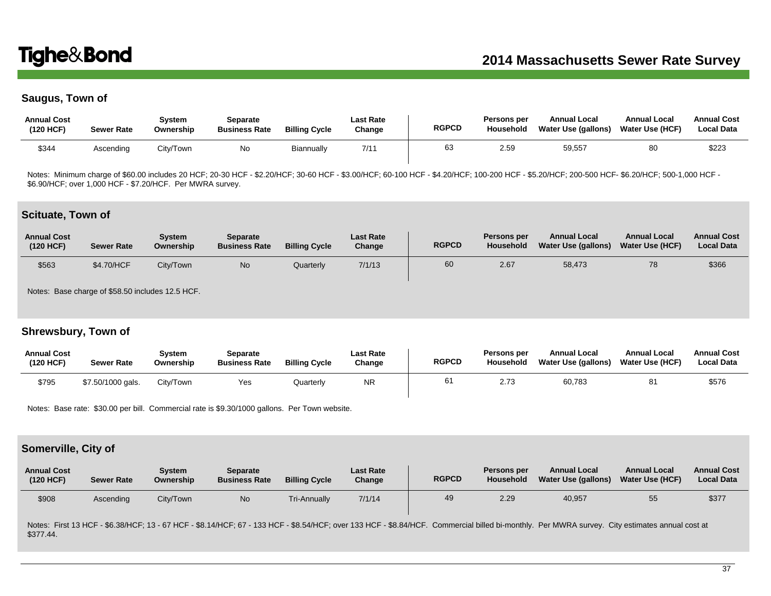## **Saugus, Town of**

| <b>Annual Cost</b><br>(120 HCF) | <b>Sewer Rate</b> | System<br>Ownership | Separate<br><b>Business Rate</b> | <b>Billing Cycle</b> | <b>Last Rate</b><br>Change | <b>RGPCD</b> | Persons per<br>Household | <b>Annual Local</b><br>Water Use (gallons) | <b>Annual Local</b><br>Water Use (HCF) | <b>Annual Cost</b><br><b>Local Data</b> |
|---------------------------------|-------------------|---------------------|----------------------------------|----------------------|----------------------------|--------------|--------------------------|--------------------------------------------|----------------------------------------|-----------------------------------------|
| \$344                           | Ascending         | City/Town           | No.                              | <b>Biannually</b>    | 7/1                        | 63           | 2.59                     | 59,557                                     | 80                                     | \$223                                   |

Notes: Minimum charge of \$60.00 includes 20 HCF; 20-30 HCF - \$2.20/HCF; 30-60 HCF - \$3.00/HCF; 60-100 HCF - \$4.20/HCF; 100-200 HCF - \$5.20/HCF; 200-500 HCF- \$6.20/HCF; 500-1,000 HCF -\$6.90/HCF; over 1,000 HCF - \$7.20/HCF. Per MWRA survey.

#### **Scituate, Town of**

| <b>Annual Cost</b><br>(120 HCF) | <b>Sewer Rate</b>                                | System<br>Ownership | <b>Separate</b><br><b>Business Rate</b> | <b>Billing Cycle</b> | <b>Last Rate</b><br>Change | <b>RGPCD</b> | Persons per<br>Household | <b>Annual Local</b><br>Water Use (gallons) | <b>Annual Local</b><br><b>Water Use (HCF)</b> | <b>Annual Cost</b><br><b>Local Data</b> |
|---------------------------------|--------------------------------------------------|---------------------|-----------------------------------------|----------------------|----------------------------|--------------|--------------------------|--------------------------------------------|-----------------------------------------------|-----------------------------------------|
| \$563                           | \$4.70/HCF                                       | City/Town           | <b>No</b>                               | Quarterly            | 7/1/13                     | 60           | 2.67                     | 58,473                                     |                                               | \$366                                   |
|                                 | Notes: Page oberge of $QED$ EQ included 12 E HCE |                     |                                         |                      |                            |              |                          |                                            |                                               |                                         |

charge of \$58.50 includes 12.5 HCF

### **Shrewsbury, Town of**

| <b>Annual Cost</b><br>(120 HCF) | <b>Sewer Rate</b> | Svstem<br>Ownership | Separate<br><b>Business Rate</b> | <b>Billing Cycle</b> | Last Rate<br>Change | <b>RGPCD</b> | Persons per<br><b>Household</b> | <b>Annual Local</b><br>Water Use (gallons) | <b>Annual Local</b><br><b>Water Use (HCF)</b> | <b>Annual Cost</b><br><b>Local Data</b> |
|---------------------------------|-------------------|---------------------|----------------------------------|----------------------|---------------------|--------------|---------------------------------|--------------------------------------------|-----------------------------------------------|-----------------------------------------|
| \$795                           | \$7.50/1000 gals. | City/Town           | Yes                              | Quarterly            | <b>NR</b>           | 61           | 2.73                            | 60,783                                     | 81                                            | \$576                                   |

Notes: Base rate: \$30.00 per bill. Commercial rate is \$9.30/1000 gallons. Per Town website.

## **Somerville, City of**

| <b>Annual Cost</b><br>(120 HCF) | <b>Sewer Rate</b> | <b>System</b><br>Ownership | <b>Separate</b><br><b>Business Rate</b> | <b>Billing Cycle</b> | <b>Last Rate</b><br>Change | <b>RGPCD</b> | Persons per<br>Household | <b>Annual Local</b><br>Water Use (gallons)                                                                                                                                                     | <b>Annual Local</b><br><b>Water Use (HCF)</b> | <b>Annual Cost</b><br><b>Local Data</b> |
|---------------------------------|-------------------|----------------------------|-----------------------------------------|----------------------|----------------------------|--------------|--------------------------|------------------------------------------------------------------------------------------------------------------------------------------------------------------------------------------------|-----------------------------------------------|-----------------------------------------|
| \$908                           | Ascending         | City/Town                  | <b>No</b>                               | Tri-Annually         | 7/1/14                     | 49           | 2.29                     | 40,957                                                                                                                                                                                         | 55                                            | \$377                                   |
| \$377.44.                       |                   |                            |                                         |                      |                            |              |                          | Notes: First 13 HCF - \$6.38/HCF; 13 - 67 HCF - \$8.14/HCF; 67 - 133 HCF - \$8.54/HCF; over 133 HCF - \$8.84/HCF. Commercial billed bi-monthly. Per MWRA survey. City estimates annual cost at |                                               |                                         |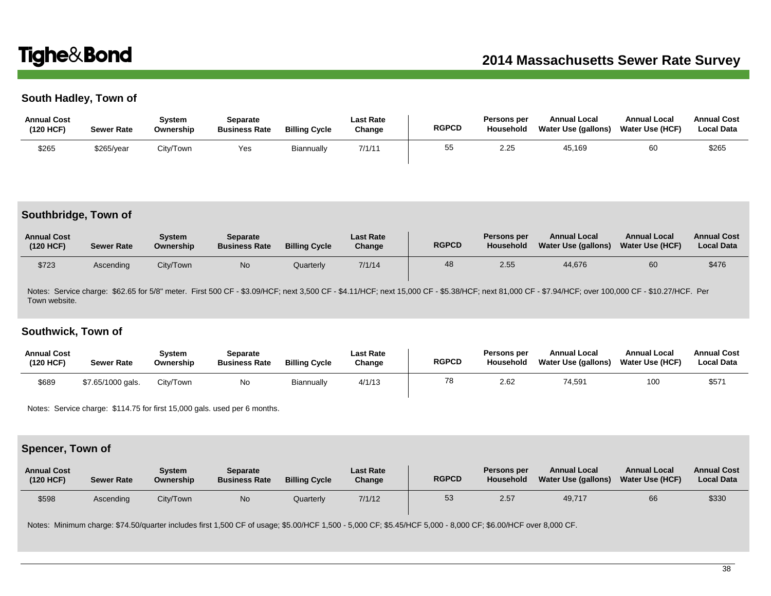# **South Hadley, Town of**

| <b>Annual Cost</b><br>(120 HCF) | <b>Sewer Rate</b> | Svstem<br>Ownership | Separate<br><b>Business Rate</b> | <b>Billing Cycle</b> | Last Rate<br>Change | <b>RGPCD</b> | Persons per<br>Household | <b>Annual Local</b><br><b>Water Use (gallons)</b> | <b>Annual Local</b><br><b>Water Use (HCF)</b> | <b>Annual Cost</b><br><b>Local Data</b> |
|---------------------------------|-------------------|---------------------|----------------------------------|----------------------|---------------------|--------------|--------------------------|---------------------------------------------------|-----------------------------------------------|-----------------------------------------|
| \$265                           | \$265/year        | City/Town           | Yes                              | Biannually           | 7/1/1'              | 55           | 2.25                     | 45,169                                            |                                               | \$265                                   |

#### **Southbridge, Town of**

| <b>Annual Cost</b><br>(120 HCF) | <b>Sewer Rate</b> | <b>System</b><br>Ownership | <b>Separate</b><br><b>Business Rate</b> | <b>Billing Cycle</b> | <b>Last Rate</b><br>Change | <b>RGPCD</b> | Persons per<br>Household | <b>Annual Local</b><br><b>Water Use (gallons)</b> | <b>Annual Local</b><br><b>Water Use (HCF)</b> | <b>Annual Cost</b><br><b>Local Data</b> |
|---------------------------------|-------------------|----------------------------|-----------------------------------------|----------------------|----------------------------|--------------|--------------------------|---------------------------------------------------|-----------------------------------------------|-----------------------------------------|
| \$723                           | Ascendina         | City/Town                  | <b>No</b>                               | Quarterly            | 7/1/14                     | 48           | 2.55                     | 44,676                                            | 60                                            | \$476                                   |

Notes: Service charge: \$62.65 for 5/8" meter. First 500 CF - \$3.09/HCF; next 3,500 CF - \$4.11/HCF; next 15,000 CF - \$5.38/HCF; next 81,000 CF - \$7.94/HCF; over 100,000 CF - \$10.27/HCF. Per Town website.

#### **Southwick, Town of**

| <b>Annual Cost</b><br>(120 HCF) | <b>Sewer Rate</b> | Svstem<br>Ownership | Separate<br><b>Business Rate</b> | <b>Billing Cycle</b> | Last Rate<br>Change | <b>RGPCD</b> | Persons per<br><b>Household</b> | <b>Annual Local</b><br>Water Use (gallons) | <b>Annual Local</b><br><b>Water Use (HCF)</b> | <b>Annual Cost</b><br><b>Local Data</b> |
|---------------------------------|-------------------|---------------------|----------------------------------|----------------------|---------------------|--------------|---------------------------------|--------------------------------------------|-----------------------------------------------|-----------------------------------------|
| \$689                           | \$7.65/1000 gals. | City/Town           | N0                               | Biannually           | 4/1/13              | 78           | 2.62                            | 74.591                                     | 100                                           | \$57'                                   |

Notes: Service charge: \$114.75 for first 15,000 gals. used per 6 months.

## **Spencer, Town of**

| <b>Annual Cost</b><br>(120 HCF) | <b>Sewer Rate</b> | Svstem<br>Ownership | Separate<br><b>Business Rate</b> | <b>Billing Cycle</b> | <b>Last Rate</b><br>Change | <b>RGPCD</b> | Persons per<br>Household | <b>Annual Local</b><br>Water Use (gallons) | <b>Annual Local</b><br>Water Use (HCF) | <b>Annual Cost</b><br>Local Data |
|---------------------------------|-------------------|---------------------|----------------------------------|----------------------|----------------------------|--------------|--------------------------|--------------------------------------------|----------------------------------------|----------------------------------|
| \$598                           | Ascending         | City/Town           | <b>No</b>                        | Quarterly            | 7/1/12                     | 53           | 2.57                     | 49,717                                     | 66                                     | \$330                            |

Notes: Minimum charge: \$74.50/quarter includes first 1,500 CF of usage; \$5.00/HCF 1,500 - 5,000 CF; \$5.45/HCF 5,000 - 8,000 CF; \$6.00/HCF over 8,000 CF.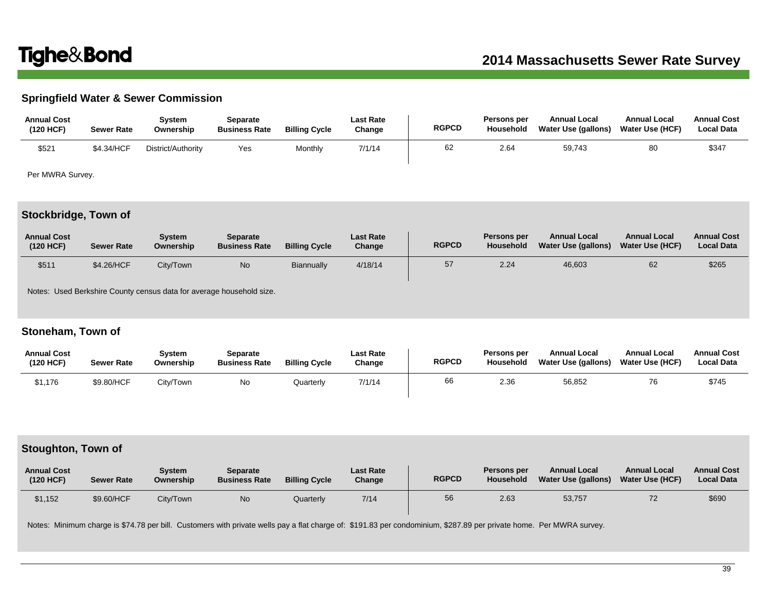### **Springfield Water & Sewer Commission**

| <b>Annual Cost</b><br>(120 HCF) | <b>Sewer Rate</b> | System<br>Ownership | <b>Separate</b><br><b>Business Rate</b> | <b>Billing Cycle</b> | <b>Last Rate</b><br>Change | <b>RGPCD</b> | Persons per<br>Household | <b>Annual Local</b><br>Water Use (gallons) | <b>Annual Local</b><br><b>Water Use (HCF)</b> | <b>Annual Cost</b><br><b>Local Data</b> |
|---------------------------------|-------------------|---------------------|-----------------------------------------|----------------------|----------------------------|--------------|--------------------------|--------------------------------------------|-----------------------------------------------|-----------------------------------------|
| \$521                           | \$4.34/HCF        | District/Authority  | Yes                                     | Monthly              | 7/1/14                     | 62           | 2.64                     | 59,743                                     | 80                                            | \$347                                   |

Per MWRA Survey.

### **Stockbridge, Town of**

| <b>Annual Cost</b><br>(120 HCF) | <b>Sewer Rate</b> | Svstem<br>Ownership | <b>Separate</b><br><b>Business Rate</b> | <b>Billing Cycle</b> | <b>Last Rate</b><br>Change | <b>RGPCD</b> | Persons per<br>Household | <b>Annual Local</b><br>Water Use (gallons) | <b>Annual Local</b><br>Water Use (HCF) | <b>Annual Cost</b><br><b>Local Data</b> |
|---------------------------------|-------------------|---------------------|-----------------------------------------|----------------------|----------------------------|--------------|--------------------------|--------------------------------------------|----------------------------------------|-----------------------------------------|
| \$51'                           | \$4.26/HCF        | City/Town           | <b>No</b>                               | Biannually           | 4/18/14                    | 57           | 2.24                     | 46,603                                     | 62                                     | \$265                                   |

Notes: Used Berkshire County census data for average household size.

### **Stoneham, Town of**

| <b>Annual Cost</b><br>(120 HCF) | <b>Sewer Rate</b> | Svstem<br>Ownership | Separate<br><b>Business Rate</b> | <b>Billing Cycle</b> | Last Rate<br>Change | <b>RGPCD</b> | Persons per<br><b>Household</b> | <b>Annual Local</b><br>Water Use (gallons) | <b>Annual Local</b><br><b>Water Use (HCF)</b> | <b>Annual Cost</b><br><b>Local Data</b> |
|---------------------------------|-------------------|---------------------|----------------------------------|----------------------|---------------------|--------------|---------------------------------|--------------------------------------------|-----------------------------------------------|-----------------------------------------|
| \$1,176                         | \$9.80/HCF        | Citv/Town           | No                               | Quarterly            | 7/1/14              | 66           | 2.36                            | 56,852                                     | 76                                            | \$745                                   |

### **Stoughton, Town of**

| <b>Annual Cost</b><br>(120 HCF) | <b>Sewer Rate</b> | Svstem<br>Ownership | <b>Separate</b><br><b>Business Rate</b> | <b>Billing Cycle</b> | Last Rate<br>Change | <b>RGPCD</b> | Persons per<br>Household | <b>Annual Local</b><br><b>Water Use (gallons)</b> | <b>Annual Local</b><br><b>Water Use (HCF)</b> | <b>Annual Cost</b><br><b>Local Data</b> |
|---------------------------------|-------------------|---------------------|-----------------------------------------|----------------------|---------------------|--------------|--------------------------|---------------------------------------------------|-----------------------------------------------|-----------------------------------------|
| \$1,152                         | \$9.60/HCF        | Citv/Town           | <b>No</b>                               | Quarterly            | 7/14                | 56           | 2.63                     | 53,757                                            | 72.<br>$\epsilon$                             | \$690                                   |

Notes: Minimum charge is \$74.78 per bill. Customers with private wells pay a flat charge of: \$191.83 per condominium, \$287.89 per private home. Per MWRA survey.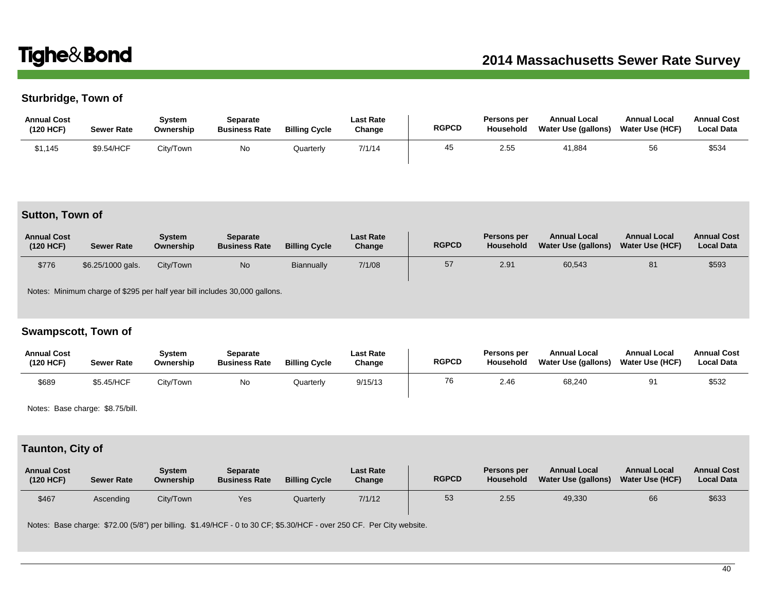# **Sturbridge, Town of**

| <b>Annual Cost</b><br>(120 HCF) | <b>Sewer Rate</b> | Svstem<br>Ownership | Separate<br><b>Business Rate</b> | <b>Billing Cycle</b> | Last Rate<br>Change | <b>RGPCD</b> | Persons per<br>Household | <b>Annual Local</b><br><b>Water Use (gallons)</b> | <b>Annual Local</b><br><b>Water Use (HCF)</b> | <b>Annual Cost</b><br><b>Local Data</b> |
|---------------------------------|-------------------|---------------------|----------------------------------|----------------------|---------------------|--------------|--------------------------|---------------------------------------------------|-----------------------------------------------|-----------------------------------------|
| \$1,145                         | \$9.54/HCF        | City/Town           | No                               | Quarterly            | 7/1/14              | 45           | 2.55                     | 41.884                                            | 56                                            | \$534                                   |

### **Sutton, Town of**

| <b>Annual Cost</b><br>(120 HCF) | <b>Sewer Rate</b> | System<br>Ownership | <b>Separate</b><br><b>Business Rate</b> | <b>Billing Cycle</b> | <b>Last Rate</b><br>Change | <b>RGPCD</b> | Persons per<br>Household | <b>Annual Local</b><br>Water Use (gallons) | <b>Annual Local</b><br><b>Water Use (HCF)</b> | <b>Annual Cost</b><br><b>Local Data</b> |
|---------------------------------|-------------------|---------------------|-----------------------------------------|----------------------|----------------------------|--------------|--------------------------|--------------------------------------------|-----------------------------------------------|-----------------------------------------|
| \$776                           | \$6.25/1000 gals. | City/Town           | <b>No</b>                               | <b>Biannually</b>    | 7/1/08                     | 57           | 2.91                     | 60,543                                     | 81                                            | \$593                                   |

Notes: Minimum charge of \$295 per half year bill includes 30,000 gallons.

### **Swampscott, Town of**

| <b>Annual Cost</b><br>(120 HCF) | <b>Sewer Rate</b> | Svstem<br>Ownership | Separate<br><b>Business Rate</b> | <b>Billing Cycle</b> | <b>Last Rate</b><br>Change | <b>RGPCD</b> | Persons per<br>Household | <b>Annual Local</b><br>Water Use (gallons) | <b>Annual Local</b><br><b>Water Use (HCF)</b> | <b>Annual Cost</b><br><b>Local Data</b> |
|---------------------------------|-------------------|---------------------|----------------------------------|----------------------|----------------------------|--------------|--------------------------|--------------------------------------------|-----------------------------------------------|-----------------------------------------|
| \$689                           | \$5.45/HCF        | City/Town           | No                               | Quarterly            | 9/15/13                    | 76           | 2.46                     | 68,240                                     | 91                                            | \$532                                   |

Notes: Base charge: \$8.75/bill.

# **Taunton, City of**

| <b>Annual Cost</b><br>(120 HCF) | <b>Sewer Rate</b> | System<br>Ownership | Separate<br><b>Business Rate</b> | <b>Billing Cycle</b> | <b>Last Rate</b><br>Change | <b>RGPCD</b> | Persons per<br>Household | <b>Annual Local</b><br>Water Use (gallons) | <b>Annual Local</b><br>Water Use (HCF) | <b>Annual Cost</b><br><b>Local Data</b> |
|---------------------------------|-------------------|---------------------|----------------------------------|----------------------|----------------------------|--------------|--------------------------|--------------------------------------------|----------------------------------------|-----------------------------------------|
| \$467                           | Ascending         | City/Town           | Yes                              | Quarterly            | 7/1/12                     | 53           | 2.55                     | 49,330                                     | 66                                     | \$633                                   |

Notes: Base charge: \$72.00 (5/8") per billing. \$1.49/HCF - 0 to 30 CF; \$5.30/HCF - over 250 CF. Per City website.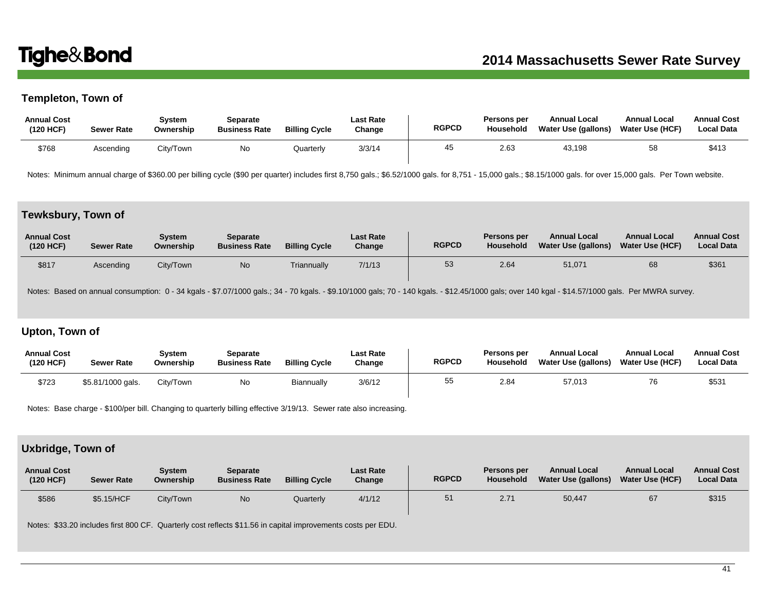## **Templeton, Town of**

| <b>Annual Cost</b><br>(120 HCF) | <b>Sewer Rate</b> | Svstem<br>Ownership | Separate<br><b>Business Rate</b> | <b>Billing Cycle</b> | Last Rate<br>Change | <b>RGPCD</b> | Persons per<br>Household | <b>Annual Local</b><br>Water Use (gallons) | <b>Annual Local</b><br>Water Use (HCF) | <b>Annual Cost</b><br><b>Local Data</b> |
|---------------------------------|-------------------|---------------------|----------------------------------|----------------------|---------------------|--------------|--------------------------|--------------------------------------------|----------------------------------------|-----------------------------------------|
| \$768                           | Ascending         | Citv/Town           | No                               | <b>Quarterly</b>     | 3/3/14              |              | 2.63                     | 43,198                                     | 58                                     | \$413                                   |

Notes: Minimum annual charge of \$360.00 per billing cycle (\$90 per quarter) includes first 8,750 gals.; \$6.52/1000 gals. for 8,751 - 15,000 gals.; \$8.15/1000 gals. for over 15,000 gals. Per Town website.

### **Tewksbury, Town of**

| <b>Annual Cost</b><br>(120 HCF) | <b>Sewer Rate</b> | System<br>Ownership | Separate<br><b>Business Rate</b> | <b>Billing Cycle</b> | <b>Last Rate</b><br>Change | <b>RGPCD</b> | Persons per<br>Household | <b>Annual Local</b><br>Water Use (gallons) | <b>Annual Local</b><br>Water Use (HCF) | <b>Annual Cost</b><br><b>Local Data</b> |
|---------------------------------|-------------------|---------------------|----------------------------------|----------------------|----------------------------|--------------|--------------------------|--------------------------------------------|----------------------------------------|-----------------------------------------|
| \$817                           | Ascending         | City/Town           | <b>No</b>                        | Triannually          | 7/1/13                     | 53           | 2.64                     | 51,071                                     | 68                                     | \$361                                   |

Notes: Based on annual consumption: 0 - 34 kgals - \$7.07/1000 gals.; 34 - 70 kgals. - \$9.10/1000 gals; 70 - 140 kgals. - \$12.45/1000 gals; over 140 kgal - \$14.57/1000 gals. Per MWRA survey.

### **Upton, Town of**

| <b>Annual Cost</b><br>(120 HCF) | <b>Sewer Rate</b> | svstem⊾<br>Ownership | Separate<br><b>Business Rate</b> | <b>Billing Cycle</b> | Last Rate<br>Change | <b>RGPCD</b> | <b>Persons per</b><br><b>Household</b> | <b>Annual Local</b><br>Water Use (gallons) | <b>Annual Local</b><br><b>Water Use (HCF)</b> | <b>Annual Cost</b><br><b>Local Data</b> |
|---------------------------------|-------------------|----------------------|----------------------------------|----------------------|---------------------|--------------|----------------------------------------|--------------------------------------------|-----------------------------------------------|-----------------------------------------|
| \$723                           | \$5.81/1000 gals. | City/Town            | No                               | Biannually           | 3/6/12              | 55           | 2.84                                   | 57.013                                     | 76                                            | \$531                                   |

Notes: Base charge - \$100/per bill. Changing to quarterly billing effective 3/19/13. Sewer rate also increasing.

## **Uxbridge, Town of**

| <b>Annual Cost</b><br>(120 HCF) | <b>Sewer Rate</b> | Svstem<br>Ownership | Separate<br><b>Business Rate</b> | <b>Billing Cycle</b> | <b>Last Rate</b><br>Change | <b>RGPCD</b> | Persons per<br>Household | <b>Annual Local</b><br><b>Water Use (gallons)</b> | <b>Annual Local</b><br>Water Use (HCF) | <b>Annual Cost</b><br><b>Local Data</b> |
|---------------------------------|-------------------|---------------------|----------------------------------|----------------------|----------------------------|--------------|--------------------------|---------------------------------------------------|----------------------------------------|-----------------------------------------|
| \$586                           | \$5.15/HCF        | City/Town           | <b>No</b>                        | Quarterly            | 4/1/12                     | 51           | 2.71                     | 50,447                                            | 67                                     | \$315                                   |

Notes: \$33.20 includes first 800 CF. Quarterly cost reflects \$11.56 in capital improvements costs per EDU.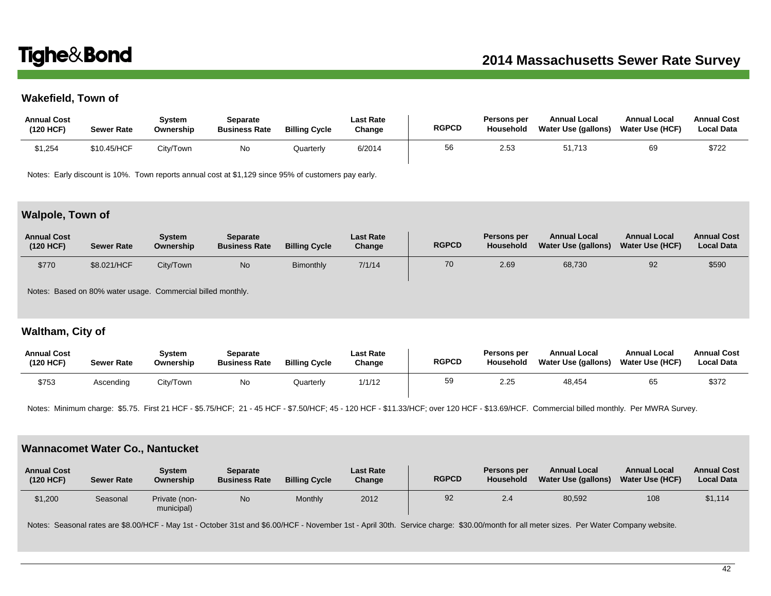## **Wakefield, Town of**

| <b>Annual Cost</b><br>(120 HCF) | <b>Sewer Rate</b> | Svstem<br>Ownership | Separate<br><b>Business Rate</b> | <b>Billing Cycle</b> | Last Rate<br>Change | <b>RGPCD</b> | Persons per<br>Household | <b>Annual Local</b><br>Water Use (gallons) | <b>Annual Local</b><br><b>Water Use (HCF)</b> | <b>Annual Cost</b><br><b>Local Data</b> |
|---------------------------------|-------------------|---------------------|----------------------------------|----------------------|---------------------|--------------|--------------------------|--------------------------------------------|-----------------------------------------------|-----------------------------------------|
| \$1,254                         | \$10.45/HCF       | City/Town           | No                               | Quarterly            | 6/2014              | 56           | 2.53                     | 51.713                                     | 69                                            | \$722                                   |

Notes: Early discount is 10%. Town reports annual cost at \$1,129 since 95% of customers pay early.

#### **Walpole, Town of**

| <b>Annual Cost</b><br>(120 HCF) | <b>Sewer Rate</b> | System<br>Ownership | <b>Separate</b><br><b>Business Rate</b> | <b>Billing Cycle</b> | <b>Last Rate</b><br>Change | <b>RGPCD</b> | Persons per<br><b>Household</b> | <b>Annual Local</b><br>Water Use (gallons) | <b>Annual Local</b><br>Water Use (HCF) | <b>Annual Cost</b><br><b>Local Data</b> |
|---------------------------------|-------------------|---------------------|-----------------------------------------|----------------------|----------------------------|--------------|---------------------------------|--------------------------------------------|----------------------------------------|-----------------------------------------|
| \$770                           | \$8.021/HCF       | Citv/Town           | <b>No</b>                               | <b>Bimonthly</b>     | 7/1/14                     | 70           | 2.69                            | 68,730                                     | 92                                     | \$590                                   |

Notes: Based on 80% water usage. Commercial billed monthly.

### **Waltham, City of**

| <b>Annual Cost</b><br>(120 HCF) | <b>Sewer Rate</b> | ہ vstem<br>Ownership | Separate<br><b>Business Rate</b> | <b>Billing Cycle</b> | Last Rate<br>Change | <b>RGPCD</b> | Persons per<br>Household | <b>Annual Local</b><br>Water Use (gallons) | <b>Annual Local</b><br><b>Water Use (HCF)</b> | <b>Annual Cost</b><br><b>Local Data</b> |
|---------------------------------|-------------------|----------------------|----------------------------------|----------------------|---------------------|--------------|--------------------------|--------------------------------------------|-----------------------------------------------|-----------------------------------------|
| \$753                           | Ascending         | City/Town            | Νo                               | <b>Quarterly</b>     | 1/1/12              | 59           | 2.25                     | 48,454                                     | 65                                            | \$372                                   |

Notes: Minimum charge: \$5.75. First 21 HCF - \$5.75/HCF; 21 - 45 HCF - \$7.50/HCF; 45 - 120 HCF - \$11.33/HCF; over 120 HCF - \$13.69/HCF. Commercial billed monthly. Per MWRA Survey.

#### **Wannacomet Water Co., Nantucket**

| <b>Annual Cost</b><br>(120 HCF) | <b>Sewer Rate</b> | Svstem<br>Ownership         | Separate<br><b>Business Rate</b> | <b>Billing Cycle</b> | <b>Last Rate</b><br>Change | <b>RGPCD</b> | Persons per<br>Household | <b>Annual Local</b><br>Water Use (gallons) | <b>Annual Local</b><br>Water Use (HCF) | <b>Annual Cost</b><br><b>Local Data</b> |
|---------------------------------|-------------------|-----------------------------|----------------------------------|----------------------|----------------------------|--------------|--------------------------|--------------------------------------------|----------------------------------------|-----------------------------------------|
| \$1,200                         | Seasonal          | Private (non-<br>municipal) | <b>No</b>                        | Monthly              | 2012                       | 92           | 2.4                      | 80,592                                     | 108                                    | \$1,114                                 |

Notes: Seasonal rates are \$8.00/HCF - May 1st - October 31st and \$6.00/HCF - November 1st - April 30th. Service charge: \$30.00/month for all meter sizes. Per Water Company website.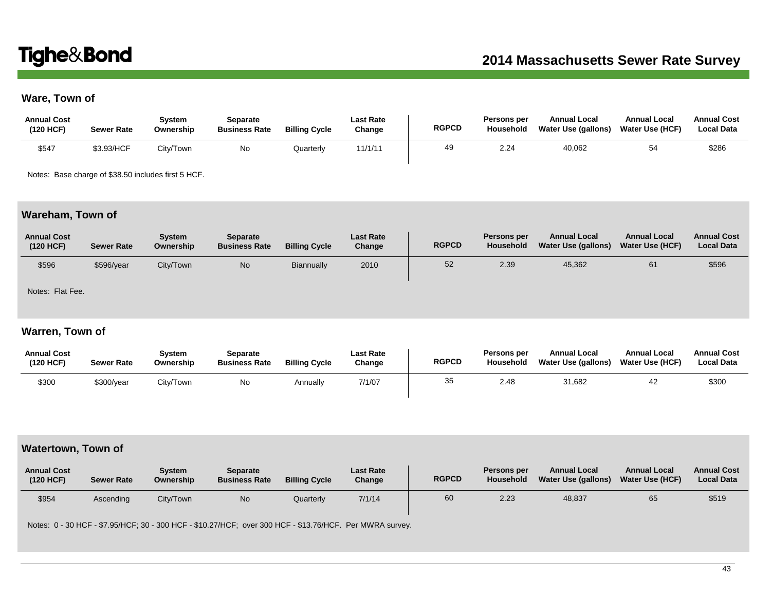## **Ware, Town of**

| <b>Annual Cost</b><br>(120 HCF) | <b>Sewer Rate</b> | Svstem<br>Ownership | Separate<br><b>Business Rate</b> | <b>Billing Cycle</b> | Last Rate<br>Change | <b>RGPCD</b> | Persons per<br>Household | <b>Annual Local</b><br>Water Use (gallons) | <b>Annual Local</b><br><b>Water Use (HCF)</b> | <b>Annual Cost</b><br><b>Local Data</b> |
|---------------------------------|-------------------|---------------------|----------------------------------|----------------------|---------------------|--------------|--------------------------|--------------------------------------------|-----------------------------------------------|-----------------------------------------|
| \$547                           | \$3.93/HCF        | City/Town           | No                               | Quarterly            | 11/1/11             | 49           | 2.24                     | 40,062                                     |                                               | \$286                                   |

Notes: Base charge of \$38.50 includes first 5 HCF.

# **Wareham, Town of**

| <b>Annual Cost</b><br>(120 HCF) | <b>Sewer Rate</b> | <b>System</b><br>Ownership | <b>Separate</b><br><b>Business Rate</b> | <b>Billing Cycle</b> | <b>Last Rate</b><br>Change | <b>RGPCD</b> | Persons per<br>Household | <b>Annual Local</b><br>Water Use (gallons) | <b>Annual Local</b><br><b>Water Use (HCF)</b> | <b>Annual Cost</b><br><b>Local Data</b> |
|---------------------------------|-------------------|----------------------------|-----------------------------------------|----------------------|----------------------------|--------------|--------------------------|--------------------------------------------|-----------------------------------------------|-----------------------------------------|
| \$596                           | \$596/year        | City/Town                  | <b>No</b>                               | Biannually           | 2010                       | 52           | 2.39                     | 45,362                                     | 61                                            | \$596                                   |
| Notes: Flat Fee.                |                   |                            |                                         |                      |                            |              |                          |                                            |                                               |                                         |

## **Warren, Town of**

| <b>Annual Cost</b><br>(120 HCF) | <b>Sewer Rate</b> | Svstem<br>Ownership | Separate<br><b>Business Rate</b> | <b>Billing Cycle</b> | Last Rate<br>Change | <b>RGPCD</b> | Persons per<br>Household | <b>Annual Local</b><br>Water Use (gallons) | <b>Annual Local</b><br><b>Water Use (HCF)</b> | <b>Annual Cost</b><br><b>Local Data</b> |
|---------------------------------|-------------------|---------------------|----------------------------------|----------------------|---------------------|--------------|--------------------------|--------------------------------------------|-----------------------------------------------|-----------------------------------------|
| \$300                           | \$300/year        | Citv/Town           | No                               | Annuallv             | 7/1/07              | 35           | 2.48                     | 31,682                                     | 42                                            | \$300                                   |

# **Watertown, Town of**

| <b>Annual Cost</b><br>(120 HCF) | <b>Sewer Rate</b> | System<br>Ownership | <b>Separate</b><br><b>Business Rate</b> | <b>Billing Cycle</b> | <b>Last Rate</b><br>Change | <b>RGPCD</b> | Persons per<br>Household | <b>Annual Local</b><br>Water Use (gallons) | <b>Annual Local</b><br>Water Use (HCF) | <b>Annual Cost</b><br><b>Local Data</b> |
|---------------------------------|-------------------|---------------------|-----------------------------------------|----------------------|----------------------------|--------------|--------------------------|--------------------------------------------|----------------------------------------|-----------------------------------------|
| \$954                           | Ascending         | City/Town           | <b>No</b>                               | Quarterly            | 7/1/14                     | 60           | 2.23                     | 48,837                                     | 65                                     | \$519                                   |

Notes: 0 - 30 HCF - \$7.95/HCF; 30 - 300 HCF - \$10.27/HCF; over 300 HCF - \$13.76/HCF. Per MWRA survey.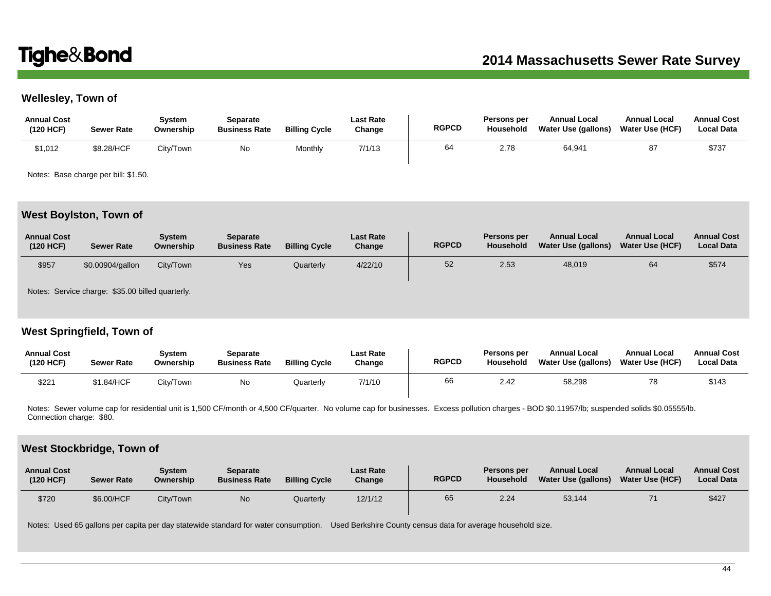## **Wellesley, Town of**

| <b>Annual Cost</b><br>(120 HCF) | <b>Sewer Rate</b> | Svstem<br>Ownership | Separate<br><b>Business Rate</b> | <b>Billing Cycle</b> | Last Rate<br>Change | <b>RGPCD</b> | Persons per<br><b>Household</b> | <b>Annual Local</b><br>Water Use (gallons) | <b>Annual Local</b><br><b>Water Use (HCF)</b> | <b>Annual Cost</b><br><b>Local Data</b> |
|---------------------------------|-------------------|---------------------|----------------------------------|----------------------|---------------------|--------------|---------------------------------|--------------------------------------------|-----------------------------------------------|-----------------------------------------|
| \$1,012                         | \$8.28/HCF        | City/Town           | No                               | Monthly              | 7/1/13              | 64           | 2.78                            | 64,941                                     | 87                                            | \$737                                   |

Notes: Base charge per bill: \$1.50.

#### **West Boylston, Town of**

| <b>Annual Cost</b><br>(120 HCF) | <b>Sewer Rate</b> | System<br>Ownership | <b>Separate</b><br><b>Business Rate</b> | <b>Billing Cycle</b> | <b>Last Rate</b><br>Change | <b>RGPCD</b> | Persons per<br>Household | <b>Annual Local</b><br>Water Use (gallons) | <b>Annual Local</b><br><b>Water Use (HCF)</b> | <b>Annual Cost</b><br><b>Local Data</b> |
|---------------------------------|-------------------|---------------------|-----------------------------------------|----------------------|----------------------------|--------------|--------------------------|--------------------------------------------|-----------------------------------------------|-----------------------------------------|
| \$957                           | \$0.00904/gallon  | City/Town           | Yes                                     | Quarterly            | 4/22/10                    | 52           | 2.53                     | 48,019                                     | 64                                            | \$574                                   |

Notes: Service charge: \$35.00 billed quarterly.

#### **West Springfield, Town of**

| <b>Annual Cost</b><br>(120 HCF) | <b>Sewer Rate</b> | Svstem<br>Ownership | Separate<br><b>Business Rate</b> | <b>Billing Cycle</b> | <b>Last Rate</b><br>Change | <b>RGPCD</b> | Persons per<br>Household | <b>Annual Local</b><br>Water Use (gallons) | <b>Annual Local</b><br><b>Water Use (HCF)</b> | <b>Annual Cost</b><br><b>Local Data</b> |
|---------------------------------|-------------------|---------------------|----------------------------------|----------------------|----------------------------|--------------|--------------------------|--------------------------------------------|-----------------------------------------------|-----------------------------------------|
| \$221                           | \$1.84/HCF        | City/Town           | No                               | Quarterlv            | 7/1/10                     | 66           | 2.42                     | 58,298                                     | 78                                            | \$143                                   |

Notes: Sewer volume cap for residential unit is 1,500 CF/month or 4,500 CF/quarter. No volume cap for businesses. Excess pollution charges - BOD \$0.11957/lb; suspended solids \$0.05555/lb. Connection charge: \$80.

### **West Stockbridge, Town of**

| <b>Annual Cost</b><br>(120 HCF) | <b>Sewer Rate</b> | Svstem<br>Ownership | Separate<br><b>Business Rate</b> | <b>Billing Cycle</b> | <b>Last Rate</b><br>Change | <b>RGPCD</b> | Persons per<br>Household | <b>Annual Local</b><br>Water Use (gallons) | <b>Annual Local</b><br>Water Use (HCF) | <b>Annual Cost</b><br><b>Local Data</b> |
|---------------------------------|-------------------|---------------------|----------------------------------|----------------------|----------------------------|--------------|--------------------------|--------------------------------------------|----------------------------------------|-----------------------------------------|
| \$720                           | \$6,00/HCF        | City/Town           | <b>No</b>                        | Quarterly            | 12/1/12                    | 65           | 2.24                     | 53,144                                     |                                        | \$427                                   |

Notes: Used 65 gallons per capita per day statewide standard for water consumption. Used Berkshire County census data for average household size.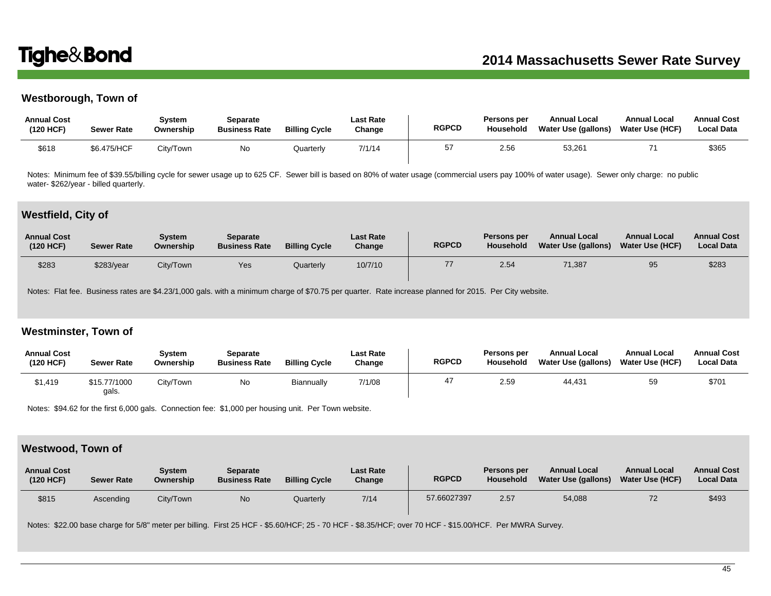## **Westborough, Town of**

| <b>Annual Cost</b><br>(120 HCF) | <b>Sewer Rate</b> | Svstem<br>Ownership | Separate<br><b>Business Rate</b> | <b>Billing Cycle</b> | <b>Last Rate</b><br>Change | <b>RGPCD</b> | Persons per<br>Household | <b>Annual Local</b><br>Water Use (gallons) | <b>Annual Local</b><br><b>Water Use (HCF)</b> | <b>Annual Cost</b><br>Local Data |
|---------------------------------|-------------------|---------------------|----------------------------------|----------------------|----------------------------|--------------|--------------------------|--------------------------------------------|-----------------------------------------------|----------------------------------|
| \$618                           | \$6.475/HCF       | City/Town           | No                               | Quarterly            | 7/1/14                     |              | 2.56                     | 53,261                                     |                                               | \$365                            |

Notes: Minimum fee of \$39.55/billing cycle for sewer usage up to 625 CF. Sewer bill is based on 80% of water usage (commercial users pay 100% of water usage). Sewer only charge: no public water- \$262/year - billed quarterly.

#### **Westfield, City of**

| <b>Annual Cost</b><br>(120 HCF) | <b>Sewer Rate</b> | Svstem<br>Ownership | <b>Separate</b><br><b>Business Rate</b> | <b>Billing Cycle</b> | <b>Last Rate</b><br>Change | <b>RGPCD</b> | Persons per<br>Household | <b>Annual Local</b><br>Water Use (gallons) | <b>Annual Local</b><br><b>Water Use (HCF)</b> | <b>Annual Cost</b><br><b>Local Data</b> |
|---------------------------------|-------------------|---------------------|-----------------------------------------|----------------------|----------------------------|--------------|--------------------------|--------------------------------------------|-----------------------------------------------|-----------------------------------------|
| \$283                           | \$283/year        | City/Town           | Yes                                     | Quarterly            | 10/7/10                    |              | 2.54                     | 71,387                                     | 95                                            | \$283                                   |

Notes: Flat fee. Business rates are \$4.23/1,000 gals. with a minimum charge of \$70.75 per quarter. Rate increase planned for 2015. Per City website.

#### **Westminster, Town of**

| <b>Annual Cost</b><br>(120 HCF) | <b>Sewer Rate</b>     | <b>Svstem</b><br>Ownership | Separate<br><b>Business Rate</b> | <b>Billing Cycle</b> | Last Rate<br>Change | <b>RGPCD</b> | Persons per<br>Household | <b>Annual Local</b><br>Water Use (gallons) | <b>Annual Local</b><br><b>Water Use (HCF)</b> | <b>Annual Cost</b><br><b>Local Data</b> |
|---------------------------------|-----------------------|----------------------------|----------------------------------|----------------------|---------------------|--------------|--------------------------|--------------------------------------------|-----------------------------------------------|-----------------------------------------|
| \$1,419                         | \$15.77/1000<br>gals. | City/Town                  | Νo                               | Biannually           | 7/1/08              |              | 2.59                     | 44.431                                     | 59                                            | \$701                                   |

Notes: \$94.62 for the first 6,000 gals. Connection fee: \$1,000 per housing unit. Per Town website.

#### **Westwood, Town of**

| <b>Annual Cost</b><br>(120 HCF) | <b>Sewer Rate</b> | Svstem<br>Ownership | <b>Separate</b><br><b>Business Rate</b> | <b>Billing Cycle</b> | <b>Last Rate</b><br>Change | <b>RGPCD</b> | Persons per<br>Household | <b>Annual Local</b><br>Water Use (gallons) | <b>Annual Local</b><br>Water Use (HCF) | <b>Annual Cost</b><br><b>Local Data</b> |
|---------------------------------|-------------------|---------------------|-----------------------------------------|----------------------|----------------------------|--------------|--------------------------|--------------------------------------------|----------------------------------------|-----------------------------------------|
| \$815                           | Ascending         | City/Town           | <b>No</b>                               | Quarterly            | 7/14                       | 57.66027397  | 2.57                     | 54,088                                     |                                        | \$493                                   |

Notes: \$22.00 base charge for 5/8" meter per billing. First 25 HCF - \$5.60/HCF; 25 - 70 HCF - \$8.35/HCF; over 70 HCF - \$15.00/HCF. Per MWRA Survey.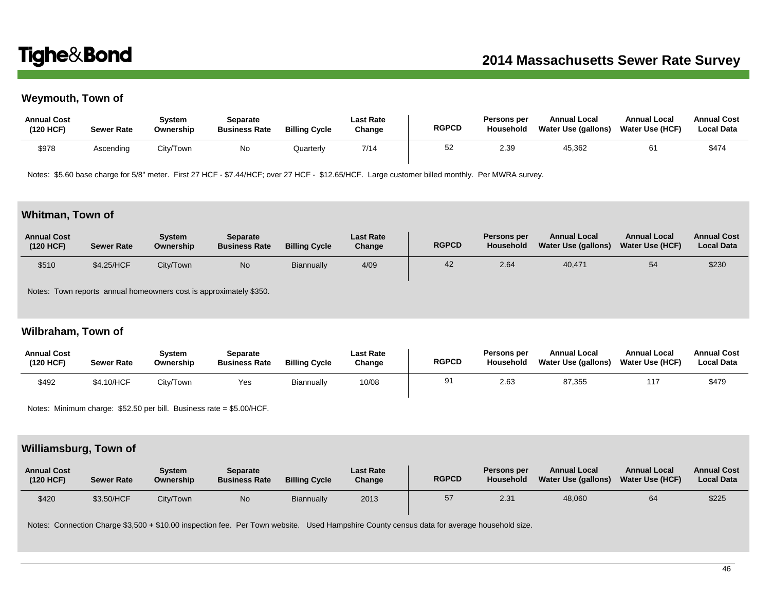## **Weymouth, Town of**

| <b>Annual Cost</b><br>(120 HCF) | <b>Sewer Rate</b> | Svstem<br>Ownership | Separate<br><b>Business Rate</b> | <b>Billing Cycle</b> | Last Rate<br>Change | <b>RGPCD</b> | Persons per<br>Household | <b>Annual Local</b><br>Water Use (gallons) | <b>Annual Local</b><br>Water Use (HCF) | <b>Annual Cost</b><br><b>Local Data</b> |
|---------------------------------|-------------------|---------------------|----------------------------------|----------------------|---------------------|--------------|--------------------------|--------------------------------------------|----------------------------------------|-----------------------------------------|
| \$978                           | Ascending         | City/Town           | No                               | <b>Quarterly</b>     | 7/14                | 52           | 2.39                     | 45.362                                     |                                        | \$474                                   |

Notes: \$5.60 base charge for 5/8" meter. First 27 HCF - \$7.44/HCF; over 27 HCF - \$12.65/HCF. Large customer billed monthly. Per MWRA survey.

### **Whitman, Town of**

| <b>Annual Cost</b><br>(120 HCF) | <b>Sewer Rate</b> | <b>System</b><br>Ownership                                        | <b>Separate</b><br><b>Business Rate</b> | <b>Billing Cycle</b> | <b>Last Rate</b><br>Change | <b>RGPCD</b> | Persons per<br><b>Household</b> | <b>Annual Local</b><br>Water Use (gallons) | <b>Annual Local</b><br><b>Water Use (HCF)</b> | <b>Annual Cost</b><br><b>Local Data</b> |
|---------------------------------|-------------------|-------------------------------------------------------------------|-----------------------------------------|----------------------|----------------------------|--------------|---------------------------------|--------------------------------------------|-----------------------------------------------|-----------------------------------------|
| \$510                           | \$4.25/HCF        | City/Town                                                         | <b>No</b>                               | Biannually           | 4/09                       | 42           | 2.64                            | 40,471                                     | 54                                            | \$230                                   |
|                                 |                   | Notes: Town reports, annual homeowners cost is annoximately \$350 |                                         |                      |                            |              |                                 |                                            |                                               |                                         |

Notes: Town reports annual homeowners cost is approximately \$350.

#### **Wilbraham, Town of**

| <b>Annual Cost</b><br>(120 HCF) | <b>Sewer Rate</b> | Svstem<br>Ownership | Separate<br><b>Business Rate</b> | <b>Billing Cycle</b> | <b>Last Rate</b><br>Change | <b>RGPCD</b> | <b>Persons per</b><br>Household | <b>Annual Local</b><br>Water Use (gallons) | <b>Annual Local</b><br><b>Water Use (HCF)</b> | <b>Annual Cost</b><br><b>Local Data</b> |
|---------------------------------|-------------------|---------------------|----------------------------------|----------------------|----------------------------|--------------|---------------------------------|--------------------------------------------|-----------------------------------------------|-----------------------------------------|
| \$492                           | \$4.10/HCF        | City/Town           | Yes                              | Biannually           | 10/08                      |              | 2.63                            | 87.355                                     | 117                                           | \$479                                   |

Notes: Minimum charge: \$52.50 per bill. Business rate = \$5.00/HCF.

### **Williamsburg, Town of**

| <b>Annual Cost</b><br>(120 HCF) | <b>Sewer Rate</b> | Svstem<br>Ownership | Separate<br><b>Business Rate</b> | <b>Billing Cycle</b> | Last Rate<br>Change | <b>RGPCD</b> | Persons per<br>Household | <b>Annual Local</b><br><b>Water Use (gallons)</b> | <b>Annual Local</b><br><b>Water Use (HCF)</b> | <b>Annual Cost</b><br><b>Local Data</b> |
|---------------------------------|-------------------|---------------------|----------------------------------|----------------------|---------------------|--------------|--------------------------|---------------------------------------------------|-----------------------------------------------|-----------------------------------------|
| \$420                           | \$3.50/HCF        | City/Town           | <b>No</b>                        | Biannually           | 2013                | 57           | 2.31                     | 48,060                                            | 64                                            | \$225                                   |

Notes: Connection Charge \$3,500 + \$10.00 inspection fee. Per Town website. Used Hampshire County census data for average household size.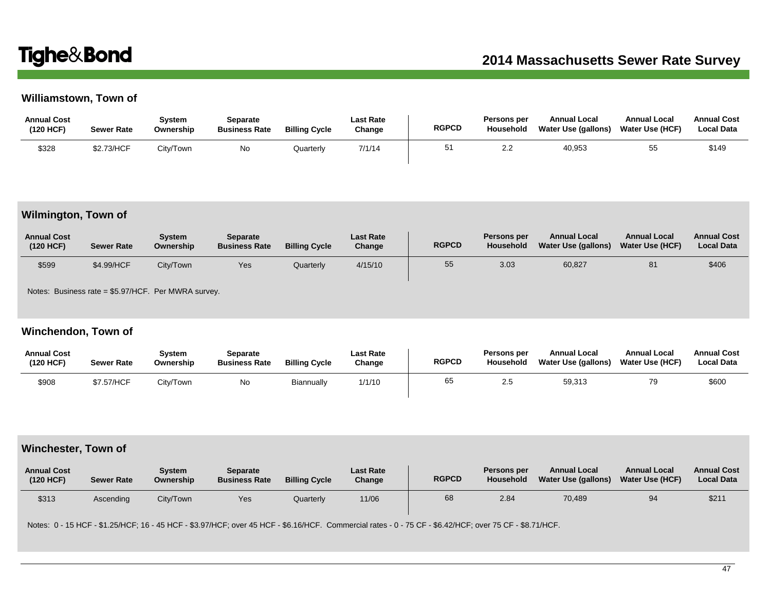## **Williamstown, Town of**

| <b>Annual Cost</b><br>(120 HCF) | <b>Sewer Rate</b> | Svstem<br>Ownership | Separate<br><b>Business Rate</b> | <b>Billing Cycle</b> | Last Rate<br>Change | <b>RGPCD</b> | Persons per<br>Household | <b>Annual Local</b><br><b>Water Use (gallons)</b> | <b>Annual Local</b><br><b>Water Use (HCF)</b> | <b>Annual Cost</b><br><b>Local Data</b> |
|---------------------------------|-------------------|---------------------|----------------------------------|----------------------|---------------------|--------------|--------------------------|---------------------------------------------------|-----------------------------------------------|-----------------------------------------|
| \$328                           | \$2.73/HCF        | City/Town           | No                               | Quarterly            | 7/1/14              | 51           | 2.2                      | 40,953                                            | 55                                            | \$149                                   |

# **Wilmington, Town of**

| <b>Annual Cost</b><br>(120 HCF) | <b>Sewer Rate</b> | System<br>Ownership | <b>Separate</b><br><b>Business Rate</b> | <b>Billing Cycle</b> | <b>Last Rate</b><br>Change | <b>RGPCD</b> | Persons per<br>Household | <b>Annual Local</b><br><b>Water Use (gallons)</b> | <b>Annual Local</b><br>Water Use (HCF) | <b>Annual Cost</b><br><b>Local Data</b> |
|---------------------------------|-------------------|---------------------|-----------------------------------------|----------------------|----------------------------|--------------|--------------------------|---------------------------------------------------|----------------------------------------|-----------------------------------------|
| \$599                           | \$4.99/HCF        | City/Town           | Yes                                     | Quarterly            | 4/15/10                    | 55           | 3.03                     | 60,827                                            |                                        | \$406                                   |

Notes: Business rate = \$5.97/HCF. Per MWRA survey.

### **Winchendon, Town of**

| <b>Annual Cost</b><br>(120 HCF) | <b>Sewer Rate</b> | Svstem<br>Ownership | Separate<br><b>Business Rate</b> | <b>Billing Cycle</b> | Last Rate<br>Change | <b>RGPCD</b> | Persons per<br>Household | <b>Annual Local</b><br>Water Use (gallons) | <b>Annual Local</b><br><b>Water Use (HCF)</b> | <b>Annual Cost</b><br><b>Local Data</b> |
|---------------------------------|-------------------|---------------------|----------------------------------|----------------------|---------------------|--------------|--------------------------|--------------------------------------------|-----------------------------------------------|-----------------------------------------|
| \$908                           | \$7.57/HCF        | Citv/Town           | No                               | Biannually           | 1/1/10              | 65           | 2.5                      | 59,313                                     | 79                                            | \$600                                   |

## **Winchester, Town of**

| <b>Annual Cost</b><br>(120 HCF) | <b>Sewer Rate</b> | Svstem<br>Ownership | <b>Separate</b><br><b>Business Rate</b> | <b>Billing Cycle</b> | <b>Last Rate</b><br>Change | <b>RGPCD</b> | Persons per<br><b>Household</b> | <b>Annual Local</b><br>Water Use (gallons) | <b>Annual Local</b><br><b>Water Use (HCF)</b> | <b>Annual Cost</b><br><b>Local Data</b> |
|---------------------------------|-------------------|---------------------|-----------------------------------------|----------------------|----------------------------|--------------|---------------------------------|--------------------------------------------|-----------------------------------------------|-----------------------------------------|
| \$313                           | Ascending         | City/Town           | Yes                                     | Quarterly            | 11/06                      | 68           | 2.84                            | 70,489                                     | 94                                            | \$211                                   |

Notes: 0 - 15 HCF - \$1.25/HCF; 16 - 45 HCF - \$3.97/HCF; over 45 HCF - \$6.16/HCF. Commercial rates - 0 - 75 CF - \$6.42/HCF; over 75 CF - \$8.71/HCF.